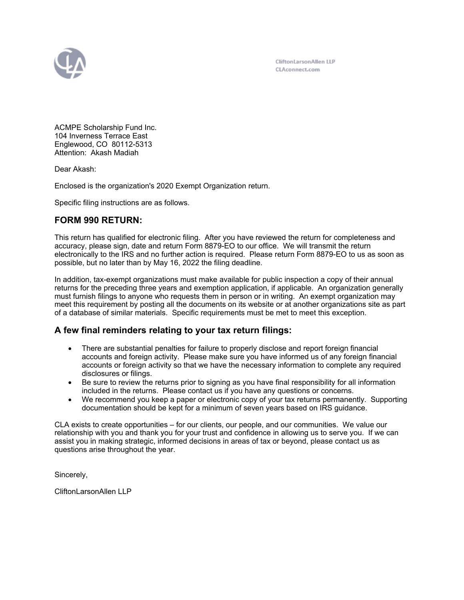

CliftonLarsonAllen LLP CLAconnect.com

ACMPE Scholarship Fund Inc. 104 Inverness Terrace East Englewood, CO 80112-5313 Attention: Akash Madiah

Dear Akash:

Enclosed is the organization's 2020 Exempt Organization return.

Specific filing instructions are as follows.

## **FORM 990 RETURN:**

This return has qualified for electronic filing. After you have reviewed the return for completeness and accuracy, please sign, date and return Form 8879-EO to our office. We will transmit the return electronically to the IRS and no further action is required. Please return Form 8879-EO to us as soon as possible, but no later than by May 16, 2022 the filing deadline.

In addition, tax-exempt organizations must make available for public inspection a copy of their annual returns for the preceding three years and exemption application, if applicable. An organization generally must furnish filings to anyone who requests them in person or in writing. An exempt organization may meet this requirement by posting all the documents on its website or at another organizations site as part of a database of similar materials. Specific requirements must be met to meet this exception.

## **A few final reminders relating to your tax return filings:**

- There are substantial penalties for failure to properly disclose and report foreign financial accounts and foreign activity. Please make sure you have informed us of any foreign financial accounts or foreign activity so that we have the necessary information to complete any required disclosures or filings.
- Be sure to review the returns prior to signing as you have final responsibility for all information included in the returns. Please contact us if you have any questions or concerns.
- We recommend you keep a paper or electronic copy of your tax returns permanently. Supporting documentation should be kept for a minimum of seven years based on IRS guidance.

CLA exists to create opportunities – for our clients, our people, and our communities. We value our relationship with you and thank you for your trust and confidence in allowing us to serve you. If we can assist you in making strategic, informed decisions in areas of tax or beyond, please contact us as questions arise throughout the year.

Sincerely,

CliftonLarsonAllen LLP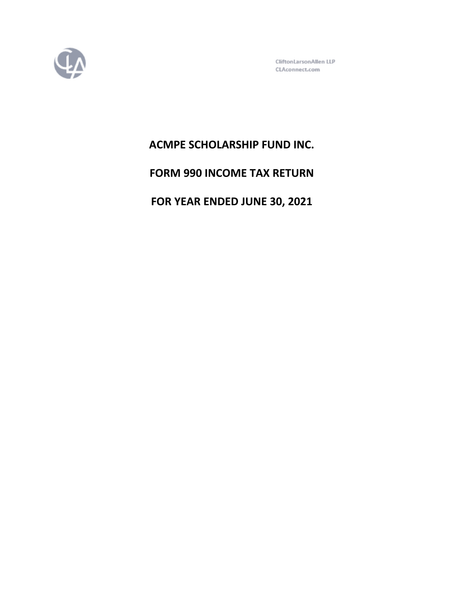

CliftonLarsonAllen LLP CLAconnect.com

# **ACMPE SCHOLARSHIP FUND INC.**

# **FORM 990 INCOME TAX RETURN**

**FOR YEAR ENDED JUNE 30, 2021**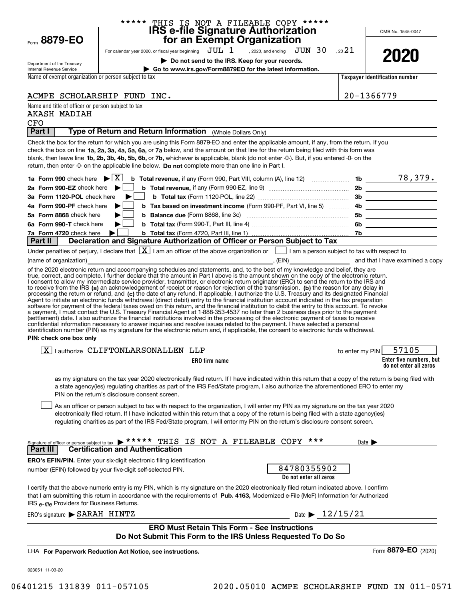|                                                        | ***** THIS IS NOT A FILEABLE COPY *****                                                                                                                                                                                                                                                                                                                                                                                                                                                                                                                                                                                      |                            |                                                   |
|--------------------------------------------------------|------------------------------------------------------------------------------------------------------------------------------------------------------------------------------------------------------------------------------------------------------------------------------------------------------------------------------------------------------------------------------------------------------------------------------------------------------------------------------------------------------------------------------------------------------------------------------------------------------------------------------|----------------------------|---------------------------------------------------|
| Form 8879-EO                                           | IRS e-file Signature Authorization<br>for an Exempt Organization                                                                                                                                                                                                                                                                                                                                                                                                                                                                                                                                                             |                            | OMB No. 1545-0047                                 |
|                                                        | For calendar year 2020, or fiscal year beginning $JUL$ $1$ , 2020, and ending $JUN$ $30$ , 20 $21$                                                                                                                                                                                                                                                                                                                                                                                                                                                                                                                           |                            |                                                   |
|                                                        | Do not send to the IRS. Keep for your records.                                                                                                                                                                                                                                                                                                                                                                                                                                                                                                                                                                               |                            | 2020                                              |
| Department of the Treasury<br>Internal Revenue Service | Go to www.irs.gov/Form8879EO for the latest information.                                                                                                                                                                                                                                                                                                                                                                                                                                                                                                                                                                     |                            |                                                   |
| Name of exempt organization or person subject to tax   |                                                                                                                                                                                                                                                                                                                                                                                                                                                                                                                                                                                                                              |                            | Taxpayer identification number                    |
|                                                        | ACMPE SCHOLARSHIP FUND INC.                                                                                                                                                                                                                                                                                                                                                                                                                                                                                                                                                                                                  |                            | 20-1366779                                        |
| Name and title of officer or person subject to tax     |                                                                                                                                                                                                                                                                                                                                                                                                                                                                                                                                                                                                                              |                            |                                                   |
| <b>AKASH MADIAH</b><br><b>CFO</b>                      |                                                                                                                                                                                                                                                                                                                                                                                                                                                                                                                                                                                                                              |                            |                                                   |
| Part I                                                 | Type of Return and Return Information (Whole Dollars Only)                                                                                                                                                                                                                                                                                                                                                                                                                                                                                                                                                                   |                            |                                                   |
|                                                        | Check the box for the return for which you are using this Form 8879-EO and enter the applicable amount, if any, from the return. If you<br>check the box on line 1a, 2a, 3a, 4a, 5a, 6a, or 7a below, and the amount on that line for the return being filed with this form was<br>blank, then leave line 1b, 2b, 3b, 4b, 5b, 6b, or 7b, whichever is applicable, blank (do not enter -0-). But, if you entered -0- on the<br>return, then enter -0- on the applicable line below. Do not complete more than one line in Part I.                                                                                             |                            |                                                   |
|                                                        |                                                                                                                                                                                                                                                                                                                                                                                                                                                                                                                                                                                                                              |                            |                                                   |
| 2a Form 990-EZ check here $\blacktriangleright$        |                                                                                                                                                                                                                                                                                                                                                                                                                                                                                                                                                                                                                              |                            |                                                   |
| 3a Form 1120-POL check here                            |                                                                                                                                                                                                                                                                                                                                                                                                                                                                                                                                                                                                                              |                            |                                                   |
| 4a Form 990-PF check here                              | ▶                                                                                                                                                                                                                                                                                                                                                                                                                                                                                                                                                                                                                            |                            |                                                   |
| 5a Form 8868 check here                                |                                                                                                                                                                                                                                                                                                                                                                                                                                                                                                                                                                                                                              |                            |                                                   |
| 6a Form 990-T check here                               |                                                                                                                                                                                                                                                                                                                                                                                                                                                                                                                                                                                                                              |                            |                                                   |
| 7a Form 4720 check here<br>Part II                     | Declaration and Signature Authorization of Officer or Person Subject to Tax                                                                                                                                                                                                                                                                                                                                                                                                                                                                                                                                                  |                            |                                                   |
|                                                        | Under penalties of perjury, I declare that $\boxed{\mathbf{X}}$ I am an officer of the above organization or $\boxed{\phantom{\mathbf{X}}}$ I am a person subject to tax with respect to                                                                                                                                                                                                                                                                                                                                                                                                                                     |                            |                                                   |
| (name of organization)                                 | E(N)                                                                                                                                                                                                                                                                                                                                                                                                                                                                                                                                                                                                                         |                            | and that I have examined a copy                   |
| PIN: check one box only                                | a payment, I must contact the U.S. Treasury Financial Agent at 1-888-353-4537 no later than 2 business days prior to the payment<br>(settlement) date. I also authorize the financial institutions involved in the processing of the electronic payment of taxes to receive<br>confidential information necessary to answer inquiries and resolve issues related to the payment. I have selected a personal<br>identification number (PIN) as my signature for the electronic return and, if applicable, the consent to electronic funds withdrawal.                                                                         |                            |                                                   |
|                                                        | $\boxed{X}$   authorize CLIFTONLARSONALLEN LLP                                                                                                                                                                                                                                                                                                                                                                                                                                                                                                                                                                               | to enter my PIN            | 57105                                             |
|                                                        | ERO firm name                                                                                                                                                                                                                                                                                                                                                                                                                                                                                                                                                                                                                |                            | Enter five numbers, but<br>do not enter all zeros |
|                                                        | as my signature on the tax year 2020 electronically filed return. If I have indicated within this return that a copy of the return is being filed with<br>a state agency(ies) regulating charities as part of the IRS Fed/State program, I also authorize the aforementioned ERO to enter my<br>PIN on the return's disclosure consent screen.<br>As an officer or person subject to tax with respect to the organization, I will enter my PIN as my signature on the tax year 2020<br>electronically filed return. If I have indicated within this return that a copy of the return is being filed with a state agency(ies) |                            |                                                   |
| Signature of officer or person subject to tax          | regulating charities as part of the IRS Fed/State program, I will enter my PIN on the return's disclosure consent screen.<br>***** THIS IS NOT A FILEABLE COPY ***                                                                                                                                                                                                                                                                                                                                                                                                                                                           | Date $\blacktriangleright$ |                                                   |
| Part III                                               | <b>Certification and Authentication</b>                                                                                                                                                                                                                                                                                                                                                                                                                                                                                                                                                                                      |                            |                                                   |
|                                                        | <b>ERO's EFIN/PIN.</b> Enter your six-digit electronic filing identification<br>84780355902<br>number (EFIN) followed by your five-digit self-selected PIN.                                                                                                                                                                                                                                                                                                                                                                                                                                                                  |                            |                                                   |
|                                                        | Do not enter all zeros                                                                                                                                                                                                                                                                                                                                                                                                                                                                                                                                                                                                       |                            |                                                   |
| IRS e-file Providers for Business Returns.             | I certify that the above numeric entry is my PIN, which is my signature on the 2020 electronically filed return indicated above. I confirm<br>that I am submitting this return in accordance with the requirements of Pub. 4163, Modernized e-File (MeF) Information for Authorized                                                                                                                                                                                                                                                                                                                                          |                            |                                                   |
| $ERO's$ signature $\triangleright$ SARAH HINTZ         | Date $\triangleright$ 12/15/21                                                                                                                                                                                                                                                                                                                                                                                                                                                                                                                                                                                               |                            |                                                   |
|                                                        | <b>ERO Must Retain This Form - See Instructions</b><br>Do Not Submit This Form to the IRS Unless Requested To Do So                                                                                                                                                                                                                                                                                                                                                                                                                                                                                                          |                            |                                                   |
|                                                        | LHA For Paperwork Reduction Act Notice, see instructions.                                                                                                                                                                                                                                                                                                                                                                                                                                                                                                                                                                    |                            | Form 8879-EO (2020)                               |
| 023051 11-03-20                                        |                                                                                                                                                                                                                                                                                                                                                                                                                                                                                                                                                                                                                              |                            |                                                   |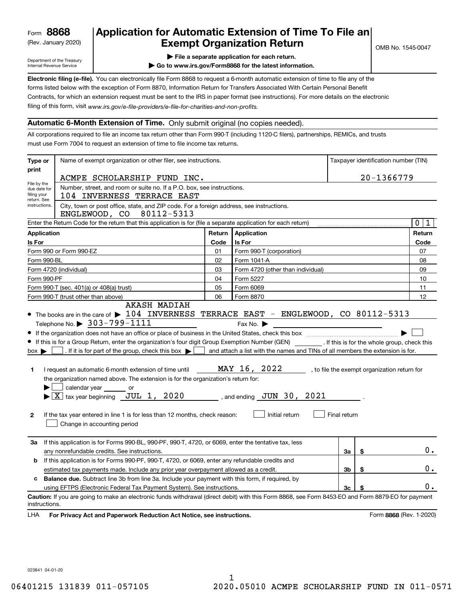(Rev. January 2020)

## **Application for Automatic Extension of Time To File an Exempt Organization Return**

Department of the Treasury Internal Revenue Service

**| File a separate application for each return.**

**| Go to www.irs.gov/Form8868 for the latest information.**

**Electronic filing (e-file).**  You can electronically file Form 8868 to request a 6-month automatic extension of time to file any of the filing of this form, visit www.irs.gov/e-file-providers/e-file-for-charities-and-non-profits. forms listed below with the exception of Form 8870, Information Return for Transfers Associated With Certain Personal Benefit Contracts, for which an extension request must be sent to the IRS in paper format (see instructions). For more details on the electronic

## **Automatic 6-Month Extension of Time.** Only submit original (no copies needed).

All corporations required to file an income tax return other than Form 990-T (including 1120-C filers), partnerships, REMICs, and trusts must use Form 7004 to request an extension of time to file income tax returns.

| Type or<br>Name of exempt organization or other filer, see instructions. |                                                                                                                                                    |        |                                                                                | Taxpayer identification number (TIN) |                                              |                         |
|--------------------------------------------------------------------------|----------------------------------------------------------------------------------------------------------------------------------------------------|--------|--------------------------------------------------------------------------------|--------------------------------------|----------------------------------------------|-------------------------|
| print                                                                    | ACMPE SCHOLARSHIP FUND INC.                                                                                                                        |        |                                                                                |                                      |                                              | 20-1366779              |
| File by the<br>due date for<br>filing your<br>return. See                | Number, street, and room or suite no. If a P.O. box, see instructions.<br>104 INVERNESS TERRACE EAST                                               |        |                                                                                |                                      |                                              |                         |
| instructions.                                                            | City, town or post office, state, and ZIP code. For a foreign address, see instructions.<br>ENGLEWOOD, CO 80112-5313                               |        |                                                                                |                                      |                                              |                         |
|                                                                          | Enter the Return Code for the return that this application is for (file a separate application for each return)                                    |        |                                                                                |                                      |                                              | 0 1                     |
| Application                                                              |                                                                                                                                                    | Return | Application                                                                    |                                      |                                              | Return                  |
| Is For                                                                   |                                                                                                                                                    | Code   | Is For                                                                         |                                      |                                              | Code                    |
|                                                                          | Form 990 or Form 990-EZ                                                                                                                            | 01     | Form 990-T (corporation)                                                       |                                      |                                              | 07                      |
| Form 990-BL                                                              |                                                                                                                                                    | 02     | Form 1041-A                                                                    |                                      |                                              | 08                      |
|                                                                          | Form 4720 (individual)                                                                                                                             | 03     | Form 4720 (other than individual)                                              |                                      |                                              | 09                      |
| Form 990-PF                                                              |                                                                                                                                                    | 04     | Form 5227                                                                      |                                      |                                              | 10                      |
|                                                                          | Form 990-T (sec. 401(a) or 408(a) trust)                                                                                                           | 05     | Form 6069                                                                      |                                      |                                              | 11                      |
|                                                                          | Form 990-T (trust other than above)                                                                                                                | 06     | Form 8870                                                                      |                                      |                                              | 12                      |
|                                                                          | <b>AKASH MADIAH</b><br>• The books are in the care of $\blacktriangleright$ 104 INVERNESS TERRACE EAST - ENGLEWOOD, CO 80112-5313                  |        |                                                                                |                                      |                                              |                         |
|                                                                          | Telephone No. > 303-799-1111                                                                                                                       |        | Fax No. $\blacktriangleright$                                                  |                                      |                                              |                         |
|                                                                          | If this is for a Group Return, enter the organization's four digit Group Exemption Number (GEN) [f this is for the whole group, check this         |        |                                                                                |                                      |                                              |                         |
| $box \blacktriangleright$                                                | . If it is for part of the group, check this box $\blacktriangleright$                                                                             |        | and attach a list with the names and TINs of all members the extension is for. |                                      |                                              |                         |
|                                                                          |                                                                                                                                                    |        |                                                                                |                                      |                                              |                         |
| 1                                                                        | I request an automatic 6-month extension of time until                                                                                             |        | MAY 16, 2022                                                                   |                                      | , to file the exempt organization return for |                         |
|                                                                          | the organization named above. The extension is for the organization's return for:                                                                  |        |                                                                                |                                      |                                              |                         |
|                                                                          | calendar year _______ or                                                                                                                           |        |                                                                                |                                      |                                              |                         |
|                                                                          | $\blacktriangleright$ $\underline{X}$ tax year beginning $\underline{JUL}$ 1, 2020                                                                 |        | $\_$ , and ending $\_$ $\rm JUN$ $~30$ , $~2021$                               |                                      |                                              |                         |
|                                                                          |                                                                                                                                                    |        |                                                                                |                                      |                                              |                         |
| $\mathbf{2}$                                                             | If the tax year entered in line 1 is for less than 12 months, check reason:<br>Change in accounting period                                         |        | Initial return                                                                 | Final return                         |                                              |                         |
| За                                                                       | If this application is for Forms 990-BL, 990-PF, 990-T, 4720, or 6069, enter the tentative tax, less                                               |        |                                                                                |                                      |                                              |                         |
|                                                                          | any nonrefundable credits. See instructions.                                                                                                       |        |                                                                                | За                                   | \$                                           | $0$ .                   |
| b                                                                        | If this application is for Forms 990-PF, 990-T, 4720, or 6069, enter any refundable credits and                                                    |        |                                                                                |                                      |                                              |                         |
|                                                                          | estimated tax payments made. Include any prior year overpayment allowed as a credit.                                                               |        |                                                                                | 3b                                   | \$                                           | 0.                      |
| c                                                                        | <b>Balance due.</b> Subtract line 3b from line 3a. Include your payment with this form, if required, by                                            |        |                                                                                |                                      |                                              |                         |
|                                                                          | using EFTPS (Electronic Federal Tax Payment System). See instructions.                                                                             |        |                                                                                | 3 <sub>c</sub>                       |                                              | 0.                      |
| instructions.                                                            | Caution: If you are going to make an electronic funds withdrawal (direct debit) with this Form 8868, see Form 8453-EO and Form 8879-EO for payment |        |                                                                                |                                      |                                              |                         |
| LHA                                                                      | For Privacy Act and Paperwork Reduction Act Notice, see instructions.                                                                              |        |                                                                                |                                      |                                              | Form 8868 (Rev. 1-2020) |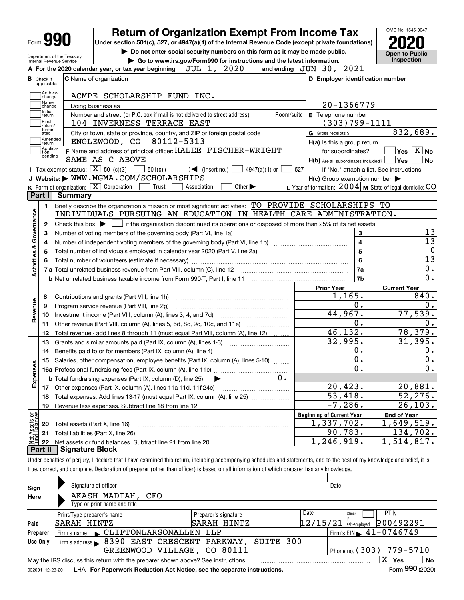| Form $\Box$ | 990 | Шı |
|-------------|-----|----|

Department of the Treasury Internal Revenue Service

# **Return of Organization Exempt From Income Tax**

**| Go to www.irs.gov/Form990 for instructions and the latest information. Inspection**

**Under section 501(c), 527, or 4947(a)(1) of the Internal Revenue Code (except private foundations) 2020**

**| Do not enter social security numbers on this form as it may be made public.**



|                         |                               | 2020<br>JUL 1,<br>A For the 2020 calendar year, or tax year beginning                                                                               |                | and ending JUN 30, 2021                                                      |                                                         |
|-------------------------|-------------------------------|-----------------------------------------------------------------------------------------------------------------------------------------------------|----------------|------------------------------------------------------------------------------|---------------------------------------------------------|
|                         | <b>B</b> Check if applicable: | <b>C</b> Name of organization                                                                                                                       |                | D Employer identification number                                             |                                                         |
|                         | Address<br>change             | ACMPE SCHOLARSHIP FUND INC.                                                                                                                         |                |                                                                              |                                                         |
|                         | Name<br>change                | Doing business as                                                                                                                                   |                | 20-1366779                                                                   |                                                         |
|                         | Initial<br>return             | Number and street (or P.O. box if mail is not delivered to street address)                                                                          | Room/suite     | E Telephone number                                                           |                                                         |
|                         | Final<br>return/              | 104 INVERNESS TERRACE EAST                                                                                                                          |                | $(303)799 - 1111$                                                            |                                                         |
|                         | termin-<br>ated               | City or town, state or province, country, and ZIP or foreign postal code                                                                            |                | G Gross receipts \$                                                          | 832,689.                                                |
|                         | Amended<br>return             | ENGLEWOOD, CO 80112-5313                                                                                                                            |                | $H(a)$ is this a group return                                                |                                                         |
|                         | Applica-<br>tion<br>pending   | F Name and address of principal officer: HALEE FISCHER-WRIGHT<br>SAME AS C ABOVE                                                                    |                | for subordinates?<br>$H(b)$ Are all subordinates included? $\Box$ Yes $\Box$ | $\overline{\ }$ Yes $\overline{\phantom{a}X}$ No<br>∣No |
|                         |                               | Tax-exempt status: $\boxed{\mathbf{X}}$ 501(c)(3)<br>$501(c)$ (<br>$\sqrt{\bullet}$ (insert no.)<br>$4947(a)(1)$ or                                 | 527            |                                                                              | If "No," attach a list. See instructions                |
|                         |                               | J Website: WWW.MGMA.COM/SCHOLARSHIPS                                                                                                                |                | $H(c)$ Group exemption number $\blacktriangleright$                          |                                                         |
|                         |                               | <b>K</b> Form of organization: $\boxed{\mathbf{X}}$ Corporation<br>Other $\blacktriangleright$<br>Trust<br>Association                              |                |                                                                              | L Year of formation: 2004 M State of legal domicile: CO |
|                         |                               | Part I Summary                                                                                                                                      |                |                                                                              |                                                         |
|                         | 1.                            | Briefly describe the organization's mission or most significant activities: TO PROVIDE SCHOLARSHIPS TO                                              |                |                                                                              |                                                         |
|                         |                               | INDIVIDUALS PURSUING AN EDUCATION IN HEALTH CARE ADMINISTRATION.                                                                                    |                |                                                                              |                                                         |
| Activities & Governance | $\mathbf{2}$                  | Check this box $\blacktriangleright$ $\blacksquare$ if the organization discontinued its operations or disposed of more than 25% of its net assets. |                |                                                                              |                                                         |
|                         | 3                             | Number of voting members of the governing body (Part VI, line 1a)                                                                                   |                | 3                                                                            | 13                                                      |
|                         | 4                             |                                                                                                                                                     |                | $\overline{\mathbf{4}}$                                                      | 13                                                      |
|                         | 5                             |                                                                                                                                                     | $\overline{5}$ | $\mathbf 0$                                                                  |                                                         |
|                         | 6                             |                                                                                                                                                     |                | 6                                                                            | $\overline{13}$                                         |
|                         |                               |                                                                                                                                                     |                | 7a                                                                           | 0.                                                      |
|                         |                               | <b>b</b> Net unrelated business taxable income from Form 990-T, Part I, line 11 <b>manual constructs</b> contains all the values                    |                | 7b                                                                           | $\overline{0}$ .                                        |
|                         |                               |                                                                                                                                                     |                | <b>Prior Year</b>                                                            | <b>Current Year</b>                                     |
|                         | 8                             | Contributions and grants (Part VIII, line 1h)                                                                                                       |                | 1,165.                                                                       | 840.                                                    |
| Revenue                 | 9                             | Program service revenue (Part VIII, line 2g)                                                                                                        |                | Ο.                                                                           | О.                                                      |
|                         | 10                            |                                                                                                                                                     |                | 44,967.                                                                      | 77,539.                                                 |
|                         |                               | 11 Other revenue (Part VIII, column (A), lines 5, 6d, 8c, 9c, 10c, and 11e)                                                                         |                | 0.                                                                           | 0.                                                      |
|                         | 12                            | Total revenue - add lines 8 through 11 (must equal Part VIII, column (A), line 12)                                                                  |                | 46, 132.                                                                     | 78,379.                                                 |
|                         | 13                            | Grants and similar amounts paid (Part IX, column (A), lines 1-3)                                                                                    |                | 32,995.                                                                      | 31,395.                                                 |
|                         | 14                            |                                                                                                                                                     |                | 0.                                                                           | 0.                                                      |
|                         | 15                            | Salaries, other compensation, employee benefits (Part IX, column (A), lines 5-10)                                                                   |                | 0.                                                                           | 0.                                                      |
| Expenses                |                               |                                                                                                                                                     |                | $\overline{0}$ .                                                             | 0.                                                      |
|                         |                               | <b>b</b> Total fundraising expenses (Part IX, column (D), line 25)<br>$\blacktriangleright$                                                         | $0 \cdot$      |                                                                              |                                                         |
|                         |                               |                                                                                                                                                     |                | 20,423.                                                                      | 20,881.                                                 |
|                         | 18                            | Total expenses. Add lines 13-17 (must equal Part IX, column (A), line 25) <i></i>                                                                   |                | 53,418.                                                                      | 52, 276.                                                |
|                         | 19                            |                                                                                                                                                     |                | $-7,286.$                                                                    | 26, 103.                                                |
| ăğ                      |                               |                                                                                                                                                     |                | <b>Beginning of Current Year</b>                                             | <b>End of Year</b>                                      |
| <b>Ssets</b><br>Ralam   |                               | <b>20</b> Total assets (Part X, line 16)                                                                                                            |                | 1,337,702.                                                                   | 1,649,519.                                              |
|                         |                               | 21 Total liabilities (Part X, line 26)                                                                                                              |                | 90,783.                                                                      | 134,702.                                                |
|                         | 22                            | Net assets or fund balances. Subtract line 21 from line 20 manual content contents of the Net assets or fund<br><b>Part II   Signature Block</b>    |                | 1, 246, 919.                                                                 | 1, 514, 817.                                            |
|                         |                               |                                                                                                                                                     |                |                                                                              |                                                         |

Under penalties of perjury, I declare that I have examined this return, including accompanying schedules and statements, and to the best of my knowledge and belief, it is true, correct, and complete. Declaration of preparer (other than officer) is based on all information of which preparer has any knowledge.

| Sign     | Signature of officer                                                                                           |                      | Date                                            |  |  |  |  |  |  |
|----------|----------------------------------------------------------------------------------------------------------------|----------------------|-------------------------------------------------|--|--|--|--|--|--|
| Here     | AKASH MADIAH, CFO                                                                                              |                      |                                                 |  |  |  |  |  |  |
|          | Type or print name and title                                                                                   |                      |                                                 |  |  |  |  |  |  |
|          | Print/Type preparer's name                                                                                     | Preparer's signature | Date<br><b>PTIN</b><br>Check                    |  |  |  |  |  |  |
| Paid     | SARAH HINTZ                                                                                                    | SARAH HINTZ          | P00492291<br> 12/15/21 <br>self-emploved        |  |  |  |  |  |  |
| Preparer | Firm's name CLIFTONLARSONALLEN LLP                                                                             |                      | $1$ Firm's EIN $\blacktriangleright$ 41-0746749 |  |  |  |  |  |  |
| Use Only | Firm's address > 8390 EAST CRESCENT PARKWAY, SUITE 300                                                         |                      |                                                 |  |  |  |  |  |  |
|          | GREENWOOD VILLAGE, CO 80111                                                                                    |                      | Phone no. $(303)$ 779-5710                      |  |  |  |  |  |  |
|          | $X \vert Y$ es<br><b>No</b><br>May the IRS discuss this return with the preparer shown above? See instructions |                      |                                                 |  |  |  |  |  |  |
|          | Form 990 (2020)<br>LHA For Paperwork Reduction Act Notice, see the separate instructions.<br>032001 12-23-20   |                      |                                                 |  |  |  |  |  |  |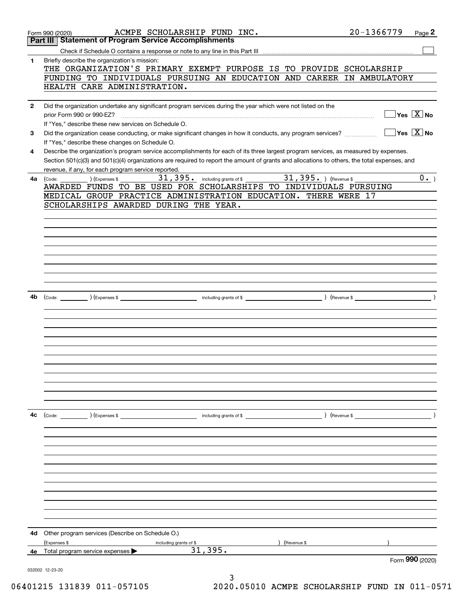|              | ACMPE SCHOLARSHIP FUND INC.<br>Form 990 (2020)                                                                                               | 20-1366779 | Page 2                                          |
|--------------|----------------------------------------------------------------------------------------------------------------------------------------------|------------|-------------------------------------------------|
|              | <b>Part III Statement of Program Service Accomplishments</b>                                                                                 |            |                                                 |
|              |                                                                                                                                              |            |                                                 |
| 1            | Briefly describe the organization's mission:<br>THE ORGANIZATION'S PRIMARY EXEMPT PURPOSE IS TO PROVIDE SCHOLARSHIP                          |            |                                                 |
|              | FUNDING TO INDIVIDUALS PURSUING AN EDUCATION AND CAREER IN AMBULATORY                                                                        |            |                                                 |
|              | HEALTH CARE ADMINISTRATION.                                                                                                                  |            |                                                 |
| $\mathbf{2}$ | Did the organization undertake any significant program services during the year which were not listed on the                                 |            |                                                 |
|              | prior Form 990 or 990-EZ?                                                                                                                    |            | $\overline{\ }$ Yes $\overline{\phantom{X}}$ No |
|              | If "Yes," describe these new services on Schedule O.                                                                                         |            |                                                 |
| 3            | Did the organization cease conducting, or make significant changes in how it conducts, any program services?                                 |            | $\overline{\mathsf{Yes} \mathbb{X}}$ No         |
|              | If "Yes," describe these changes on Schedule O.                                                                                              |            |                                                 |
| 4            | Describe the organization's program service accomplishments for each of its three largest program services, as measured by expenses.         |            |                                                 |
|              | Section 501(c)(3) and 501(c)(4) organizations are required to report the amount of grants and allocations to others, the total expenses, and |            |                                                 |
|              | revenue, if any, for each program service reported.                                                                                          |            |                                                 |
| 4a           | 31, 395. including grants of \$ 31, 395. ) (Revenue \$<br>$\left(\text{Code:}\right)$ $\left(\text{Expenses $}\right)$                       |            | 0.                                              |
|              | AWARDED FUNDS TO BE USED FOR SCHOLARSHIPS TO INDIVIDUALS PURSUING<br>MEDICAL GROUP PRACTICE ADMINISTRATION EDUCATION. THERE WERE 17          |            |                                                 |
|              | SCHOLARSHIPS AWARDED DURING THE YEAR.                                                                                                        |            |                                                 |
|              |                                                                                                                                              |            |                                                 |
|              |                                                                                                                                              |            |                                                 |
|              |                                                                                                                                              |            |                                                 |
|              |                                                                                                                                              |            |                                                 |
|              |                                                                                                                                              |            |                                                 |
|              |                                                                                                                                              |            |                                                 |
|              |                                                                                                                                              |            |                                                 |
|              |                                                                                                                                              |            |                                                 |
|              |                                                                                                                                              |            |                                                 |
| 4b           |                                                                                                                                              |            |                                                 |
|              |                                                                                                                                              |            |                                                 |
|              |                                                                                                                                              |            |                                                 |
|              |                                                                                                                                              |            |                                                 |
|              |                                                                                                                                              |            |                                                 |
|              |                                                                                                                                              |            |                                                 |
|              |                                                                                                                                              |            |                                                 |
|              |                                                                                                                                              |            |                                                 |
|              |                                                                                                                                              |            |                                                 |
|              |                                                                                                                                              |            |                                                 |
|              |                                                                                                                                              |            |                                                 |
|              |                                                                                                                                              |            |                                                 |
|              |                                                                                                                                              |            |                                                 |
| 4c           |                                                                                                                                              |            |                                                 |
|              |                                                                                                                                              |            |                                                 |
|              |                                                                                                                                              |            |                                                 |
|              |                                                                                                                                              |            |                                                 |
|              |                                                                                                                                              |            |                                                 |
|              |                                                                                                                                              |            |                                                 |
|              |                                                                                                                                              |            |                                                 |
|              |                                                                                                                                              |            |                                                 |
|              |                                                                                                                                              |            |                                                 |
|              |                                                                                                                                              |            |                                                 |
|              |                                                                                                                                              |            |                                                 |
|              |                                                                                                                                              |            |                                                 |
|              |                                                                                                                                              |            |                                                 |
| 4d           | Other program services (Describe on Schedule O.)                                                                                             |            |                                                 |
|              | (Expenses \$<br>(Revenue \$<br>including grants of \$<br>31,395.                                                                             |            |                                                 |
| 4е           | Total program service expenses                                                                                                               |            | Form 990 (2020)                                 |
|              |                                                                                                                                              |            |                                                 |
|              | 032002 12-23-20<br>3                                                                                                                         |            |                                                 |

06401215 131839 011-057105 2020.05010 ACMPE SCHOLARSHIP FUND IN 011-0571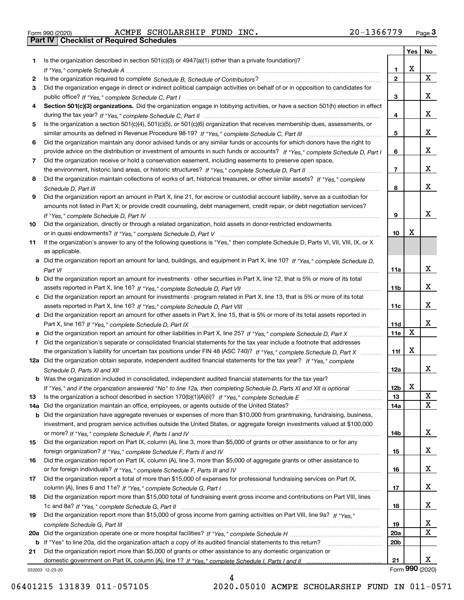|  | Form 990 (2020) |  |
|--|-----------------|--|

Form 990 (2020) ACMPE SCHOLARSHIP FUND INC **.** 2 0-1 3 6 6 7 7 9 <sub>Page</sub> 3<br>**Part IV | Checklist of Required Schedules** 

| Is the organization described in section $501(c)(3)$ or $4947(a)(1)$ (other than a private foundation)?<br>1.<br>X<br>1.<br>$\overline{2}$<br>X<br>2<br>Did the organization engage in direct or indirect political campaign activities on behalf of or in opposition to candidates for<br>3<br>x<br>3<br>Section 501(c)(3) organizations. Did the organization engage in lobbying activities, or have a section 501(h) election in effect<br>4<br>x<br>4<br>Is the organization a section 501(c)(4), 501(c)(5), or 501(c)(6) organization that receives membership dues, assessments, or<br>5<br>x<br>5<br>Did the organization maintain any donor advised funds or any similar funds or accounts for which donors have the right to<br>6<br>x<br>provide advice on the distribution or investment of amounts in such funds or accounts? If "Yes," complete Schedule D, Part I<br>6<br>Did the organization receive or hold a conservation easement, including easements to preserve open space,<br>7<br>x<br>$\overline{7}$<br>Did the organization maintain collections of works of art, historical treasures, or other similar assets? If "Yes," complete<br>8<br>x<br>8<br>Did the organization report an amount in Part X, line 21, for escrow or custodial account liability, serve as a custodian for<br>9<br>amounts not listed in Part X; or provide credit counseling, debt management, credit repair, or debt negotiation services?<br>x<br>9<br>Did the organization, directly or through a related organization, hold assets in donor-restricted endowments<br>10<br>X<br>10<br>If the organization's answer to any of the following questions is "Yes," then complete Schedule D, Parts VI, VIII, VIII, IX, or X<br>11<br>as applicable.<br>a Did the organization report an amount for land, buildings, and equipment in Part X, line 10? If "Yes," complete Schedule D,<br>x<br>11a<br>b Did the organization report an amount for investments - other securities in Part X, line 12, that is 5% or more of its total<br>x<br>11 <sub>b</sub><br>c Did the organization report an amount for investments - program related in Part X, line 13, that is 5% or more of its total<br>x<br>11c<br>d Did the organization report an amount for other assets in Part X, line 15, that is 5% or more of its total assets reported in<br>x<br>11d<br>$\mathbf X$<br>11e<br>e Did the organization report an amount for other liabilities in Part X, line 25? If "Yes," complete Schedule D, Part X<br>Did the organization's separate or consolidated financial statements for the tax year include a footnote that addresses<br>X<br>the organization's liability for uncertain tax positions under FIN 48 (ASC 740)? If "Yes," complete Schedule D, Part X<br>11f<br>12a Did the organization obtain separate, independent audited financial statements for the tax year? If "Yes," complete<br>x<br>12a<br>b Was the organization included in consolidated, independent audited financial statements for the tax year?<br>X<br>If "Yes," and if the organization answered "No" to line 12a, then completing Schedule D, Parts XI and XII is optional metallion<br>12b<br>X<br>13<br>13<br>X<br>Did the organization maintain an office, employees, or agents outside of the United States?<br>14a<br>14a<br><b>b</b> Did the organization have aggregate revenues or expenses of more than \$10,000 from grantmaking, fundraising, business,<br>investment, and program service activities outside the United States, or aggregate foreign investments valued at \$100,000<br>x<br>14b<br>Did the organization report on Part IX, column (A), line 3, more than \$5,000 of grants or other assistance to or for any<br>15<br>x<br>15<br>Did the organization report on Part IX, column (A), line 3, more than \$5,000 of aggregate grants or other assistance to<br>16<br>x<br>16<br>Did the organization report a total of more than \$15,000 of expenses for professional fundraising services on Part IX,<br>17<br>x<br>17<br>Did the organization report more than \$15,000 total of fundraising event gross income and contributions on Part VIII, lines<br>18<br>x<br>18<br>Did the organization report more than \$15,000 of gross income from gaming activities on Part VIII, line 9a? If "Yes."<br>19<br>X,<br>19<br>X<br>20a<br>20 <sub>b</sub><br>b If "Yes" to line 20a, did the organization attach a copy of its audited financial statements to this return?<br>Did the organization report more than \$5,000 of grants or other assistance to any domestic organization or<br>21<br>x<br>21<br>Form 990 (2020)<br>032003 12-23-20 |  | Yes | No |
|---------------------------------------------------------------------------------------------------------------------------------------------------------------------------------------------------------------------------------------------------------------------------------------------------------------------------------------------------------------------------------------------------------------------------------------------------------------------------------------------------------------------------------------------------------------------------------------------------------------------------------------------------------------------------------------------------------------------------------------------------------------------------------------------------------------------------------------------------------------------------------------------------------------------------------------------------------------------------------------------------------------------------------------------------------------------------------------------------------------------------------------------------------------------------------------------------------------------------------------------------------------------------------------------------------------------------------------------------------------------------------------------------------------------------------------------------------------------------------------------------------------------------------------------------------------------------------------------------------------------------------------------------------------------------------------------------------------------------------------------------------------------------------------------------------------------------------------------------------------------------------------------------------------------------------------------------------------------------------------------------------------------------------------------------------------------------------------------------------------------------------------------------------------------------------------------------------------------------------------------------------------------------------------------------------------------------------------------------------------------------------------------------------------------------------------------------------------------------------------------------------------------------------------------------------------------------------------------------------------------------------------------------------------------------------------------------------------------------------------------------------------------------------------------------------------------------------------------------------------------------------------------------------------------------------------------------------------------------------------------------------------------------------------------------------------------------------------------------------------------------------------------------------------------------------------------------------------------------------------------------------------------------------------------------------------------------------------------------------------------------------------------------------------------------------------------------------------------------------------------------------------------------------------------------------------------------------------------------------------------------------------------------------------------------------------------------------------------------------------------------------------------------------------------------------------------------------------------------------------------------------------------------------------------------------------------------------------------------------------------------------------------------------------------------------------------------------------------------------------------------------------------------------------------------------------------------------------------------------------------------------------------------------------------------------------------------------------------------------------------------------------------------------------------------------------------------------------------------------------------------------------------------------------------------------------------------------------------------------------------------------------------------------------|--|-----|----|
|                                                                                                                                                                                                                                                                                                                                                                                                                                                                                                                                                                                                                                                                                                                                                                                                                                                                                                                                                                                                                                                                                                                                                                                                                                                                                                                                                                                                                                                                                                                                                                                                                                                                                                                                                                                                                                                                                                                                                                                                                                                                                                                                                                                                                                                                                                                                                                                                                                                                                                                                                                                                                                                                                                                                                                                                                                                                                                                                                                                                                                                                                                                                                                                                                                                                                                                                                                                                                                                                                                                                                                                                                                                                                                                                                                                                                                                                                                                                                                                                                                                                                                                                                                                                                                                                                                                                                                                                                                                                                                                                                                                                                                                               |  |     |    |
|                                                                                                                                                                                                                                                                                                                                                                                                                                                                                                                                                                                                                                                                                                                                                                                                                                                                                                                                                                                                                                                                                                                                                                                                                                                                                                                                                                                                                                                                                                                                                                                                                                                                                                                                                                                                                                                                                                                                                                                                                                                                                                                                                                                                                                                                                                                                                                                                                                                                                                                                                                                                                                                                                                                                                                                                                                                                                                                                                                                                                                                                                                                                                                                                                                                                                                                                                                                                                                                                                                                                                                                                                                                                                                                                                                                                                                                                                                                                                                                                                                                                                                                                                                                                                                                                                                                                                                                                                                                                                                                                                                                                                                                               |  |     |    |
|                                                                                                                                                                                                                                                                                                                                                                                                                                                                                                                                                                                                                                                                                                                                                                                                                                                                                                                                                                                                                                                                                                                                                                                                                                                                                                                                                                                                                                                                                                                                                                                                                                                                                                                                                                                                                                                                                                                                                                                                                                                                                                                                                                                                                                                                                                                                                                                                                                                                                                                                                                                                                                                                                                                                                                                                                                                                                                                                                                                                                                                                                                                                                                                                                                                                                                                                                                                                                                                                                                                                                                                                                                                                                                                                                                                                                                                                                                                                                                                                                                                                                                                                                                                                                                                                                                                                                                                                                                                                                                                                                                                                                                                               |  |     |    |
|                                                                                                                                                                                                                                                                                                                                                                                                                                                                                                                                                                                                                                                                                                                                                                                                                                                                                                                                                                                                                                                                                                                                                                                                                                                                                                                                                                                                                                                                                                                                                                                                                                                                                                                                                                                                                                                                                                                                                                                                                                                                                                                                                                                                                                                                                                                                                                                                                                                                                                                                                                                                                                                                                                                                                                                                                                                                                                                                                                                                                                                                                                                                                                                                                                                                                                                                                                                                                                                                                                                                                                                                                                                                                                                                                                                                                                                                                                                                                                                                                                                                                                                                                                                                                                                                                                                                                                                                                                                                                                                                                                                                                                                               |  |     |    |
|                                                                                                                                                                                                                                                                                                                                                                                                                                                                                                                                                                                                                                                                                                                                                                                                                                                                                                                                                                                                                                                                                                                                                                                                                                                                                                                                                                                                                                                                                                                                                                                                                                                                                                                                                                                                                                                                                                                                                                                                                                                                                                                                                                                                                                                                                                                                                                                                                                                                                                                                                                                                                                                                                                                                                                                                                                                                                                                                                                                                                                                                                                                                                                                                                                                                                                                                                                                                                                                                                                                                                                                                                                                                                                                                                                                                                                                                                                                                                                                                                                                                                                                                                                                                                                                                                                                                                                                                                                                                                                                                                                                                                                                               |  |     |    |
|                                                                                                                                                                                                                                                                                                                                                                                                                                                                                                                                                                                                                                                                                                                                                                                                                                                                                                                                                                                                                                                                                                                                                                                                                                                                                                                                                                                                                                                                                                                                                                                                                                                                                                                                                                                                                                                                                                                                                                                                                                                                                                                                                                                                                                                                                                                                                                                                                                                                                                                                                                                                                                                                                                                                                                                                                                                                                                                                                                                                                                                                                                                                                                                                                                                                                                                                                                                                                                                                                                                                                                                                                                                                                                                                                                                                                                                                                                                                                                                                                                                                                                                                                                                                                                                                                                                                                                                                                                                                                                                                                                                                                                                               |  |     |    |
|                                                                                                                                                                                                                                                                                                                                                                                                                                                                                                                                                                                                                                                                                                                                                                                                                                                                                                                                                                                                                                                                                                                                                                                                                                                                                                                                                                                                                                                                                                                                                                                                                                                                                                                                                                                                                                                                                                                                                                                                                                                                                                                                                                                                                                                                                                                                                                                                                                                                                                                                                                                                                                                                                                                                                                                                                                                                                                                                                                                                                                                                                                                                                                                                                                                                                                                                                                                                                                                                                                                                                                                                                                                                                                                                                                                                                                                                                                                                                                                                                                                                                                                                                                                                                                                                                                                                                                                                                                                                                                                                                                                                                                                               |  |     |    |
|                                                                                                                                                                                                                                                                                                                                                                                                                                                                                                                                                                                                                                                                                                                                                                                                                                                                                                                                                                                                                                                                                                                                                                                                                                                                                                                                                                                                                                                                                                                                                                                                                                                                                                                                                                                                                                                                                                                                                                                                                                                                                                                                                                                                                                                                                                                                                                                                                                                                                                                                                                                                                                                                                                                                                                                                                                                                                                                                                                                                                                                                                                                                                                                                                                                                                                                                                                                                                                                                                                                                                                                                                                                                                                                                                                                                                                                                                                                                                                                                                                                                                                                                                                                                                                                                                                                                                                                                                                                                                                                                                                                                                                                               |  |     |    |
|                                                                                                                                                                                                                                                                                                                                                                                                                                                                                                                                                                                                                                                                                                                                                                                                                                                                                                                                                                                                                                                                                                                                                                                                                                                                                                                                                                                                                                                                                                                                                                                                                                                                                                                                                                                                                                                                                                                                                                                                                                                                                                                                                                                                                                                                                                                                                                                                                                                                                                                                                                                                                                                                                                                                                                                                                                                                                                                                                                                                                                                                                                                                                                                                                                                                                                                                                                                                                                                                                                                                                                                                                                                                                                                                                                                                                                                                                                                                                                                                                                                                                                                                                                                                                                                                                                                                                                                                                                                                                                                                                                                                                                                               |  |     |    |
|                                                                                                                                                                                                                                                                                                                                                                                                                                                                                                                                                                                                                                                                                                                                                                                                                                                                                                                                                                                                                                                                                                                                                                                                                                                                                                                                                                                                                                                                                                                                                                                                                                                                                                                                                                                                                                                                                                                                                                                                                                                                                                                                                                                                                                                                                                                                                                                                                                                                                                                                                                                                                                                                                                                                                                                                                                                                                                                                                                                                                                                                                                                                                                                                                                                                                                                                                                                                                                                                                                                                                                                                                                                                                                                                                                                                                                                                                                                                                                                                                                                                                                                                                                                                                                                                                                                                                                                                                                                                                                                                                                                                                                                               |  |     |    |
|                                                                                                                                                                                                                                                                                                                                                                                                                                                                                                                                                                                                                                                                                                                                                                                                                                                                                                                                                                                                                                                                                                                                                                                                                                                                                                                                                                                                                                                                                                                                                                                                                                                                                                                                                                                                                                                                                                                                                                                                                                                                                                                                                                                                                                                                                                                                                                                                                                                                                                                                                                                                                                                                                                                                                                                                                                                                                                                                                                                                                                                                                                                                                                                                                                                                                                                                                                                                                                                                                                                                                                                                                                                                                                                                                                                                                                                                                                                                                                                                                                                                                                                                                                                                                                                                                                                                                                                                                                                                                                                                                                                                                                                               |  |     |    |
|                                                                                                                                                                                                                                                                                                                                                                                                                                                                                                                                                                                                                                                                                                                                                                                                                                                                                                                                                                                                                                                                                                                                                                                                                                                                                                                                                                                                                                                                                                                                                                                                                                                                                                                                                                                                                                                                                                                                                                                                                                                                                                                                                                                                                                                                                                                                                                                                                                                                                                                                                                                                                                                                                                                                                                                                                                                                                                                                                                                                                                                                                                                                                                                                                                                                                                                                                                                                                                                                                                                                                                                                                                                                                                                                                                                                                                                                                                                                                                                                                                                                                                                                                                                                                                                                                                                                                                                                                                                                                                                                                                                                                                                               |  |     |    |
|                                                                                                                                                                                                                                                                                                                                                                                                                                                                                                                                                                                                                                                                                                                                                                                                                                                                                                                                                                                                                                                                                                                                                                                                                                                                                                                                                                                                                                                                                                                                                                                                                                                                                                                                                                                                                                                                                                                                                                                                                                                                                                                                                                                                                                                                                                                                                                                                                                                                                                                                                                                                                                                                                                                                                                                                                                                                                                                                                                                                                                                                                                                                                                                                                                                                                                                                                                                                                                                                                                                                                                                                                                                                                                                                                                                                                                                                                                                                                                                                                                                                                                                                                                                                                                                                                                                                                                                                                                                                                                                                                                                                                                                               |  |     |    |
|                                                                                                                                                                                                                                                                                                                                                                                                                                                                                                                                                                                                                                                                                                                                                                                                                                                                                                                                                                                                                                                                                                                                                                                                                                                                                                                                                                                                                                                                                                                                                                                                                                                                                                                                                                                                                                                                                                                                                                                                                                                                                                                                                                                                                                                                                                                                                                                                                                                                                                                                                                                                                                                                                                                                                                                                                                                                                                                                                                                                                                                                                                                                                                                                                                                                                                                                                                                                                                                                                                                                                                                                                                                                                                                                                                                                                                                                                                                                                                                                                                                                                                                                                                                                                                                                                                                                                                                                                                                                                                                                                                                                                                                               |  |     |    |
|                                                                                                                                                                                                                                                                                                                                                                                                                                                                                                                                                                                                                                                                                                                                                                                                                                                                                                                                                                                                                                                                                                                                                                                                                                                                                                                                                                                                                                                                                                                                                                                                                                                                                                                                                                                                                                                                                                                                                                                                                                                                                                                                                                                                                                                                                                                                                                                                                                                                                                                                                                                                                                                                                                                                                                                                                                                                                                                                                                                                                                                                                                                                                                                                                                                                                                                                                                                                                                                                                                                                                                                                                                                                                                                                                                                                                                                                                                                                                                                                                                                                                                                                                                                                                                                                                                                                                                                                                                                                                                                                                                                                                                                               |  |     |    |
|                                                                                                                                                                                                                                                                                                                                                                                                                                                                                                                                                                                                                                                                                                                                                                                                                                                                                                                                                                                                                                                                                                                                                                                                                                                                                                                                                                                                                                                                                                                                                                                                                                                                                                                                                                                                                                                                                                                                                                                                                                                                                                                                                                                                                                                                                                                                                                                                                                                                                                                                                                                                                                                                                                                                                                                                                                                                                                                                                                                                                                                                                                                                                                                                                                                                                                                                                                                                                                                                                                                                                                                                                                                                                                                                                                                                                                                                                                                                                                                                                                                                                                                                                                                                                                                                                                                                                                                                                                                                                                                                                                                                                                                               |  |     |    |
|                                                                                                                                                                                                                                                                                                                                                                                                                                                                                                                                                                                                                                                                                                                                                                                                                                                                                                                                                                                                                                                                                                                                                                                                                                                                                                                                                                                                                                                                                                                                                                                                                                                                                                                                                                                                                                                                                                                                                                                                                                                                                                                                                                                                                                                                                                                                                                                                                                                                                                                                                                                                                                                                                                                                                                                                                                                                                                                                                                                                                                                                                                                                                                                                                                                                                                                                                                                                                                                                                                                                                                                                                                                                                                                                                                                                                                                                                                                                                                                                                                                                                                                                                                                                                                                                                                                                                                                                                                                                                                                                                                                                                                                               |  |     |    |
|                                                                                                                                                                                                                                                                                                                                                                                                                                                                                                                                                                                                                                                                                                                                                                                                                                                                                                                                                                                                                                                                                                                                                                                                                                                                                                                                                                                                                                                                                                                                                                                                                                                                                                                                                                                                                                                                                                                                                                                                                                                                                                                                                                                                                                                                                                                                                                                                                                                                                                                                                                                                                                                                                                                                                                                                                                                                                                                                                                                                                                                                                                                                                                                                                                                                                                                                                                                                                                                                                                                                                                                                                                                                                                                                                                                                                                                                                                                                                                                                                                                                                                                                                                                                                                                                                                                                                                                                                                                                                                                                                                                                                                                               |  |     |    |
|                                                                                                                                                                                                                                                                                                                                                                                                                                                                                                                                                                                                                                                                                                                                                                                                                                                                                                                                                                                                                                                                                                                                                                                                                                                                                                                                                                                                                                                                                                                                                                                                                                                                                                                                                                                                                                                                                                                                                                                                                                                                                                                                                                                                                                                                                                                                                                                                                                                                                                                                                                                                                                                                                                                                                                                                                                                                                                                                                                                                                                                                                                                                                                                                                                                                                                                                                                                                                                                                                                                                                                                                                                                                                                                                                                                                                                                                                                                                                                                                                                                                                                                                                                                                                                                                                                                                                                                                                                                                                                                                                                                                                                                               |  |     |    |
|                                                                                                                                                                                                                                                                                                                                                                                                                                                                                                                                                                                                                                                                                                                                                                                                                                                                                                                                                                                                                                                                                                                                                                                                                                                                                                                                                                                                                                                                                                                                                                                                                                                                                                                                                                                                                                                                                                                                                                                                                                                                                                                                                                                                                                                                                                                                                                                                                                                                                                                                                                                                                                                                                                                                                                                                                                                                                                                                                                                                                                                                                                                                                                                                                                                                                                                                                                                                                                                                                                                                                                                                                                                                                                                                                                                                                                                                                                                                                                                                                                                                                                                                                                                                                                                                                                                                                                                                                                                                                                                                                                                                                                                               |  |     |    |
|                                                                                                                                                                                                                                                                                                                                                                                                                                                                                                                                                                                                                                                                                                                                                                                                                                                                                                                                                                                                                                                                                                                                                                                                                                                                                                                                                                                                                                                                                                                                                                                                                                                                                                                                                                                                                                                                                                                                                                                                                                                                                                                                                                                                                                                                                                                                                                                                                                                                                                                                                                                                                                                                                                                                                                                                                                                                                                                                                                                                                                                                                                                                                                                                                                                                                                                                                                                                                                                                                                                                                                                                                                                                                                                                                                                                                                                                                                                                                                                                                                                                                                                                                                                                                                                                                                                                                                                                                                                                                                                                                                                                                                                               |  |     |    |
|                                                                                                                                                                                                                                                                                                                                                                                                                                                                                                                                                                                                                                                                                                                                                                                                                                                                                                                                                                                                                                                                                                                                                                                                                                                                                                                                                                                                                                                                                                                                                                                                                                                                                                                                                                                                                                                                                                                                                                                                                                                                                                                                                                                                                                                                                                                                                                                                                                                                                                                                                                                                                                                                                                                                                                                                                                                                                                                                                                                                                                                                                                                                                                                                                                                                                                                                                                                                                                                                                                                                                                                                                                                                                                                                                                                                                                                                                                                                                                                                                                                                                                                                                                                                                                                                                                                                                                                                                                                                                                                                                                                                                                                               |  |     |    |
|                                                                                                                                                                                                                                                                                                                                                                                                                                                                                                                                                                                                                                                                                                                                                                                                                                                                                                                                                                                                                                                                                                                                                                                                                                                                                                                                                                                                                                                                                                                                                                                                                                                                                                                                                                                                                                                                                                                                                                                                                                                                                                                                                                                                                                                                                                                                                                                                                                                                                                                                                                                                                                                                                                                                                                                                                                                                                                                                                                                                                                                                                                                                                                                                                                                                                                                                                                                                                                                                                                                                                                                                                                                                                                                                                                                                                                                                                                                                                                                                                                                                                                                                                                                                                                                                                                                                                                                                                                                                                                                                                                                                                                                               |  |     |    |
|                                                                                                                                                                                                                                                                                                                                                                                                                                                                                                                                                                                                                                                                                                                                                                                                                                                                                                                                                                                                                                                                                                                                                                                                                                                                                                                                                                                                                                                                                                                                                                                                                                                                                                                                                                                                                                                                                                                                                                                                                                                                                                                                                                                                                                                                                                                                                                                                                                                                                                                                                                                                                                                                                                                                                                                                                                                                                                                                                                                                                                                                                                                                                                                                                                                                                                                                                                                                                                                                                                                                                                                                                                                                                                                                                                                                                                                                                                                                                                                                                                                                                                                                                                                                                                                                                                                                                                                                                                                                                                                                                                                                                                                               |  |     |    |
|                                                                                                                                                                                                                                                                                                                                                                                                                                                                                                                                                                                                                                                                                                                                                                                                                                                                                                                                                                                                                                                                                                                                                                                                                                                                                                                                                                                                                                                                                                                                                                                                                                                                                                                                                                                                                                                                                                                                                                                                                                                                                                                                                                                                                                                                                                                                                                                                                                                                                                                                                                                                                                                                                                                                                                                                                                                                                                                                                                                                                                                                                                                                                                                                                                                                                                                                                                                                                                                                                                                                                                                                                                                                                                                                                                                                                                                                                                                                                                                                                                                                                                                                                                                                                                                                                                                                                                                                                                                                                                                                                                                                                                                               |  |     |    |
|                                                                                                                                                                                                                                                                                                                                                                                                                                                                                                                                                                                                                                                                                                                                                                                                                                                                                                                                                                                                                                                                                                                                                                                                                                                                                                                                                                                                                                                                                                                                                                                                                                                                                                                                                                                                                                                                                                                                                                                                                                                                                                                                                                                                                                                                                                                                                                                                                                                                                                                                                                                                                                                                                                                                                                                                                                                                                                                                                                                                                                                                                                                                                                                                                                                                                                                                                                                                                                                                                                                                                                                                                                                                                                                                                                                                                                                                                                                                                                                                                                                                                                                                                                                                                                                                                                                                                                                                                                                                                                                                                                                                                                                               |  |     |    |
|                                                                                                                                                                                                                                                                                                                                                                                                                                                                                                                                                                                                                                                                                                                                                                                                                                                                                                                                                                                                                                                                                                                                                                                                                                                                                                                                                                                                                                                                                                                                                                                                                                                                                                                                                                                                                                                                                                                                                                                                                                                                                                                                                                                                                                                                                                                                                                                                                                                                                                                                                                                                                                                                                                                                                                                                                                                                                                                                                                                                                                                                                                                                                                                                                                                                                                                                                                                                                                                                                                                                                                                                                                                                                                                                                                                                                                                                                                                                                                                                                                                                                                                                                                                                                                                                                                                                                                                                                                                                                                                                                                                                                                                               |  |     |    |
|                                                                                                                                                                                                                                                                                                                                                                                                                                                                                                                                                                                                                                                                                                                                                                                                                                                                                                                                                                                                                                                                                                                                                                                                                                                                                                                                                                                                                                                                                                                                                                                                                                                                                                                                                                                                                                                                                                                                                                                                                                                                                                                                                                                                                                                                                                                                                                                                                                                                                                                                                                                                                                                                                                                                                                                                                                                                                                                                                                                                                                                                                                                                                                                                                                                                                                                                                                                                                                                                                                                                                                                                                                                                                                                                                                                                                                                                                                                                                                                                                                                                                                                                                                                                                                                                                                                                                                                                                                                                                                                                                                                                                                                               |  |     |    |
|                                                                                                                                                                                                                                                                                                                                                                                                                                                                                                                                                                                                                                                                                                                                                                                                                                                                                                                                                                                                                                                                                                                                                                                                                                                                                                                                                                                                                                                                                                                                                                                                                                                                                                                                                                                                                                                                                                                                                                                                                                                                                                                                                                                                                                                                                                                                                                                                                                                                                                                                                                                                                                                                                                                                                                                                                                                                                                                                                                                                                                                                                                                                                                                                                                                                                                                                                                                                                                                                                                                                                                                                                                                                                                                                                                                                                                                                                                                                                                                                                                                                                                                                                                                                                                                                                                                                                                                                                                                                                                                                                                                                                                                               |  |     |    |
|                                                                                                                                                                                                                                                                                                                                                                                                                                                                                                                                                                                                                                                                                                                                                                                                                                                                                                                                                                                                                                                                                                                                                                                                                                                                                                                                                                                                                                                                                                                                                                                                                                                                                                                                                                                                                                                                                                                                                                                                                                                                                                                                                                                                                                                                                                                                                                                                                                                                                                                                                                                                                                                                                                                                                                                                                                                                                                                                                                                                                                                                                                                                                                                                                                                                                                                                                                                                                                                                                                                                                                                                                                                                                                                                                                                                                                                                                                                                                                                                                                                                                                                                                                                                                                                                                                                                                                                                                                                                                                                                                                                                                                                               |  |     |    |
|                                                                                                                                                                                                                                                                                                                                                                                                                                                                                                                                                                                                                                                                                                                                                                                                                                                                                                                                                                                                                                                                                                                                                                                                                                                                                                                                                                                                                                                                                                                                                                                                                                                                                                                                                                                                                                                                                                                                                                                                                                                                                                                                                                                                                                                                                                                                                                                                                                                                                                                                                                                                                                                                                                                                                                                                                                                                                                                                                                                                                                                                                                                                                                                                                                                                                                                                                                                                                                                                                                                                                                                                                                                                                                                                                                                                                                                                                                                                                                                                                                                                                                                                                                                                                                                                                                                                                                                                                                                                                                                                                                                                                                                               |  |     |    |
|                                                                                                                                                                                                                                                                                                                                                                                                                                                                                                                                                                                                                                                                                                                                                                                                                                                                                                                                                                                                                                                                                                                                                                                                                                                                                                                                                                                                                                                                                                                                                                                                                                                                                                                                                                                                                                                                                                                                                                                                                                                                                                                                                                                                                                                                                                                                                                                                                                                                                                                                                                                                                                                                                                                                                                                                                                                                                                                                                                                                                                                                                                                                                                                                                                                                                                                                                                                                                                                                                                                                                                                                                                                                                                                                                                                                                                                                                                                                                                                                                                                                                                                                                                                                                                                                                                                                                                                                                                                                                                                                                                                                                                                               |  |     |    |
|                                                                                                                                                                                                                                                                                                                                                                                                                                                                                                                                                                                                                                                                                                                                                                                                                                                                                                                                                                                                                                                                                                                                                                                                                                                                                                                                                                                                                                                                                                                                                                                                                                                                                                                                                                                                                                                                                                                                                                                                                                                                                                                                                                                                                                                                                                                                                                                                                                                                                                                                                                                                                                                                                                                                                                                                                                                                                                                                                                                                                                                                                                                                                                                                                                                                                                                                                                                                                                                                                                                                                                                                                                                                                                                                                                                                                                                                                                                                                                                                                                                                                                                                                                                                                                                                                                                                                                                                                                                                                                                                                                                                                                                               |  |     |    |
|                                                                                                                                                                                                                                                                                                                                                                                                                                                                                                                                                                                                                                                                                                                                                                                                                                                                                                                                                                                                                                                                                                                                                                                                                                                                                                                                                                                                                                                                                                                                                                                                                                                                                                                                                                                                                                                                                                                                                                                                                                                                                                                                                                                                                                                                                                                                                                                                                                                                                                                                                                                                                                                                                                                                                                                                                                                                                                                                                                                                                                                                                                                                                                                                                                                                                                                                                                                                                                                                                                                                                                                                                                                                                                                                                                                                                                                                                                                                                                                                                                                                                                                                                                                                                                                                                                                                                                                                                                                                                                                                                                                                                                                               |  |     |    |
|                                                                                                                                                                                                                                                                                                                                                                                                                                                                                                                                                                                                                                                                                                                                                                                                                                                                                                                                                                                                                                                                                                                                                                                                                                                                                                                                                                                                                                                                                                                                                                                                                                                                                                                                                                                                                                                                                                                                                                                                                                                                                                                                                                                                                                                                                                                                                                                                                                                                                                                                                                                                                                                                                                                                                                                                                                                                                                                                                                                                                                                                                                                                                                                                                                                                                                                                                                                                                                                                                                                                                                                                                                                                                                                                                                                                                                                                                                                                                                                                                                                                                                                                                                                                                                                                                                                                                                                                                                                                                                                                                                                                                                                               |  |     |    |
|                                                                                                                                                                                                                                                                                                                                                                                                                                                                                                                                                                                                                                                                                                                                                                                                                                                                                                                                                                                                                                                                                                                                                                                                                                                                                                                                                                                                                                                                                                                                                                                                                                                                                                                                                                                                                                                                                                                                                                                                                                                                                                                                                                                                                                                                                                                                                                                                                                                                                                                                                                                                                                                                                                                                                                                                                                                                                                                                                                                                                                                                                                                                                                                                                                                                                                                                                                                                                                                                                                                                                                                                                                                                                                                                                                                                                                                                                                                                                                                                                                                                                                                                                                                                                                                                                                                                                                                                                                                                                                                                                                                                                                                               |  |     |    |
|                                                                                                                                                                                                                                                                                                                                                                                                                                                                                                                                                                                                                                                                                                                                                                                                                                                                                                                                                                                                                                                                                                                                                                                                                                                                                                                                                                                                                                                                                                                                                                                                                                                                                                                                                                                                                                                                                                                                                                                                                                                                                                                                                                                                                                                                                                                                                                                                                                                                                                                                                                                                                                                                                                                                                                                                                                                                                                                                                                                                                                                                                                                                                                                                                                                                                                                                                                                                                                                                                                                                                                                                                                                                                                                                                                                                                                                                                                                                                                                                                                                                                                                                                                                                                                                                                                                                                                                                                                                                                                                                                                                                                                                               |  |     |    |
|                                                                                                                                                                                                                                                                                                                                                                                                                                                                                                                                                                                                                                                                                                                                                                                                                                                                                                                                                                                                                                                                                                                                                                                                                                                                                                                                                                                                                                                                                                                                                                                                                                                                                                                                                                                                                                                                                                                                                                                                                                                                                                                                                                                                                                                                                                                                                                                                                                                                                                                                                                                                                                                                                                                                                                                                                                                                                                                                                                                                                                                                                                                                                                                                                                                                                                                                                                                                                                                                                                                                                                                                                                                                                                                                                                                                                                                                                                                                                                                                                                                                                                                                                                                                                                                                                                                                                                                                                                                                                                                                                                                                                                                               |  |     |    |
|                                                                                                                                                                                                                                                                                                                                                                                                                                                                                                                                                                                                                                                                                                                                                                                                                                                                                                                                                                                                                                                                                                                                                                                                                                                                                                                                                                                                                                                                                                                                                                                                                                                                                                                                                                                                                                                                                                                                                                                                                                                                                                                                                                                                                                                                                                                                                                                                                                                                                                                                                                                                                                                                                                                                                                                                                                                                                                                                                                                                                                                                                                                                                                                                                                                                                                                                                                                                                                                                                                                                                                                                                                                                                                                                                                                                                                                                                                                                                                                                                                                                                                                                                                                                                                                                                                                                                                                                                                                                                                                                                                                                                                                               |  |     |    |
|                                                                                                                                                                                                                                                                                                                                                                                                                                                                                                                                                                                                                                                                                                                                                                                                                                                                                                                                                                                                                                                                                                                                                                                                                                                                                                                                                                                                                                                                                                                                                                                                                                                                                                                                                                                                                                                                                                                                                                                                                                                                                                                                                                                                                                                                                                                                                                                                                                                                                                                                                                                                                                                                                                                                                                                                                                                                                                                                                                                                                                                                                                                                                                                                                                                                                                                                                                                                                                                                                                                                                                                                                                                                                                                                                                                                                                                                                                                                                                                                                                                                                                                                                                                                                                                                                                                                                                                                                                                                                                                                                                                                                                                               |  |     |    |
|                                                                                                                                                                                                                                                                                                                                                                                                                                                                                                                                                                                                                                                                                                                                                                                                                                                                                                                                                                                                                                                                                                                                                                                                                                                                                                                                                                                                                                                                                                                                                                                                                                                                                                                                                                                                                                                                                                                                                                                                                                                                                                                                                                                                                                                                                                                                                                                                                                                                                                                                                                                                                                                                                                                                                                                                                                                                                                                                                                                                                                                                                                                                                                                                                                                                                                                                                                                                                                                                                                                                                                                                                                                                                                                                                                                                                                                                                                                                                                                                                                                                                                                                                                                                                                                                                                                                                                                                                                                                                                                                                                                                                                                               |  |     |    |
|                                                                                                                                                                                                                                                                                                                                                                                                                                                                                                                                                                                                                                                                                                                                                                                                                                                                                                                                                                                                                                                                                                                                                                                                                                                                                                                                                                                                                                                                                                                                                                                                                                                                                                                                                                                                                                                                                                                                                                                                                                                                                                                                                                                                                                                                                                                                                                                                                                                                                                                                                                                                                                                                                                                                                                                                                                                                                                                                                                                                                                                                                                                                                                                                                                                                                                                                                                                                                                                                                                                                                                                                                                                                                                                                                                                                                                                                                                                                                                                                                                                                                                                                                                                                                                                                                                                                                                                                                                                                                                                                                                                                                                                               |  |     |    |
|                                                                                                                                                                                                                                                                                                                                                                                                                                                                                                                                                                                                                                                                                                                                                                                                                                                                                                                                                                                                                                                                                                                                                                                                                                                                                                                                                                                                                                                                                                                                                                                                                                                                                                                                                                                                                                                                                                                                                                                                                                                                                                                                                                                                                                                                                                                                                                                                                                                                                                                                                                                                                                                                                                                                                                                                                                                                                                                                                                                                                                                                                                                                                                                                                                                                                                                                                                                                                                                                                                                                                                                                                                                                                                                                                                                                                                                                                                                                                                                                                                                                                                                                                                                                                                                                                                                                                                                                                                                                                                                                                                                                                                                               |  |     |    |
|                                                                                                                                                                                                                                                                                                                                                                                                                                                                                                                                                                                                                                                                                                                                                                                                                                                                                                                                                                                                                                                                                                                                                                                                                                                                                                                                                                                                                                                                                                                                                                                                                                                                                                                                                                                                                                                                                                                                                                                                                                                                                                                                                                                                                                                                                                                                                                                                                                                                                                                                                                                                                                                                                                                                                                                                                                                                                                                                                                                                                                                                                                                                                                                                                                                                                                                                                                                                                                                                                                                                                                                                                                                                                                                                                                                                                                                                                                                                                                                                                                                                                                                                                                                                                                                                                                                                                                                                                                                                                                                                                                                                                                                               |  |     |    |
|                                                                                                                                                                                                                                                                                                                                                                                                                                                                                                                                                                                                                                                                                                                                                                                                                                                                                                                                                                                                                                                                                                                                                                                                                                                                                                                                                                                                                                                                                                                                                                                                                                                                                                                                                                                                                                                                                                                                                                                                                                                                                                                                                                                                                                                                                                                                                                                                                                                                                                                                                                                                                                                                                                                                                                                                                                                                                                                                                                                                                                                                                                                                                                                                                                                                                                                                                                                                                                                                                                                                                                                                                                                                                                                                                                                                                                                                                                                                                                                                                                                                                                                                                                                                                                                                                                                                                                                                                                                                                                                                                                                                                                                               |  |     |    |
|                                                                                                                                                                                                                                                                                                                                                                                                                                                                                                                                                                                                                                                                                                                                                                                                                                                                                                                                                                                                                                                                                                                                                                                                                                                                                                                                                                                                                                                                                                                                                                                                                                                                                                                                                                                                                                                                                                                                                                                                                                                                                                                                                                                                                                                                                                                                                                                                                                                                                                                                                                                                                                                                                                                                                                                                                                                                                                                                                                                                                                                                                                                                                                                                                                                                                                                                                                                                                                                                                                                                                                                                                                                                                                                                                                                                                                                                                                                                                                                                                                                                                                                                                                                                                                                                                                                                                                                                                                                                                                                                                                                                                                                               |  |     |    |
|                                                                                                                                                                                                                                                                                                                                                                                                                                                                                                                                                                                                                                                                                                                                                                                                                                                                                                                                                                                                                                                                                                                                                                                                                                                                                                                                                                                                                                                                                                                                                                                                                                                                                                                                                                                                                                                                                                                                                                                                                                                                                                                                                                                                                                                                                                                                                                                                                                                                                                                                                                                                                                                                                                                                                                                                                                                                                                                                                                                                                                                                                                                                                                                                                                                                                                                                                                                                                                                                                                                                                                                                                                                                                                                                                                                                                                                                                                                                                                                                                                                                                                                                                                                                                                                                                                                                                                                                                                                                                                                                                                                                                                                               |  |     |    |
|                                                                                                                                                                                                                                                                                                                                                                                                                                                                                                                                                                                                                                                                                                                                                                                                                                                                                                                                                                                                                                                                                                                                                                                                                                                                                                                                                                                                                                                                                                                                                                                                                                                                                                                                                                                                                                                                                                                                                                                                                                                                                                                                                                                                                                                                                                                                                                                                                                                                                                                                                                                                                                                                                                                                                                                                                                                                                                                                                                                                                                                                                                                                                                                                                                                                                                                                                                                                                                                                                                                                                                                                                                                                                                                                                                                                                                                                                                                                                                                                                                                                                                                                                                                                                                                                                                                                                                                                                                                                                                                                                                                                                                                               |  |     |    |
|                                                                                                                                                                                                                                                                                                                                                                                                                                                                                                                                                                                                                                                                                                                                                                                                                                                                                                                                                                                                                                                                                                                                                                                                                                                                                                                                                                                                                                                                                                                                                                                                                                                                                                                                                                                                                                                                                                                                                                                                                                                                                                                                                                                                                                                                                                                                                                                                                                                                                                                                                                                                                                                                                                                                                                                                                                                                                                                                                                                                                                                                                                                                                                                                                                                                                                                                                                                                                                                                                                                                                                                                                                                                                                                                                                                                                                                                                                                                                                                                                                                                                                                                                                                                                                                                                                                                                                                                                                                                                                                                                                                                                                                               |  |     |    |
|                                                                                                                                                                                                                                                                                                                                                                                                                                                                                                                                                                                                                                                                                                                                                                                                                                                                                                                                                                                                                                                                                                                                                                                                                                                                                                                                                                                                                                                                                                                                                                                                                                                                                                                                                                                                                                                                                                                                                                                                                                                                                                                                                                                                                                                                                                                                                                                                                                                                                                                                                                                                                                                                                                                                                                                                                                                                                                                                                                                                                                                                                                                                                                                                                                                                                                                                                                                                                                                                                                                                                                                                                                                                                                                                                                                                                                                                                                                                                                                                                                                                                                                                                                                                                                                                                                                                                                                                                                                                                                                                                                                                                                                               |  |     |    |
|                                                                                                                                                                                                                                                                                                                                                                                                                                                                                                                                                                                                                                                                                                                                                                                                                                                                                                                                                                                                                                                                                                                                                                                                                                                                                                                                                                                                                                                                                                                                                                                                                                                                                                                                                                                                                                                                                                                                                                                                                                                                                                                                                                                                                                                                                                                                                                                                                                                                                                                                                                                                                                                                                                                                                                                                                                                                                                                                                                                                                                                                                                                                                                                                                                                                                                                                                                                                                                                                                                                                                                                                                                                                                                                                                                                                                                                                                                                                                                                                                                                                                                                                                                                                                                                                                                                                                                                                                                                                                                                                                                                                                                                               |  |     |    |
|                                                                                                                                                                                                                                                                                                                                                                                                                                                                                                                                                                                                                                                                                                                                                                                                                                                                                                                                                                                                                                                                                                                                                                                                                                                                                                                                                                                                                                                                                                                                                                                                                                                                                                                                                                                                                                                                                                                                                                                                                                                                                                                                                                                                                                                                                                                                                                                                                                                                                                                                                                                                                                                                                                                                                                                                                                                                                                                                                                                                                                                                                                                                                                                                                                                                                                                                                                                                                                                                                                                                                                                                                                                                                                                                                                                                                                                                                                                                                                                                                                                                                                                                                                                                                                                                                                                                                                                                                                                                                                                                                                                                                                                               |  |     |    |

032003 12-23-20

4 06401215 131839 011-057105 2020.05010 ACMPE SCHOLARSHIP FUND IN 011-0571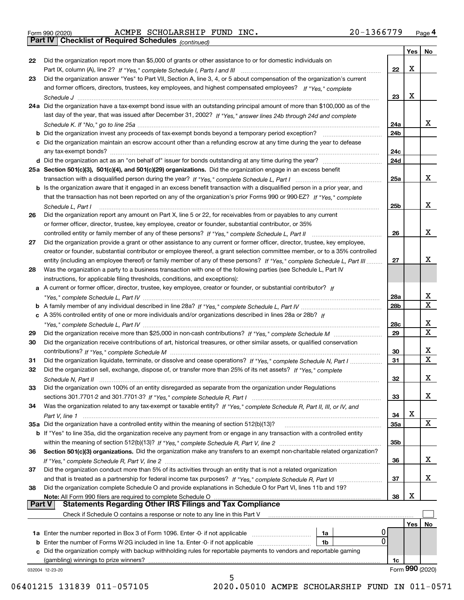|  | Form 990 (2020) |
|--|-----------------|
|  |                 |

Form 990 (2020) ACMPE SCHOLARSHIP FUND INC **.** 2 0-1 3 6 6 7 7 9 <sub>Page</sub> 4<br>**Part IV | Checklist of Required Schedules** <sub>(continued)</sub>

*(continued)*

|               |                                                                                                                                                                                              |     | Yes | No                           |
|---------------|----------------------------------------------------------------------------------------------------------------------------------------------------------------------------------------------|-----|-----|------------------------------|
| 22            | Did the organization report more than \$5,000 of grants or other assistance to or for domestic individuals on                                                                                |     |     |                              |
|               |                                                                                                                                                                                              | 22  | х   |                              |
| 23            | Did the organization answer "Yes" to Part VII, Section A, line 3, 4, or 5 about compensation of the organization's current                                                                   |     |     |                              |
|               | and former officers, directors, trustees, key employees, and highest compensated employees? If "Yes," complete                                                                               |     |     |                              |
|               |                                                                                                                                                                                              | 23  | х   |                              |
|               | 24a Did the organization have a tax-exempt bond issue with an outstanding principal amount of more than \$100,000 as of the                                                                  |     |     |                              |
|               | last day of the year, that was issued after December 31, 2002? If "Yes," answer lines 24b through 24d and complete                                                                           |     |     |                              |
|               |                                                                                                                                                                                              | 24a |     | X.                           |
|               | b Did the organization invest any proceeds of tax-exempt bonds beyond a temporary period exception?                                                                                          | 24b |     |                              |
|               | c Did the organization maintain an escrow account other than a refunding escrow at any time during the year to defease                                                                       |     |     |                              |
|               | any tax-exempt bonds?                                                                                                                                                                        | 24c |     |                              |
|               | d Did the organization act as an "on behalf of" issuer for bonds outstanding at any time during the year?                                                                                    | 24d |     |                              |
|               | 25a Section 501(c)(3), 501(c)(4), and 501(c)(29) organizations. Did the organization engage in an excess benefit                                                                             |     |     |                              |
|               |                                                                                                                                                                                              | 25a |     | X.                           |
|               |                                                                                                                                                                                              |     |     |                              |
|               | b Is the organization aware that it engaged in an excess benefit transaction with a disqualified person in a prior year, and                                                                 |     |     |                              |
|               | that the transaction has not been reported on any of the organization's prior Forms 990 or 990-EZ? If "Yes." complete                                                                        |     |     | X.                           |
|               | Schedule L, Part I                                                                                                                                                                           | 25b |     |                              |
| 26            | Did the organization report any amount on Part X, line 5 or 22, for receivables from or payables to any current                                                                              |     |     |                              |
|               | or former officer, director, trustee, key employee, creator or founder, substantial contributor, or 35%                                                                                      |     |     | x                            |
|               |                                                                                                                                                                                              | 26  |     |                              |
| 27            | Did the organization provide a grant or other assistance to any current or former officer, director, trustee, key employee,                                                                  |     |     |                              |
|               | creator or founder, substantial contributor or employee thereof, a grant selection committee member, or to a 35% controlled                                                                  |     |     | x                            |
|               | entity (including an employee thereof) or family member of any of these persons? If "Yes," complete Schedule L, Part III                                                                     | 27  |     |                              |
| 28            | Was the organization a party to a business transaction with one of the following parties (see Schedule L, Part IV                                                                            |     |     |                              |
|               | instructions, for applicable filing thresholds, conditions, and exceptions):                                                                                                                 |     |     |                              |
|               | a A current or former officer, director, trustee, key employee, creator or founder, or substantial contributor? If                                                                           |     |     |                              |
|               |                                                                                                                                                                                              | 28a |     | x<br>X                       |
|               |                                                                                                                                                                                              | 28b |     |                              |
|               | c A 35% controlled entity of one or more individuals and/or organizations described in lines 28a or 28b? If                                                                                  |     |     |                              |
|               |                                                                                                                                                                                              | 28c |     | x<br>$\overline{\mathbf{x}}$ |
| 29            |                                                                                                                                                                                              | 29  |     |                              |
| 30            | Did the organization receive contributions of art, historical treasures, or other similar assets, or qualified conservation                                                                  |     |     |                              |
|               |                                                                                                                                                                                              | 30  |     | x<br>$\overline{\mathbf{x}}$ |
| 31            | Did the organization liquidate, terminate, or dissolve and cease operations? If "Yes," complete Schedule N, Part I                                                                           | 31  |     |                              |
| 32            | Did the organization sell, exchange, dispose of, or transfer more than 25% of its net assets? If "Yes," complete                                                                             |     |     |                              |
|               |                                                                                                                                                                                              | 32  |     | x                            |
| 33            | Did the organization own 100% of an entity disregarded as separate from the organization under Regulations                                                                                   |     |     |                              |
|               |                                                                                                                                                                                              | 33  |     | X                            |
| 34            | Was the organization related to any tax-exempt or taxable entity? If "Yes," complete Schedule R, Part II, III, or IV, and                                                                    |     |     |                              |
|               |                                                                                                                                                                                              | 34  | X   |                              |
|               | 35a Did the organization have a controlled entity within the meaning of section 512(b)(13)?                                                                                                  | 35a |     | X                            |
|               | b If "Yes" to line 35a, did the organization receive any payment from or engage in any transaction with a controlled entity                                                                  |     |     |                              |
|               |                                                                                                                                                                                              | 35b |     |                              |
| 36            | Section 501(c)(3) organizations. Did the organization make any transfers to an exempt non-charitable related organization?                                                                   |     |     |                              |
|               |                                                                                                                                                                                              | 36  |     | x                            |
| 37            | Did the organization conduct more than 5% of its activities through an entity that is not a related organization                                                                             |     |     |                              |
|               | and that is treated as a partnership for federal income tax purposes? If "Yes," complete Schedule R, Part VI                                                                                 | 37  |     | x                            |
| 38            | Did the organization complete Schedule O and provide explanations in Schedule O for Part VI, lines 11b and 19?                                                                               |     |     |                              |
| <b>Part V</b> | Note: All Form 990 filers are required to complete Schedule O<br><b>Statements Regarding Other IRS Filings and Tax Compliance</b>                                                            | 38  | х   |                              |
|               |                                                                                                                                                                                              |     |     |                              |
|               | Check if Schedule O contains a response or note to any line in this Part V                                                                                                                   |     |     |                              |
|               | U                                                                                                                                                                                            |     | Yes | No                           |
|               | 1a Enter the number reported in Box 3 of Form 1096. Enter -0- if not applicable<br>1a<br>0<br><b>b</b> Enter the number of Forms W-2G included in line 1a. Enter -0- if not applicable<br>1b |     |     |                              |
|               | c Did the organization comply with backup withholding rules for reportable payments to vendors and reportable gaming                                                                         |     |     |                              |
|               | (gambling) winnings to prize winners?                                                                                                                                                        | 1c  |     |                              |
|               | 032004 12-23-20                                                                                                                                                                              |     |     | Form 990 (2020)              |
|               | 5                                                                                                                                                                                            |     |     |                              |

06401215 131839 011-057105 2020.05010 ACMPE SCHOLARSHIP FUND IN 011-0571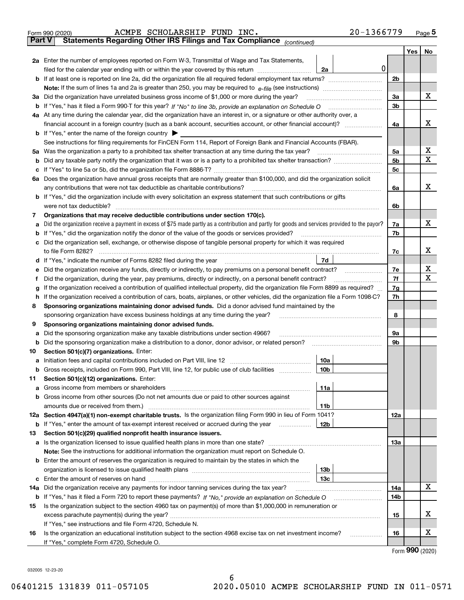| Form 990 (2020) |  | ACMPE SCHOLARSHIP FUND INC.                                                                    |  | 20-1366779 | Page $5$ |
|-----------------|--|------------------------------------------------------------------------------------------------|--|------------|----------|
|                 |  | <b>Part V</b> Statements Regarding Other IRS Filings and Tax Compliance <sub>(continued)</sub> |  |            |          |

| Part V | Statements Regarding Other IRS Fillings and Tax Compilance $_{(continued)}$                                                                           |          |     |        |  |  |  |
|--------|-------------------------------------------------------------------------------------------------------------------------------------------------------|----------|-----|--------|--|--|--|
|        |                                                                                                                                                       |          | Yes | No     |  |  |  |
|        | 2a Enter the number of employees reported on Form W-3, Transmittal of Wage and Tax Statements,                                                        |          |     |        |  |  |  |
|        | filed for the calendar year ending with or within the year covered by this return<br>2a                                                               | 0        |     |        |  |  |  |
|        |                                                                                                                                                       | 2b       |     |        |  |  |  |
|        |                                                                                                                                                       |          |     |        |  |  |  |
|        | 3a Did the organization have unrelated business gross income of \$1,000 or more during the year?                                                      | За       |     | х      |  |  |  |
|        | b If "Yes," has it filed a Form 990-T for this year? If "No" to line 3b, provide an explanation on Schedule O                                         | 3b       |     |        |  |  |  |
|        | 4a At any time during the calendar year, did the organization have an interest in, or a signature or other authority over, a                          |          |     |        |  |  |  |
|        |                                                                                                                                                       | 4a       |     | x      |  |  |  |
|        | <b>b</b> If "Yes," enter the name of the foreign country                                                                                              |          |     |        |  |  |  |
|        | See instructions for filing requirements for FinCEN Form 114, Report of Foreign Bank and Financial Accounts (FBAR).                                   |          |     |        |  |  |  |
|        | 5a Was the organization a party to a prohibited tax shelter transaction at any time during the tax year?                                              | 5a<br>5b |     | х<br>Χ |  |  |  |
|        |                                                                                                                                                       |          |     |        |  |  |  |
|        |                                                                                                                                                       | 5c       |     |        |  |  |  |
|        | 6a Does the organization have annual gross receipts that are normally greater than \$100,000, and did the organization solicit                        |          |     |        |  |  |  |
|        | any contributions that were not tax deductible as charitable contributions?                                                                           | 6a       |     | x      |  |  |  |
|        | <b>b</b> If "Yes," did the organization include with every solicitation an express statement that such contributions or gifts                         |          |     |        |  |  |  |
|        | were not tax deductible?                                                                                                                              | 6b       |     |        |  |  |  |
| 7      | Organizations that may receive deductible contributions under section 170(c).                                                                         |          |     |        |  |  |  |
| а      | Did the organization receive a payment in excess of \$75 made partly as a contribution and partly for goods and services provided to the payor?       | 7a       |     | х      |  |  |  |
| b      | If "Yes," did the organization notify the donor of the value of the goods or services provided?                                                       | 7b       |     |        |  |  |  |
|        | c Did the organization sell, exchange, or otherwise dispose of tangible personal property for which it was required                                   |          |     |        |  |  |  |
|        | to file Form 8282?                                                                                                                                    | 7c       |     | х      |  |  |  |
|        | 7d<br>d If "Yes," indicate the number of Forms 8282 filed during the year                                                                             |          |     | х      |  |  |  |
| е      | Did the organization receive any funds, directly or indirectly, to pay premiums on a personal benefit contract?                                       | 7e       |     | х      |  |  |  |
| f      | Did the organization, during the year, pay premiums, directly or indirectly, on a personal benefit contract?                                          | 7f<br>7g |     |        |  |  |  |
|        | If the organization received a contribution of qualified intellectual property, did the organization file Form 8899 as required?<br>g                 |          |     |        |  |  |  |
|        | If the organization received a contribution of cars, boats, airplanes, or other vehicles, did the organization file a Form 1098-C?<br>h               |          |     |        |  |  |  |
|        | Sponsoring organizations maintaining donor advised funds. Did a donor advised fund maintained by the<br>8                                             |          |     |        |  |  |  |
|        | sponsoring organization have excess business holdings at any time during the year?                                                                    | 8        |     |        |  |  |  |
| 9      | Sponsoring organizations maintaining donor advised funds.                                                                                             | 9а       |     |        |  |  |  |
| а      | Did the sponsoring organization make any taxable distributions under section 4966?                                                                    | 9b       |     |        |  |  |  |
|        | <b>b</b> Did the sponsoring organization make a distribution to a donor, donor advisor, or related person?<br>Section 501(c)(7) organizations. Enter: |          |     |        |  |  |  |
| 10     | Initiation fees and capital contributions included on Part VIII, line 12<br>10a                                                                       |          |     |        |  |  |  |
| а      | b Gross receipts, included on Form 990, Part VIII, line 12, for public use of club facilities<br>10 <sub>b</sub>                                      |          |     |        |  |  |  |
| 11.    |                                                                                                                                                       |          |     |        |  |  |  |
|        | Section 501(c)(12) organizations. Enter:<br>11a                                                                                                       |          |     |        |  |  |  |
|        | <b>b</b> Gross income from other sources (Do not net amounts due or paid to other sources against                                                     |          |     |        |  |  |  |
|        | 11b                                                                                                                                                   |          |     |        |  |  |  |
|        | 12a Section 4947(a)(1) non-exempt charitable trusts. Is the organization filing Form 990 in lieu of Form 1041?                                        | 12a      |     |        |  |  |  |
|        | 12b<br><b>b</b> If "Yes," enter the amount of tax-exempt interest received or accrued during the year                                                 |          |     |        |  |  |  |
| 13     | Section 501(c)(29) qualified nonprofit health insurance issuers.                                                                                      |          |     |        |  |  |  |
|        | a Is the organization licensed to issue qualified health plans in more than one state?                                                                | 13a      |     |        |  |  |  |
|        | Note: See the instructions for additional information the organization must report on Schedule O.                                                     |          |     |        |  |  |  |
|        | <b>b</b> Enter the amount of reserves the organization is required to maintain by the states in which the                                             |          |     |        |  |  |  |
|        | 13 <sub>b</sub>                                                                                                                                       |          |     |        |  |  |  |
|        | 13с                                                                                                                                                   |          |     |        |  |  |  |
|        | 14a Did the organization receive any payments for indoor tanning services during the tax year?                                                        | 14a      |     | x      |  |  |  |
|        |                                                                                                                                                       | 14b      |     |        |  |  |  |
| 15     | Is the organization subject to the section 4960 tax on payment(s) of more than \$1,000,000 in remuneration or                                         |          |     |        |  |  |  |
|        |                                                                                                                                                       | 15       |     | х      |  |  |  |
|        | If "Yes," see instructions and file Form 4720, Schedule N.                                                                                            |          |     |        |  |  |  |
| 16     | Is the organization an educational institution subject to the section 4968 excise tax on net investment income?                                       | 16       |     | х      |  |  |  |
|        | If "Yes," complete Form 4720, Schedule O.                                                                                                             |          |     |        |  |  |  |
|        |                                                                                                                                                       |          |     |        |  |  |  |

Form (2020) **990**

032005 12-23-20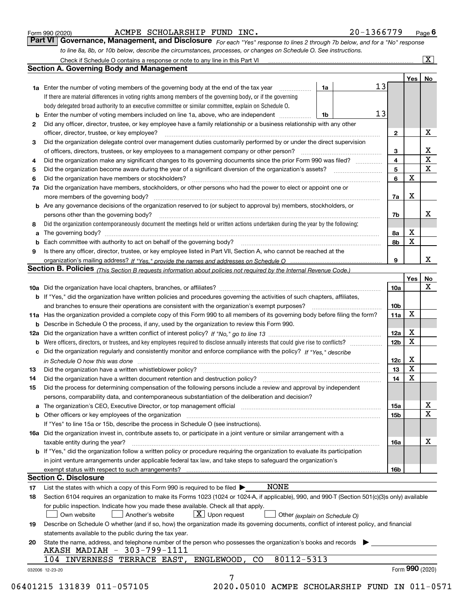|  | Form 990 (2020) |
|--|-----------------|
|  |                 |

| Form 990 (2020) | ACMPE SCHOLARSHIP FUND INC. |  | 20-1366779                                                                                                                    | $P_{\text{aqe}}$ 6 |
|-----------------|-----------------------------|--|-------------------------------------------------------------------------------------------------------------------------------|--------------------|
|                 |                             |  | Part VI   Governance, Management, and Disclosure For each "Yes" response to lines 2 through 7b below, and for a "No" response |                    |
|                 |                             |  | to line 8a, 8b, or 10b below, describe the circumstances, processes, or changes on Schedule O. See instructions.              |                    |

|    |                                                                                                                                                                                                                                |    |    |                 | Yes   No    |                              |
|----|--------------------------------------------------------------------------------------------------------------------------------------------------------------------------------------------------------------------------------|----|----|-----------------|-------------|------------------------------|
|    | <b>1a</b> Enter the number of voting members of the governing body at the end of the tax year <i>manumum</i>                                                                                                                   | 1a | 13 |                 |             |                              |
|    | If there are material differences in voting rights among members of the governing body, or if the governing                                                                                                                    |    |    |                 |             |                              |
|    | body delegated broad authority to an executive committee or similar committee, explain on Schedule O.                                                                                                                          |    | 13 |                 |             |                              |
| b  | Enter the number of voting members included on line 1a, above, who are independent <i>manumum</i>                                                                                                                              | 1b |    |                 |             |                              |
| 2  | Did any officer, director, trustee, or key employee have a family relationship or a business relationship with any other                                                                                                       |    |    |                 |             |                              |
|    | officer, director, trustee, or key employee?                                                                                                                                                                                   |    |    | $\mathbf{2}$    |             | Х                            |
| 3  | Did the organization delegate control over management duties customarily performed by or under the direct supervision                                                                                                          |    |    |                 |             |                              |
|    |                                                                                                                                                                                                                                |    |    | 3               |             | X<br>$\overline{\mathbf{x}}$ |
| 4  | Did the organization make any significant changes to its governing documents since the prior Form 990 was filed?                                                                                                               |    |    | 4               |             |                              |
| 5  |                                                                                                                                                                                                                                |    |    | 5               | $\mathbf X$ | $\mathbf{x}$                 |
| 6  | Did the organization have members or stockholders?                                                                                                                                                                             |    |    | 6               |             |                              |
| 7а | Did the organization have members, stockholders, or other persons who had the power to elect or appoint one or                                                                                                                 |    |    |                 |             |                              |
|    |                                                                                                                                                                                                                                |    |    | 7a              | Х           |                              |
|    | <b>b</b> Are any governance decisions of the organization reserved to (or subject to approval by) members, stockholders, or                                                                                                    |    |    |                 |             |                              |
|    | persons other than the governing body?                                                                                                                                                                                         |    |    | 7b              |             | х                            |
| 8  | Did the organization contemporaneously document the meetings held or written actions undertaken during the year by the following:                                                                                              |    |    |                 |             |                              |
| a  |                                                                                                                                                                                                                                |    |    | 8а              | X           |                              |
| b  | Each committee with authority to act on behalf of the governing body? [10] manufacture manufacture with authority to act on behalf of the governing body? [10] manufacture with authority of the state with an interval and th |    |    | 8b              | X           |                              |
| 9  | Is there any officer, director, trustee, or key employee listed in Part VII, Section A, who cannot be reached at the                                                                                                           |    |    |                 |             |                              |
|    |                                                                                                                                                                                                                                |    |    | 9               |             | x                            |
|    | <b>Section B. Policies</b> (This Section B requests information about policies not required by the Internal Revenue Code.)                                                                                                     |    |    |                 |             |                              |
|    |                                                                                                                                                                                                                                |    |    |                 | Yes         | <b>No</b>                    |
|    |                                                                                                                                                                                                                                |    |    | 10a             |             | X                            |
|    | <b>b</b> If "Yes," did the organization have written policies and procedures governing the activities of such chapters, affiliates,                                                                                            |    |    |                 |             |                              |
|    |                                                                                                                                                                                                                                |    |    | 10 <sub>b</sub> |             |                              |
|    | 11a Has the organization provided a complete copy of this Form 990 to all members of its governing body before filing the form?                                                                                                |    |    | 11a             | $\mathbf X$ |                              |
|    | <b>b</b> Describe in Schedule O the process, if any, used by the organization to review this Form 990.                                                                                                                         |    |    |                 |             |                              |
|    |                                                                                                                                                                                                                                |    |    | 12a             | X           |                              |
| b  |                                                                                                                                                                                                                                |    |    | 12 <sub>b</sub> | X           |                              |
| c  | Did the organization regularly and consistently monitor and enforce compliance with the policy? If "Yes," describe                                                                                                             |    |    |                 |             |                              |
|    | in Schedule O how this was done measured and contain an account of the state of the state of the state of the                                                                                                                  |    |    | 12c             | X           |                              |
| 13 |                                                                                                                                                                                                                                |    |    | 13              | X           |                              |
| 14 |                                                                                                                                                                                                                                |    |    | 14              | $\mathbf X$ |                              |
| 15 | Did the process for determining compensation of the following persons include a review and approval by independent                                                                                                             |    |    |                 |             |                              |
|    | persons, comparability data, and contemporaneous substantiation of the deliberation and decision?                                                                                                                              |    |    |                 |             |                              |
| а  | The organization's CEO, Executive Director, or top management official manufactured content content of the organization's CEO, Executive Director, or top management official                                                  |    |    | 15a             |             | х                            |
|    |                                                                                                                                                                                                                                |    |    | 15b             |             | X                            |
|    | If "Yes" to line 15a or 15b, describe the process in Schedule O (see instructions).                                                                                                                                            |    |    |                 |             |                              |
|    | 16a Did the organization invest in, contribute assets to, or participate in a joint venture or similar arrangement with a                                                                                                      |    |    |                 |             |                              |
|    | taxable entity during the year?                                                                                                                                                                                                |    |    | 16a             |             | х                            |
|    | b If "Yes," did the organization follow a written policy or procedure requiring the organization to evaluate its participation                                                                                                 |    |    |                 |             |                              |
|    | in joint venture arrangements under applicable federal tax law, and take steps to safeguard the organization's                                                                                                                 |    |    |                 |             |                              |
|    | exempt status with respect to such arrangements?                                                                                                                                                                               |    |    | <b>16b</b>      |             |                              |
|    | <b>Section C. Disclosure</b>                                                                                                                                                                                                   |    |    |                 |             |                              |
| 17 | <b>NONE</b><br>List the states with which a copy of this Form 990 is required to be filed $\blacktriangleright$                                                                                                                |    |    |                 |             |                              |
| 18 | Section 6104 requires an organization to make its Forms 1023 (1024 or 1024-A, if applicable), 990, and 990-T (Section 501(c)(3)s only) available                                                                               |    |    |                 |             |                              |
|    | for public inspection. Indicate how you made these available. Check all that apply.                                                                                                                                            |    |    |                 |             |                              |
|    | $X$ Upon request<br>Another's website<br>Own website<br>Other (explain on Schedule O)                                                                                                                                          |    |    |                 |             |                              |
| 19 | Describe on Schedule O whether (and if so, how) the organization made its governing documents, conflict of interest policy, and financial                                                                                      |    |    |                 |             |                              |
|    | statements available to the public during the tax year.                                                                                                                                                                        |    |    |                 |             |                              |
| 20 | State the name, address, and telephone number of the person who possesses the organization's books and records                                                                                                                 |    |    |                 |             |                              |
|    | AKASH MADIAH - 303-799-1111<br>80112-5313<br>104 INVERNESS TERRACE EAST, ENGLEWOOD, CO                                                                                                                                         |    |    |                 |             |                              |
|    |                                                                                                                                                                                                                                |    |    |                 |             |                              |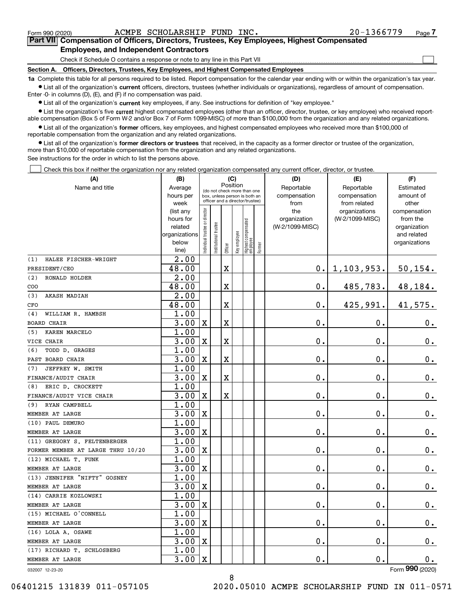$\mathcal{L}^{\text{max}}$ 

**7Part VII Compensation of Officers, Directors, Trustees, Key Employees, Highest Compensated Employees, and Independent Contractors**

Check if Schedule O contains a response or note to any line in this Part VII

**Section A. Officers, Directors, Trustees, Key Employees, and Highest Compensated Employees**

**1a**  Complete this table for all persons required to be listed. Report compensation for the calendar year ending with or within the organization's tax year. **•** List all of the organization's current officers, directors, trustees (whether individuals or organizations), regardless of amount of compensation.

Enter -0- in columns (D), (E), and (F) if no compensation was paid.

 $\bullet$  List all of the organization's  $\,$ current key employees, if any. See instructions for definition of "key employee."

**•** List the organization's five current highest compensated employees (other than an officer, director, trustee, or key employee) who received reportable compensation (Box 5 of Form W-2 and/or Box 7 of Form 1099-MISC) of more than \$100,000 from the organization and any related organizations.

**•** List all of the organization's former officers, key employees, and highest compensated employees who received more than \$100,000 of reportable compensation from the organization and any related organizations.

**former directors or trustees**  ¥ List all of the organization's that received, in the capacity as a former director or trustee of the organization, more than \$10,000 of reportable compensation from the organization and any related organizations.

See instructions for the order in which to list the persons above.

Check this box if neither the organization nor any related organization compensated any current officer, director, or trustee.  $\mathcal{L}^{\text{max}}$ 

| (A)                               | (B)                  |                               |                                                                  | (C)                   |              |                                 |        | (D)                             | (E)             | (F)                      |
|-----------------------------------|----------------------|-------------------------------|------------------------------------------------------------------|-----------------------|--------------|---------------------------------|--------|---------------------------------|-----------------|--------------------------|
| Name and title                    | Average              |                               | (do not check more than one                                      |                       | Position     |                                 |        | Reportable                      | Reportable      | Estimated                |
|                                   | hours per            |                               | box, unless person is both an<br>officer and a director/trustee) |                       |              |                                 |        | compensation                    | compensation    | amount of                |
|                                   | week                 |                               |                                                                  |                       |              |                                 |        | from                            | from related    | other                    |
|                                   | (list any            |                               |                                                                  |                       |              |                                 |        | the                             | organizations   | compensation<br>from the |
|                                   | hours for<br>related |                               |                                                                  |                       |              |                                 |        | organization<br>(W-2/1099-MISC) | (W-2/1099-MISC) | organization             |
|                                   | organizations        |                               |                                                                  |                       |              |                                 |        |                                 |                 | and related              |
|                                   | below                | ndividual trustee or director | nstitutional trustee                                             |                       | key employee |                                 |        |                                 |                 | organizations            |
|                                   | line)                |                               |                                                                  | Officer               |              | Highest compensated<br>employee | Former |                                 |                 |                          |
| HALEE FISCHER-WRIGHT<br>(1)       | 2.00                 |                               |                                                                  |                       |              |                                 |        |                                 |                 |                          |
| PRESIDENT/CEO                     | 48.00                |                               |                                                                  | $\mathbf X$           |              |                                 |        | 0.                              | 1, 103, 953.    | 50, 154.                 |
| RONALD HOLDER<br>(2)              | 2.00                 |                               |                                                                  |                       |              |                                 |        |                                 |                 |                          |
| COO                               | 48.00                |                               |                                                                  | Χ                     |              |                                 |        | 0.                              | 485,783.        | 48, 184.                 |
| (3)<br>AKASH MADIAH               | 2.00                 |                               |                                                                  |                       |              |                                 |        |                                 |                 |                          |
| CFO                               | 48.00                |                               |                                                                  | X                     |              |                                 |        | $\mathbf 0$ .                   | 425,991.        | 41,575.                  |
| WILLIAM R. HAMBSH<br>(4)          | 1.00                 |                               |                                                                  |                       |              |                                 |        |                                 |                 |                          |
| <b>BOARD CHAIR</b>                | 3.00                 | X                             |                                                                  | Χ                     |              |                                 |        | 0.                              | 0.              | 0.                       |
| KAREN MARCELO<br>(5)              | 1.00                 |                               |                                                                  |                       |              |                                 |        |                                 |                 |                          |
| VICE CHAIR                        | 3.00                 | X                             |                                                                  | X                     |              |                                 |        | $\mathbf 0$ .                   | 0.              | $0_{.}$                  |
| (6)<br>TODD D. GRAGES             | $\overline{1.00}$    |                               |                                                                  |                       |              |                                 |        |                                 |                 |                          |
| PAST BOARD CHAIR                  | 3.00                 | X                             |                                                                  | X                     |              |                                 |        | $\mathbf 0$ .                   | 0.              | 0.                       |
| JEFFREY W. SMITH<br>(7)           | 1.00                 |                               |                                                                  |                       |              |                                 |        |                                 |                 |                          |
| FINANCE/AUDIT CHAIR               | 3.00                 | $\mathbf X$                   |                                                                  | X                     |              |                                 |        | 0.                              | 0.              | $\mathbf 0$ .            |
| ERIC D. CROCKETT<br>(8)           | 1.00                 |                               |                                                                  |                       |              |                                 |        |                                 |                 |                          |
| FINANCE/AUDIT VICE CHAIR          | 3.00                 | X                             |                                                                  | $\overline{\text{X}}$ |              |                                 |        | $\mathbf 0$ .                   | 0.              | $\mathbf 0$ .            |
| RYAN CAMPBELL<br>(9)              | 1.00                 |                               |                                                                  |                       |              |                                 |        |                                 |                 |                          |
| MEMBER AT LARGE                   | 3.00                 | $\mathbf X$                   |                                                                  |                       |              |                                 |        | $\mathbf 0$ .                   | 0.              | $0_{.}$                  |
| (10) PAUL DEMURO                  | 1.00                 |                               |                                                                  |                       |              |                                 |        |                                 |                 |                          |
| MEMBER AT LARGE                   | 3.00                 | Χ                             |                                                                  |                       |              |                                 |        | $\mathbf 0$ .                   | 0.              | 0.                       |
| (11) GREGORY S. FELTENBERGER      | 1.<br>0 <sub>0</sub> |                               |                                                                  |                       |              |                                 |        |                                 |                 |                          |
| FORMER MEMBER AT LARGE THRU 10/20 | 3.00                 | X                             |                                                                  |                       |              |                                 |        | $\mathbf 0$ .                   | 0.              | 0.                       |
| (12) MICHAEL T. FUNK              | 1.00                 |                               |                                                                  |                       |              |                                 |        |                                 |                 |                          |
| MEMBER AT LARGE                   | 3.00                 | X                             |                                                                  |                       |              |                                 |        | 0.                              | 0.              | $\mathbf 0$ .            |
| (13) JENNIFER "NIFTY" GOSNEY      | 1.00                 |                               |                                                                  |                       |              |                                 |        |                                 |                 |                          |
| MEMBER AT LARGE                   | 3.00                 | X                             |                                                                  |                       |              |                                 |        | $\mathbf 0$ .                   | $\mathbf 0$ .   | 0.                       |
| (14) CARRIE KOZLOWSKI             | 1.00                 |                               |                                                                  |                       |              |                                 |        |                                 |                 |                          |
| MEMBER AT LARGE                   | 3.00                 | X                             |                                                                  |                       |              |                                 |        | 0.                              | $\mathbf 0$ .   | $\mathbf 0$ .            |
| (15) MICHAEL O'CONNELL            | 1.00                 |                               |                                                                  |                       |              |                                 |        |                                 |                 |                          |
| MEMBER AT LARGE                   | 3.00                 | X                             |                                                                  |                       |              |                                 |        | $\mathbf 0$ .                   | 0.              | $0$ .                    |
| (16) LOLA A. OSAWE                | 1.00                 |                               |                                                                  |                       |              |                                 |        |                                 |                 |                          |
| MEMBER AT LARGE                   | 3.00                 | X                             |                                                                  |                       |              |                                 |        | $\mathbf 0$ .                   | 0.              | 0.                       |
| (17) RICHARD T. SCHLOSBERG        | 1.00                 |                               |                                                                  |                       |              |                                 |        |                                 |                 |                          |
| MEMBER AT LARGE                   | 3.00                 | $\mathbf X$                   |                                                                  |                       |              |                                 |        | $\mathbf{0}$ .                  | 0.              | $\mathbf 0$ .            |

032007 12-23-20

Form (2020) **990**

8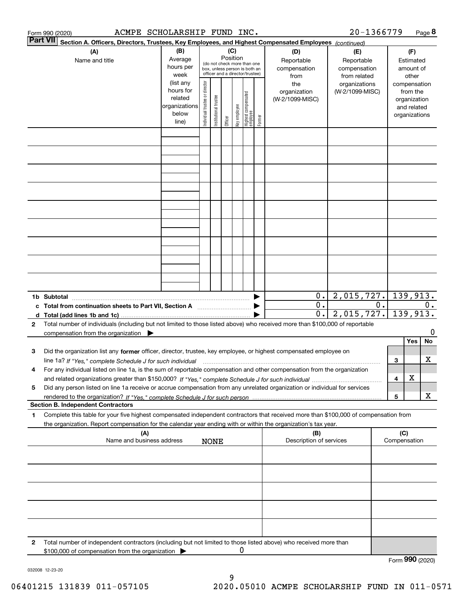|   | ACMPE SCHOLARSHIP FUND INC.<br>Form 990 (2020)                                                                                                                                                                                                                         |                                                                      |                                |                        |                 |              |                                                                                                 |        |                                           | 20-1366779                                        |                  |                     | Page 8                                                                   |
|---|------------------------------------------------------------------------------------------------------------------------------------------------------------------------------------------------------------------------------------------------------------------------|----------------------------------------------------------------------|--------------------------------|------------------------|-----------------|--------------|-------------------------------------------------------------------------------------------------|--------|-------------------------------------------|---------------------------------------------------|------------------|---------------------|--------------------------------------------------------------------------|
|   | Part VII <br>Section A. Officers, Directors, Trustees, Key Employees, and Highest Compensated Employees (continued)                                                                                                                                                    |                                                                      |                                |                        |                 |              |                                                                                                 |        |                                           |                                                   |                  |                     |                                                                          |
|   | (A)<br>Name and title                                                                                                                                                                                                                                                  | (B)<br>Average<br>hours per<br>week                                  |                                |                        | (C)<br>Position |              | (do not check more than one<br>box, unless person is both an<br>officer and a director/trustee) |        | (D)<br>Reportable<br>compensation<br>from | (E)<br>Reportable<br>compensation<br>from related |                  |                     | (F)<br>Estimated<br>amount of<br>other                                   |
|   |                                                                                                                                                                                                                                                                        | (list any<br>hours for<br>related<br>organizations<br>below<br>line) | Individual trustee or director | In stitutional trustee | Officer         | key employee | Highest compensated<br>employee                                                                 | Former | the<br>organization<br>(W-2/1099-MISC)    | organizations<br>(W-2/1099-MISC)                  |                  |                     | compensation<br>from the<br>organization<br>and related<br>organizations |
|   |                                                                                                                                                                                                                                                                        |                                                                      |                                |                        |                 |              |                                                                                                 |        |                                           |                                                   |                  |                     |                                                                          |
|   |                                                                                                                                                                                                                                                                        |                                                                      |                                |                        |                 |              |                                                                                                 |        |                                           |                                                   |                  |                     |                                                                          |
|   |                                                                                                                                                                                                                                                                        |                                                                      |                                |                        |                 |              |                                                                                                 |        |                                           |                                                   |                  |                     |                                                                          |
|   |                                                                                                                                                                                                                                                                        |                                                                      |                                |                        |                 |              |                                                                                                 |        |                                           |                                                   |                  |                     |                                                                          |
|   |                                                                                                                                                                                                                                                                        |                                                                      |                                |                        |                 |              |                                                                                                 |        |                                           |                                                   |                  |                     |                                                                          |
|   |                                                                                                                                                                                                                                                                        |                                                                      |                                |                        |                 |              |                                                                                                 |        |                                           |                                                   |                  |                     |                                                                          |
|   |                                                                                                                                                                                                                                                                        |                                                                      |                                |                        |                 |              |                                                                                                 |        |                                           |                                                   |                  |                     |                                                                          |
|   | 1b Subtotal                                                                                                                                                                                                                                                            |                                                                      |                                |                        |                 |              |                                                                                                 |        | 0.1                                       | 2,015,727.                                        |                  |                     | 139,913.                                                                 |
|   | c Total from continuation sheets to Part VII, Section A                                                                                                                                                                                                                |                                                                      |                                |                        |                 |              |                                                                                                 |        | $\overline{0}$ .<br>$\overline{0}$ .      | 2,015,727.                                        | $\overline{0}$ . |                     | 0.<br>139,913.                                                           |
| 2 | Total number of individuals (including but not limited to those listed above) who received more than \$100,000 of reportable<br>compensation from the organization                                                                                                     |                                                                      |                                |                        |                 |              |                                                                                                 |        |                                           |                                                   |                  |                     | 0                                                                        |
| з | Did the organization list any former officer, director, trustee, key employee, or highest compensated employee on                                                                                                                                                      |                                                                      |                                |                        |                 |              |                                                                                                 |        |                                           |                                                   |                  |                     | No<br>Yes                                                                |
| 4 | line 1a? If "Yes," complete Schedule J for such individual matches contained and the 1a? If "Yes," complete Schedule J for such individual<br>For any individual listed on line 1a, is the sum of reportable compensation and other compensation from the organization |                                                                      |                                |                        |                 |              |                                                                                                 |        |                                           |                                                   |                  | 3                   | х                                                                        |
| 5 | Did any person listed on line 1a receive or accrue compensation from any unrelated organization or individual for services                                                                                                                                             |                                                                      |                                |                        |                 |              |                                                                                                 |        |                                           |                                                   |                  | 4                   | X                                                                        |
|   | <b>Section B. Independent Contractors</b>                                                                                                                                                                                                                              |                                                                      |                                |                        |                 |              |                                                                                                 |        |                                           |                                                   |                  | 5                   | х                                                                        |
| 1 | Complete this table for your five highest compensated independent contractors that received more than \$100,000 of compensation from<br>the organization. Report compensation for the calendar year ending with or within the organization's tax year.                 |                                                                      |                                |                        |                 |              |                                                                                                 |        |                                           |                                                   |                  |                     |                                                                          |
|   | (A)<br>Name and business address                                                                                                                                                                                                                                       |                                                                      |                                | <b>NONE</b>            |                 |              |                                                                                                 |        | (B)<br>Description of services            |                                                   |                  | (C)<br>Compensation |                                                                          |
|   |                                                                                                                                                                                                                                                                        |                                                                      |                                |                        |                 |              |                                                                                                 |        |                                           |                                                   |                  |                     |                                                                          |
|   |                                                                                                                                                                                                                                                                        |                                                                      |                                |                        |                 |              |                                                                                                 |        |                                           |                                                   |                  |                     |                                                                          |
|   |                                                                                                                                                                                                                                                                        |                                                                      |                                |                        |                 |              |                                                                                                 |        |                                           |                                                   |                  |                     |                                                                          |
|   |                                                                                                                                                                                                                                                                        |                                                                      |                                |                        |                 |              |                                                                                                 |        |                                           |                                                   |                  |                     |                                                                          |
| 2 | Total number of independent contractors (including but not limited to those listed above) who received more than                                                                                                                                                       |                                                                      |                                |                        |                 |              |                                                                                                 |        |                                           |                                                   |                  |                     |                                                                          |
|   | \$100,000 of compensation from the organization                                                                                                                                                                                                                        |                                                                      |                                |                        |                 | 0            |                                                                                                 |        |                                           |                                                   |                  |                     | Form 990 (2020)                                                          |

032008 12-23-20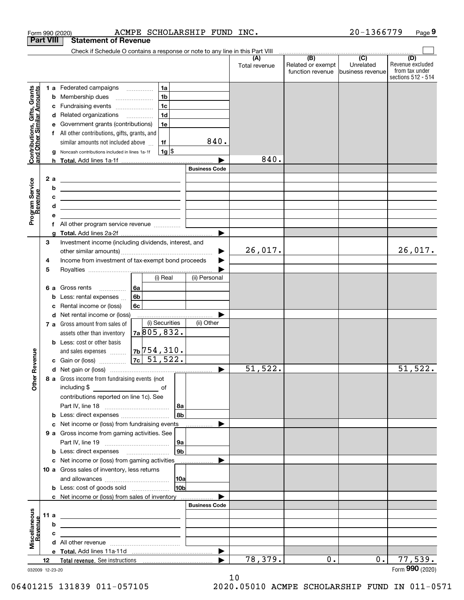|                                                           |                  | Form 990 (2020)                                                                                                                                                                     | ACMPE SCHOLARSHIP FUND INC.                            |                      |                      |                                                     | 20-1366779                    | Page 9                                                          |
|-----------------------------------------------------------|------------------|-------------------------------------------------------------------------------------------------------------------------------------------------------------------------------------|--------------------------------------------------------|----------------------|----------------------|-----------------------------------------------------|-------------------------------|-----------------------------------------------------------------|
|                                                           | <b>Part VIII</b> | <b>Statement of Revenue</b>                                                                                                                                                         |                                                        |                      |                      |                                                     |                               |                                                                 |
|                                                           |                  | Check if Schedule O contains a response or note to any line in this Part VIII                                                                                                       |                                                        |                      |                      | $\overline{(\mathsf{B})}$ $\overline{(\mathsf{C})}$ |                               |                                                                 |
|                                                           |                  |                                                                                                                                                                                     |                                                        |                      | (A)<br>Total revenue | Related or exempt<br>function revenue               | Unrelated<br>business revenue | (D)<br>Revenue excluded<br>from tax under<br>sections 512 - 514 |
|                                                           |                  | 1 a Federated campaigns                                                                                                                                                             | 1a                                                     |                      |                      |                                                     |                               |                                                                 |
| Contributions, Gifts, Grants<br>and Other Similar Amounts | b                | Membership dues                                                                                                                                                                     | 1 <sub>b</sub><br>$\ldots \ldots \ldots \ldots \ldots$ |                      |                      |                                                     |                               |                                                                 |
|                                                           | с                | Fundraising events                                                                                                                                                                  | 1 <sub>c</sub>                                         |                      |                      |                                                     |                               |                                                                 |
|                                                           | d                | Related organizations <i>mimiming</i>                                                                                                                                               | 1 <sub>d</sub>                                         |                      |                      |                                                     |                               |                                                                 |
|                                                           | е                | Government grants (contributions)                                                                                                                                                   | 1e                                                     |                      |                      |                                                     |                               |                                                                 |
|                                                           | f                | All other contributions, gifts, grants, and                                                                                                                                         |                                                        |                      |                      |                                                     |                               |                                                                 |
|                                                           |                  | similar amounts not included above                                                                                                                                                  | 1f                                                     | 840.                 |                      |                                                     |                               |                                                                 |
|                                                           | g                | Noncash contributions included in lines 1a-1f                                                                                                                                       | $1g$ \$                                                |                      |                      |                                                     |                               |                                                                 |
|                                                           |                  |                                                                                                                                                                                     |                                                        |                      | 840.                 |                                                     |                               |                                                                 |
|                                                           |                  |                                                                                                                                                                                     |                                                        | <b>Business Code</b> |                      |                                                     |                               |                                                                 |
|                                                           | 2a<br>b          | <u>experience</u> and the contract of the contract of the contract of the contract of                                                                                               |                                                        |                      |                      |                                                     |                               |                                                                 |
|                                                           | с                | <u> 1989 - Johann Stein, mars an deus an deus Amerikaanse komme van de Fryske komme van de Fryske komme van de Fr</u>                                                               |                                                        |                      |                      |                                                     |                               |                                                                 |
|                                                           | d                | <u> Alexandria de la contrada de la contrada de la contrada de la contrada de la contrada de la contrada de la c</u><br><u> 1989 - Johann Stein, mars an de Brazilian (b. 1989)</u> |                                                        |                      |                      |                                                     |                               |                                                                 |
| Program Service<br>Revenue                                | е                |                                                                                                                                                                                     |                                                        |                      |                      |                                                     |                               |                                                                 |
|                                                           | f                |                                                                                                                                                                                     |                                                        |                      |                      |                                                     |                               |                                                                 |
|                                                           | g                |                                                                                                                                                                                     |                                                        |                      |                      |                                                     |                               |                                                                 |
|                                                           | 3                | Investment income (including dividends, interest, and                                                                                                                               |                                                        |                      |                      |                                                     |                               |                                                                 |
|                                                           |                  |                                                                                                                                                                                     |                                                        |                      | 26,017.              |                                                     |                               | 26,017.                                                         |
|                                                           | 4                | Income from investment of tax-exempt bond proceeds                                                                                                                                  |                                                        |                      |                      |                                                     |                               |                                                                 |
|                                                           | 5                |                                                                                                                                                                                     |                                                        |                      |                      |                                                     |                               |                                                                 |
|                                                           |                  |                                                                                                                                                                                     | (i) Real                                               | (ii) Personal        |                      |                                                     |                               |                                                                 |
|                                                           | 6а               | Gross rents                                                                                                                                                                         | 6a                                                     |                      |                      |                                                     |                               |                                                                 |
|                                                           | b                | Less: rental expenses                                                                                                                                                               | 6b                                                     |                      |                      |                                                     |                               |                                                                 |
|                                                           | c                | Rental income or (loss)<br>d Net rental income or (loss)                                                                                                                            | 6c                                                     |                      |                      |                                                     |                               |                                                                 |
|                                                           |                  | 7 a Gross amount from sales of                                                                                                                                                      | (i) Securities                                         | (ii) Other           |                      |                                                     |                               |                                                                 |
|                                                           |                  | assets other than inventory                                                                                                                                                         | 7a 805, 832.                                           |                      |                      |                                                     |                               |                                                                 |
|                                                           |                  | <b>b</b> Less: cost or other basis                                                                                                                                                  |                                                        |                      |                      |                                                     |                               |                                                                 |
|                                                           |                  | and sales expenses                                                                                                                                                                  | 7b/754,310.                                            |                      |                      |                                                     |                               |                                                                 |
| evenue                                                    |                  | c Gain or (loss)                                                                                                                                                                    | 7c   51, 522.                                          |                      |                      |                                                     |                               |                                                                 |
|                                                           |                  |                                                                                                                                                                                     |                                                        |                      | 51, 522.             |                                                     |                               | 51,522.                                                         |
| Other <sub>R</sub>                                        |                  | 8 a Gross income from fundraising events (not                                                                                                                                       |                                                        |                      |                      |                                                     |                               |                                                                 |
|                                                           |                  |                                                                                                                                                                                     |                                                        |                      |                      |                                                     |                               |                                                                 |
|                                                           |                  | contributions reported on line 1c). See                                                                                                                                             |                                                        |                      |                      |                                                     |                               |                                                                 |
|                                                           |                  |                                                                                                                                                                                     | 8a                                                     |                      |                      |                                                     |                               |                                                                 |
|                                                           |                  | <b>b</b> Less: direct expenses <i>manually contained</i>                                                                                                                            | 8b                                                     |                      |                      |                                                     |                               |                                                                 |
|                                                           |                  | c Net income or (loss) from fundraising events                                                                                                                                      |                                                        |                      |                      |                                                     |                               |                                                                 |
|                                                           |                  | 9 a Gross income from gaming activities. See                                                                                                                                        |                                                        |                      |                      |                                                     |                               |                                                                 |
|                                                           |                  |                                                                                                                                                                                     | 9a<br>9 <sub>b</sub>                                   |                      |                      |                                                     |                               |                                                                 |
|                                                           |                  | c Net income or (loss) from gaming activities _______________                                                                                                                       |                                                        |                      |                      |                                                     |                               |                                                                 |
|                                                           |                  | 10 a Gross sales of inventory, less returns                                                                                                                                         |                                                        |                      |                      |                                                     |                               |                                                                 |
|                                                           |                  |                                                                                                                                                                                     |                                                        |                      |                      |                                                     |                               |                                                                 |
|                                                           |                  |                                                                                                                                                                                     | 10b                                                    |                      |                      |                                                     |                               |                                                                 |
|                                                           |                  | c Net income or (loss) from sales of inventory                                                                                                                                      |                                                        |                      |                      |                                                     |                               |                                                                 |
|                                                           |                  |                                                                                                                                                                                     |                                                        | <b>Business Code</b> |                      |                                                     |                               |                                                                 |
|                                                           | 11 a             | <u> 1989 - Johann John Stein, fransk politik (d. 1989)</u>                                                                                                                          |                                                        |                      |                      |                                                     |                               |                                                                 |
|                                                           | b                | <u> 1989 - Andrea Stadt Britain, amerikansk politiker (</u>                                                                                                                         |                                                        |                      |                      |                                                     |                               |                                                                 |
|                                                           | c                |                                                                                                                                                                                     |                                                        |                      |                      |                                                     |                               |                                                                 |
| Miscellaneous<br>Revenue                                  |                  |                                                                                                                                                                                     |                                                        |                      |                      |                                                     |                               |                                                                 |
|                                                           |                  |                                                                                                                                                                                     |                                                        |                      | 78,379.              | 0.                                                  | $0$ .                         | 77,539.                                                         |
|                                                           | 12               |                                                                                                                                                                                     |                                                        |                      |                      |                                                     |                               |                                                                 |

10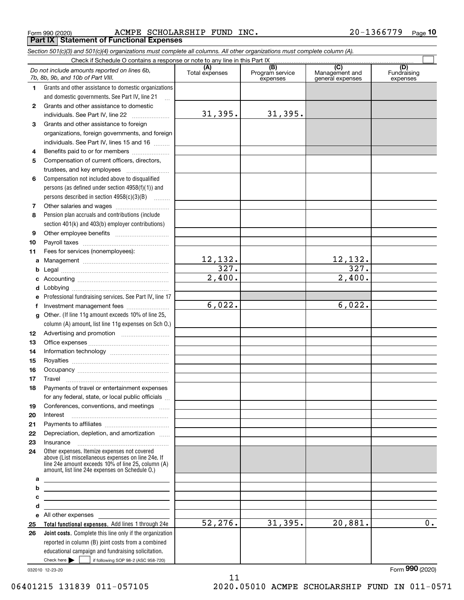Form 990 (2020) ACMPE SCHOLARSHIP FUND INC .  $20-1366779$  Page **Part IX Statement of Functional Expenses**

*Section 501(c)(3) and 501(c)(4) organizations must complete all columns. All other organizations must complete column (A).*

|              | Do not include amounts reported on lines 6b,<br>7b, 8b, 9b, and 10b of Part VIII.                                                                                                                          | (A)<br>Total expenses  | (B)<br>Program service<br>expenses | $\overline{C}$<br>Management and<br>general expenses | (D)<br>Fundraising<br>expenses |
|--------------|------------------------------------------------------------------------------------------------------------------------------------------------------------------------------------------------------------|------------------------|------------------------------------|------------------------------------------------------|--------------------------------|
| 1.           | Grants and other assistance to domestic organizations                                                                                                                                                      |                        |                                    |                                                      |                                |
|              | and domestic governments. See Part IV, line 21<br>$\ddotsc$                                                                                                                                                |                        |                                    |                                                      |                                |
| $\mathbf{2}$ | Grants and other assistance to domestic                                                                                                                                                                    |                        |                                    |                                                      |                                |
|              | individuals. See Part IV, line 22                                                                                                                                                                          | 31,395.                | 31,395.                            |                                                      |                                |
| 3            | Grants and other assistance to foreign                                                                                                                                                                     |                        |                                    |                                                      |                                |
|              | organizations, foreign governments, and foreign                                                                                                                                                            |                        |                                    |                                                      |                                |
|              | individuals. See Part IV, lines 15 and 16                                                                                                                                                                  |                        |                                    |                                                      |                                |
| 4            | Benefits paid to or for members                                                                                                                                                                            |                        |                                    |                                                      |                                |
| 5            | Compensation of current officers, directors,                                                                                                                                                               |                        |                                    |                                                      |                                |
|              | trustees, and key employees                                                                                                                                                                                |                        |                                    |                                                      |                                |
| 6            | Compensation not included above to disqualified                                                                                                                                                            |                        |                                    |                                                      |                                |
|              | persons (as defined under section $4958(f)(1)$ ) and                                                                                                                                                       |                        |                                    |                                                      |                                |
|              | persons described in section 4958(c)(3)(B)                                                                                                                                                                 |                        |                                    |                                                      |                                |
| 7            |                                                                                                                                                                                                            |                        |                                    |                                                      |                                |
| 8            | Pension plan accruals and contributions (include                                                                                                                                                           |                        |                                    |                                                      |                                |
|              | section 401(k) and 403(b) employer contributions)                                                                                                                                                          |                        |                                    |                                                      |                                |
| 9            |                                                                                                                                                                                                            |                        |                                    |                                                      |                                |
| 10           |                                                                                                                                                                                                            |                        |                                    |                                                      |                                |
| 11           | Fees for services (nonemployees):                                                                                                                                                                          |                        |                                    |                                                      |                                |
| a            |                                                                                                                                                                                                            | $\frac{12,132.}{327.}$ |                                    | $\frac{12,132.}{327.}$                               |                                |
| b            |                                                                                                                                                                                                            |                        |                                    |                                                      |                                |
| c            |                                                                                                                                                                                                            | 2,400.                 |                                    | $\overline{2,400}$ .                                 |                                |
| d            |                                                                                                                                                                                                            |                        |                                    |                                                      |                                |
| е            | Professional fundraising services. See Part IV, line 17                                                                                                                                                    |                        |                                    |                                                      |                                |
| f            | Investment management fees                                                                                                                                                                                 | 6,022.                 |                                    | 6,022.                                               |                                |
| g            | Other. (If line 11g amount exceeds 10% of line 25,                                                                                                                                                         |                        |                                    |                                                      |                                |
|              | column (A) amount, list line 11g expenses on Sch O.)                                                                                                                                                       |                        |                                    |                                                      |                                |
| 12           |                                                                                                                                                                                                            |                        |                                    |                                                      |                                |
| 13           |                                                                                                                                                                                                            |                        |                                    |                                                      |                                |
| 14           |                                                                                                                                                                                                            |                        |                                    |                                                      |                                |
| 15           |                                                                                                                                                                                                            |                        |                                    |                                                      |                                |
| 16           |                                                                                                                                                                                                            |                        |                                    |                                                      |                                |
| 17           | Travel                                                                                                                                                                                                     |                        |                                    |                                                      |                                |
| 18           | Payments of travel or entertainment expenses                                                                                                                                                               |                        |                                    |                                                      |                                |
|              | for any federal, state, or local public officials                                                                                                                                                          |                        |                                    |                                                      |                                |
| 19           | Conferences, conventions, and meetings                                                                                                                                                                     |                        |                                    |                                                      |                                |
| 20           | Interest                                                                                                                                                                                                   |                        |                                    |                                                      |                                |
| 21           |                                                                                                                                                                                                            |                        |                                    |                                                      |                                |
| 22           | Depreciation, depletion, and amortization                                                                                                                                                                  |                        |                                    |                                                      |                                |
| 23           |                                                                                                                                                                                                            |                        |                                    |                                                      |                                |
| 24           | Other expenses. Itemize expenses not covered<br>above (List miscellaneous expenses on line 24e. If<br>line 24e amount exceeds 10% of line 25, column (A)<br>amount, list line 24e expenses on Schedule 0.) |                        |                                    |                                                      |                                |
| а            | <u> 1989 - Johann Barn, amerikansk politiker (d. 1989)</u>                                                                                                                                                 |                        |                                    |                                                      |                                |
| b            | <u> 1989 - Johann Stein, marwolaethau a bhann an t-Amhair an t-Amhair an t-Amhair an t-Amhair an t-Amhair an t-A</u>                                                                                       |                        |                                    |                                                      |                                |
| с            | <u> 1989 - Johann Stein, marwolaethau a bhann an t-Amhainn an t-Amhainn an t-Amhainn an t-Amhainn an t-Amhainn an</u>                                                                                      |                        |                                    |                                                      |                                |
| d            | <u> 1989 - Johann Stein, mars an deus an deus Amerikaansk kommunister (</u>                                                                                                                                |                        |                                    |                                                      |                                |
| е            | All other expenses and the state of the state of the state of the state of the state of the state of the state                                                                                             | 52, 276.               | 31,395.                            | 20,881.                                              | $\overline{0}$ .               |
| 25           | Total functional expenses. Add lines 1 through 24e                                                                                                                                                         |                        |                                    |                                                      |                                |
| 26           | Joint costs. Complete this line only if the organization                                                                                                                                                   |                        |                                    |                                                      |                                |
|              | reported in column (B) joint costs from a combined<br>educational campaign and fundraising solicitation.                                                                                                   |                        |                                    |                                                      |                                |
|              | Check here         if following SOP 98-2 (ASC 958-720)                                                                                                                                                     |                        |                                    |                                                      |                                |
|              |                                                                                                                                                                                                            |                        |                                    |                                                      |                                |

032010 12-23-20

11 06401215 131839 011-057105 2020.05010 ACMPE SCHOLARSHIP FUND IN 011-0571

Form (2020) **990**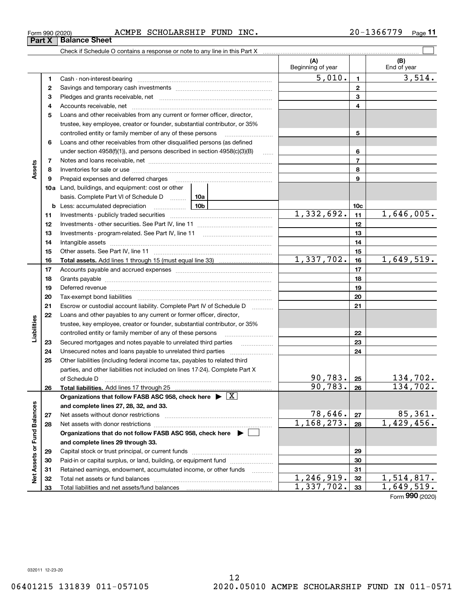| 366770<br>SCHOLARSHIP<br>INC.<br><b>FUND</b><br>ACMPE<br>Form 990 (2020)<br>. ס ס כ | Page |
|-------------------------------------------------------------------------------------|------|
|-------------------------------------------------------------------------------------|------|

|                             |    |                                                                                                                                                              |  | (A)<br>Beginning of year |                 | (B)<br>End of year |
|-----------------------------|----|--------------------------------------------------------------------------------------------------------------------------------------------------------------|--|--------------------------|-----------------|--------------------|
|                             | 1  |                                                                                                                                                              |  | 5,010.                   | $\mathbf{1}$    | 3,514.             |
|                             | 2  |                                                                                                                                                              |  |                          | $\mathbf{2}$    |                    |
|                             | 3  |                                                                                                                                                              |  |                          | 3               |                    |
|                             | 4  |                                                                                                                                                              |  |                          | 4               |                    |
|                             | 5  | Loans and other receivables from any current or former officer, director,                                                                                    |  |                          |                 |                    |
|                             |    | trustee, key employee, creator or founder, substantial contributor, or 35%                                                                                   |  |                          |                 |                    |
|                             |    | controlled entity or family member of any of these persons                                                                                                   |  |                          | 5               |                    |
|                             | 6  | Loans and other receivables from other disqualified persons (as defined                                                                                      |  |                          |                 |                    |
|                             |    | under section $4958(f)(1)$ , and persons described in section $4958(c)(3)(B)$                                                                                |  |                          | 6               |                    |
|                             | 7  |                                                                                                                                                              |  | $\overline{7}$           |                 |                    |
| Assets                      | 8  |                                                                                                                                                              |  |                          | 8               |                    |
|                             | 9  |                                                                                                                                                              |  |                          | 9               |                    |
|                             |    | <b>10a</b> Land, buildings, and equipment: cost or other                                                                                                     |  |                          |                 |                    |
|                             |    | basis. Complete Part VI of Schedule D  10a                                                                                                                   |  |                          |                 |                    |
|                             |    | $\begin{array}{c} \begin{array}{c} \end{array}$ $\begin{array}{c} \end{array}$ $\begin{array}{c} \end{array}$ 10b<br><b>b</b> Less: accumulated depreciation |  |                          | 10 <sub>c</sub> |                    |
|                             | 11 |                                                                                                                                                              |  | 1,332,692.               | 11              | 1,646,005.         |
|                             | 12 |                                                                                                                                                              |  |                          | 12              |                    |
|                             | 13 |                                                                                                                                                              |  |                          | 13              |                    |
|                             | 14 |                                                                                                                                                              |  |                          | 14              |                    |
|                             | 15 |                                                                                                                                                              |  |                          | 15              |                    |
|                             | 16 |                                                                                                                                                              |  | 1,337,702.               | 16              | 1,649,519.         |
|                             | 17 |                                                                                                                                                              |  |                          | 17              |                    |
|                             | 18 |                                                                                                                                                              |  | 18                       |                 |                    |
|                             | 19 |                                                                                                                                                              |  |                          | 19              |                    |
|                             | 20 |                                                                                                                                                              |  |                          | 20              |                    |
|                             | 21 | Escrow or custodial account liability. Complete Part IV of Schedule D                                                                                        |  |                          | 21              |                    |
|                             | 22 | Loans and other payables to any current or former officer, director,                                                                                         |  |                          |                 |                    |
| Liabilities                 |    | trustee, key employee, creator or founder, substantial contributor, or 35%                                                                                   |  |                          |                 |                    |
|                             |    | controlled entity or family member of any of these persons                                                                                                   |  |                          | 22              |                    |
|                             | 23 | Secured mortgages and notes payable to unrelated third parties                                                                                               |  |                          | 23              |                    |
|                             | 24 | Unsecured notes and loans payable to unrelated third parties                                                                                                 |  |                          | 24              |                    |
|                             | 25 | Other liabilities (including federal income tax, payables to related third                                                                                   |  |                          |                 |                    |
|                             |    | parties, and other liabilities not included on lines 17-24). Complete Part X                                                                                 |  |                          |                 |                    |
|                             |    |                                                                                                                                                              |  | $90, 783.$ 25            |                 | 134,702.           |
|                             | 26 | Total liabilities. Add lines 17 through 25                                                                                                                   |  | 90, 783.                 | 26              | 134,702.           |
|                             |    | Organizations that follow FASB ASC 958, check here $\blacktriangleright \lfloor X \rfloor$                                                                   |  |                          |                 |                    |
|                             |    | and complete lines 27, 28, 32, and 33.                                                                                                                       |  |                          |                 |                    |
|                             | 27 |                                                                                                                                                              |  | 78,646.                  | 27              | 85,361.            |
|                             | 28 |                                                                                                                                                              |  | 1, 168, 273.             | 28              | 1,429,456.         |
|                             |    | Organizations that do not follow FASB ASC 958, check here ▶ □                                                                                                |  |                          |                 |                    |
|                             |    | and complete lines 29 through 33.                                                                                                                            |  |                          |                 |                    |
|                             | 29 |                                                                                                                                                              |  |                          | 29              |                    |
|                             | 30 | Paid-in or capital surplus, or land, building, or equipment fund                                                                                             |  |                          | 30              |                    |
| Net Assets or Fund Balances | 31 | Retained earnings, endowment, accumulated income, or other funds                                                                                             |  |                          | 31              |                    |
|                             | 32 |                                                                                                                                                              |  | 1,246,919.               | 32              | 1,514,817.         |
|                             | 33 |                                                                                                                                                              |  | 1,337,702.               | 33              | 1,649,519.         |

Form (2020) **990**

**Part X Balance Sheet**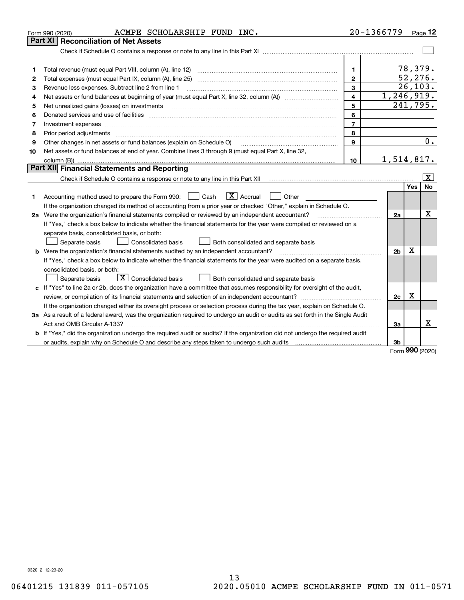|    | ACMPE SCHOLARSHIP FUND INC.<br>Form 990 (2020)                                                                                                                                                                                                                                                                                                                                                                                                                          | 20-1366779     |                |         | Page 12                 |
|----|-------------------------------------------------------------------------------------------------------------------------------------------------------------------------------------------------------------------------------------------------------------------------------------------------------------------------------------------------------------------------------------------------------------------------------------------------------------------------|----------------|----------------|---------|-------------------------|
|    | <b>Reconciliation of Net Assets</b><br>Part XI                                                                                                                                                                                                                                                                                                                                                                                                                          |                |                |         |                         |
|    |                                                                                                                                                                                                                                                                                                                                                                                                                                                                         |                |                |         |                         |
|    |                                                                                                                                                                                                                                                                                                                                                                                                                                                                         |                |                |         |                         |
| 1  | Total revenue (must equal Part VIII, column (A), line 12)                                                                                                                                                                                                                                                                                                                                                                                                               | 1              |                | 78,379. |                         |
| 2  | Total expenses (must equal Part IX, column (A), line 25)                                                                                                                                                                                                                                                                                                                                                                                                                | $\overline{2}$ |                |         | 52, 276.                |
| 3  | Revenue less expenses. Subtract line 2 from line 1                                                                                                                                                                                                                                                                                                                                                                                                                      | 3              |                |         | 26, 103.                |
| 4  |                                                                                                                                                                                                                                                                                                                                                                                                                                                                         | $\overline{4}$ | 1,246,919.     |         |                         |
| 5  |                                                                                                                                                                                                                                                                                                                                                                                                                                                                         | 5              |                |         | 241,795.                |
| 6  | Donated services and use of facilities [111] Donated and the service of facilities [11] Donated services and use of facilities [11] Donated and the service of the service of the service of the service of the service of the                                                                                                                                                                                                                                          | 6              |                |         |                         |
| 7  | Investment expenses www.communication.com/www.communication.com/www.communication.com/www.com                                                                                                                                                                                                                                                                                                                                                                           | $\overline{7}$ |                |         |                         |
| 8  | Prior period adjustments<br>$\begin{minipage}{0.5\textwidth} \begin{tabular}{ l l l } \hline \multicolumn{1}{ l l l } \hline \multicolumn{1}{ l l } \multicolumn{1}{ l } \multicolumn{1}{ l } \multicolumn{1}{ l } \multicolumn{1}{ l } \multicolumn{1}{ l } \multicolumn{1}{ l } \multicolumn{1}{ l } \multicolumn{1}{ l } \multicolumn{1}{ l } \multicolumn{1}{ l } \multicolumn{1}{ l } \multicolumn{1}{ l } \multicolumn{1}{ l } \multicolumn{1}{ l } \multicolumn$ | 8              |                |         |                         |
| 9  | Other changes in net assets or fund balances (explain on Schedule O)                                                                                                                                                                                                                                                                                                                                                                                                    | 9              |                |         | 0.                      |
| 10 | Net assets or fund balances at end of year. Combine lines 3 through 9 (must equal Part X, line 32,                                                                                                                                                                                                                                                                                                                                                                      |                |                |         |                         |
|    | column $(B)$                                                                                                                                                                                                                                                                                                                                                                                                                                                            | 10             | 1,514,817.     |         |                         |
|    | Part XII Financial Statements and Reporting                                                                                                                                                                                                                                                                                                                                                                                                                             |                |                |         |                         |
|    |                                                                                                                                                                                                                                                                                                                                                                                                                                                                         |                |                |         | $\overline{\mathbf{X}}$ |
|    |                                                                                                                                                                                                                                                                                                                                                                                                                                                                         |                |                | Yes     | <b>No</b>               |
| 1  | $\boxed{\mathbf{X}}$ Accrual<br>Accounting method used to prepare the Form 990: <u>June</u> Cash<br>Other                                                                                                                                                                                                                                                                                                                                                               |                |                |         |                         |
|    | If the organization changed its method of accounting from a prior year or checked "Other," explain in Schedule O.                                                                                                                                                                                                                                                                                                                                                       |                |                |         |                         |
|    | 2a Were the organization's financial statements compiled or reviewed by an independent accountant?                                                                                                                                                                                                                                                                                                                                                                      |                | 2a             |         | x                       |
|    | If "Yes," check a box below to indicate whether the financial statements for the year were compiled or reviewed on a                                                                                                                                                                                                                                                                                                                                                    |                |                |         |                         |
|    | separate basis, consolidated basis, or both:                                                                                                                                                                                                                                                                                                                                                                                                                            |                |                |         |                         |
|    | Separate basis<br>Consolidated basis<br>Both consolidated and separate basis                                                                                                                                                                                                                                                                                                                                                                                            |                |                |         |                         |
|    | <b>b</b> Were the organization's financial statements audited by an independent accountant?                                                                                                                                                                                                                                                                                                                                                                             |                | 2 <sub>b</sub> | Χ       |                         |
|    | If "Yes," check a box below to indicate whether the financial statements for the year were audited on a separate basis,                                                                                                                                                                                                                                                                                                                                                 |                |                |         |                         |
|    | consolidated basis, or both:                                                                                                                                                                                                                                                                                                                                                                                                                                            |                |                |         |                         |
|    | $\overline{X}$ Consolidated basis<br>Separate basis<br>Both consolidated and separate basis                                                                                                                                                                                                                                                                                                                                                                             |                |                |         |                         |
|    | c If "Yes" to line 2a or 2b, does the organization have a committee that assumes responsibility for oversight of the audit,                                                                                                                                                                                                                                                                                                                                             |                | 2c             | x       |                         |
|    | review, or compilation of its financial statements and selection of an independent accountant?<br>If the organization changed either its oversight process or selection process during the tax year, explain on Schedule O.                                                                                                                                                                                                                                             |                |                |         |                         |
|    | 3a As a result of a federal award, was the organization required to undergo an audit or audits as set forth in the Single Audit                                                                                                                                                                                                                                                                                                                                         |                |                |         |                         |
|    |                                                                                                                                                                                                                                                                                                                                                                                                                                                                         |                | 3a             |         | x                       |
|    | b If "Yes," did the organization undergo the required audit or audits? If the organization did not undergo the required audit                                                                                                                                                                                                                                                                                                                                           |                |                |         |                         |
|    | or audits, explain why on Schedule O and describe any steps taken to undergo such audits [11] contains the school of audits [11] or audits [11] or audits [11] or audits [11] or audits [11] or audits [11] or audits [11] or                                                                                                                                                                                                                                           |                | 3b             |         |                         |
|    |                                                                                                                                                                                                                                                                                                                                                                                                                                                                         |                |                | nnn     |                         |

Form (2020) **990**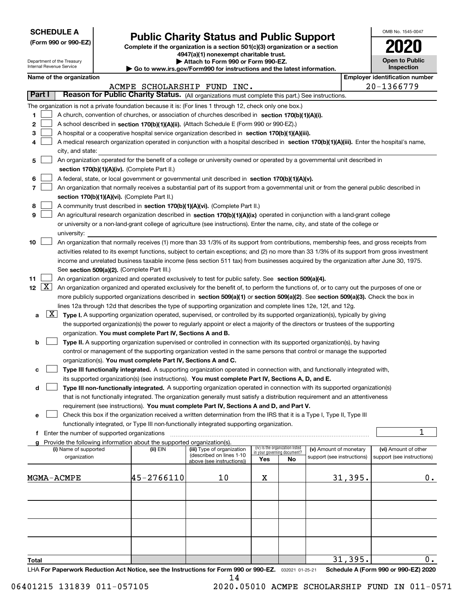| <b>SCHEDULE A</b> |
|-------------------|
|-------------------|

Department of the Treasury Internal Revenue Service

| (Form 990 or 990-EZ) |  |  |  |  |
|----------------------|--|--|--|--|
|----------------------|--|--|--|--|

## **Public Charity Status and Public Support**

**Complete if the organization is a section 501(c)(3) organization or a section 4947(a)(1) nonexempt charitable trust.**

| Attach to Form 990 or Form 990-EZ. |  |
|------------------------------------|--|
|------------------------------------|--|

**| Go to www.irs.gov/Form990 for instructions and the latest information.**

| OMB No. 1545-0047                   |
|-------------------------------------|
| 2020                                |
| <b>Open to Public</b><br>Inspection |

|  | Name of the organization |
|--|--------------------------|
|--|--------------------------|

|                                                                                                                                    |  | Name of the organization                                                                                                                     |            |                             |                                                                |    |                            |         | <b>Employer identification number</b> |
|------------------------------------------------------------------------------------------------------------------------------------|--|----------------------------------------------------------------------------------------------------------------------------------------------|------------|-----------------------------|----------------------------------------------------------------|----|----------------------------|---------|---------------------------------------|
|                                                                                                                                    |  |                                                                                                                                              |            | ACMPE SCHOLARSHIP FUND INC. |                                                                |    |                            |         | 20-1366779                            |
| Part I                                                                                                                             |  | Reason for Public Charity Status. (All organizations must complete this part.) See instructions.                                             |            |                             |                                                                |    |                            |         |                                       |
|                                                                                                                                    |  | The organization is not a private foundation because it is: (For lines 1 through 12, check only one box.)                                    |            |                             |                                                                |    |                            |         |                                       |
| 1                                                                                                                                  |  | A church, convention of churches, or association of churches described in section 170(b)(1)(A)(i).                                           |            |                             |                                                                |    |                            |         |                                       |
| 2                                                                                                                                  |  | A school described in section 170(b)(1)(A)(ii). (Attach Schedule E (Form 990 or 990-EZ).)                                                    |            |                             |                                                                |    |                            |         |                                       |
| з                                                                                                                                  |  | A hospital or a cooperative hospital service organization described in section 170(b)(1)(A)(iii).                                            |            |                             |                                                                |    |                            |         |                                       |
| 4                                                                                                                                  |  | A medical research organization operated in conjunction with a hospital described in section 170(b)(1)(A)(iii). Enter the hospital's name,   |            |                             |                                                                |    |                            |         |                                       |
|                                                                                                                                    |  | city, and state:                                                                                                                             |            |                             |                                                                |    |                            |         |                                       |
| 5                                                                                                                                  |  | An organization operated for the benefit of a college or university owned or operated by a governmental unit described in                    |            |                             |                                                                |    |                            |         |                                       |
|                                                                                                                                    |  | section 170(b)(1)(A)(iv). (Complete Part II.)                                                                                                |            |                             |                                                                |    |                            |         |                                       |
| 6                                                                                                                                  |  | A federal, state, or local government or governmental unit described in section 170(b)(1)(A)(v).                                             |            |                             |                                                                |    |                            |         |                                       |
| 7                                                                                                                                  |  | An organization that normally receives a substantial part of its support from a governmental unit or from the general public described in    |            |                             |                                                                |    |                            |         |                                       |
|                                                                                                                                    |  | section 170(b)(1)(A)(vi). (Complete Part II.)                                                                                                |            |                             |                                                                |    |                            |         |                                       |
| A community trust described in section 170(b)(1)(A)(vi). (Complete Part II.)<br>8                                                  |  |                                                                                                                                              |            |                             |                                                                |    |                            |         |                                       |
| An agricultural research organization described in section 170(b)(1)(A)(ix) operated in conjunction with a land-grant college<br>9 |  |                                                                                                                                              |            |                             |                                                                |    |                            |         |                                       |
|                                                                                                                                    |  | or university or a non-land-grant college of agriculture (see instructions). Enter the name, city, and state of the college or               |            |                             |                                                                |    |                            |         |                                       |
|                                                                                                                                    |  | university:                                                                                                                                  |            |                             |                                                                |    |                            |         |                                       |
| 10                                                                                                                                 |  | An organization that normally receives (1) more than 33 1/3% of its support from contributions, membership fees, and gross receipts from     |            |                             |                                                                |    |                            |         |                                       |
|                                                                                                                                    |  | activities related to its exempt functions, subject to certain exceptions; and (2) no more than 33 1/3% of its support from gross investment |            |                             |                                                                |    |                            |         |                                       |
|                                                                                                                                    |  | income and unrelated business taxable income (less section 511 tax) from businesses acquired by the organization after June 30, 1975.        |            |                             |                                                                |    |                            |         |                                       |
|                                                                                                                                    |  | See section 509(a)(2). (Complete Part III.)                                                                                                  |            |                             |                                                                |    |                            |         |                                       |
| 11                                                                                                                                 |  | An organization organized and operated exclusively to test for public safety. See section 509(a)(4).                                         |            |                             |                                                                |    |                            |         |                                       |
| $12 \quad \boxed{X}$                                                                                                               |  | An organization organized and operated exclusively for the benefit of, to perform the functions of, or to carry out the purposes of one or   |            |                             |                                                                |    |                            |         |                                       |
|                                                                                                                                    |  | more publicly supported organizations described in section 509(a)(1) or section 509(a)(2). See section 509(a)(3). Check the box in           |            |                             |                                                                |    |                            |         |                                       |
|                                                                                                                                    |  | lines 12a through 12d that describes the type of supporting organization and complete lines 12e, 12f, and 12g.                               |            |                             |                                                                |    |                            |         |                                       |
| a                                                                                                                                  |  | $X$ Type I. A supporting organization operated, supervised, or controlled by its supported organization(s), typically by giving              |            |                             |                                                                |    |                            |         |                                       |
|                                                                                                                                    |  | the supported organization(s) the power to regularly appoint or elect a majority of the directors or trustees of the supporting              |            |                             |                                                                |    |                            |         |                                       |
|                                                                                                                                    |  | organization. You must complete Part IV, Sections A and B.                                                                                   |            |                             |                                                                |    |                            |         |                                       |
| b                                                                                                                                  |  | Type II. A supporting organization supervised or controlled in connection with its supported organization(s), by having                      |            |                             |                                                                |    |                            |         |                                       |
|                                                                                                                                    |  | control or management of the supporting organization vested in the same persons that control or manage the supported                         |            |                             |                                                                |    |                            |         |                                       |
|                                                                                                                                    |  | organization(s). You must complete Part IV, Sections A and C.                                                                                |            |                             |                                                                |    |                            |         |                                       |
| с                                                                                                                                  |  | Type III functionally integrated. A supporting organization operated in connection with, and functionally integrated with,                   |            |                             |                                                                |    |                            |         |                                       |
|                                                                                                                                    |  | its supported organization(s) (see instructions). You must complete Part IV, Sections A, D, and E.                                           |            |                             |                                                                |    |                            |         |                                       |
| d                                                                                                                                  |  | Type III non-functionally integrated. A supporting organization operated in connection with its supported organization(s)                    |            |                             |                                                                |    |                            |         |                                       |
|                                                                                                                                    |  | that is not functionally integrated. The organization generally must satisfy a distribution requirement and an attentiveness                 |            |                             |                                                                |    |                            |         |                                       |
|                                                                                                                                    |  | requirement (see instructions). You must complete Part IV, Sections A and D, and Part V.                                                     |            |                             |                                                                |    |                            |         |                                       |
| е                                                                                                                                  |  | Check this box if the organization received a written determination from the IRS that it is a Type I, Type II, Type III                      |            |                             |                                                                |    |                            |         |                                       |
|                                                                                                                                    |  | functionally integrated, or Type III non-functionally integrated supporting organization.                                                    |            |                             |                                                                |    |                            |         | 1                                     |
|                                                                                                                                    |  | f Enter the number of supported organizations                                                                                                |            |                             |                                                                |    |                            |         |                                       |
|                                                                                                                                    |  | g Provide the following information about the supported organization(s).<br>(i) Name of supported                                            | (ii) EIN   | (iii) Type of organization  | (iv) Is the organization listed<br>in your governing document? |    | (v) Amount of monetary     |         | (vi) Amount of other                  |
|                                                                                                                                    |  | organization                                                                                                                                 |            | (described on lines 1-10    | Yes                                                            | No | support (see instructions) |         | support (see instructions)            |
|                                                                                                                                    |  |                                                                                                                                              |            | above (see instructions))   |                                                                |    |                            |         |                                       |
|                                                                                                                                    |  | MGMA-ACMPE                                                                                                                                   | 45-2766110 | 10                          | х                                                              |    |                            | 31,395. | $0$ .                                 |
|                                                                                                                                    |  |                                                                                                                                              |            |                             |                                                                |    |                            |         |                                       |
|                                                                                                                                    |  |                                                                                                                                              |            |                             |                                                                |    |                            |         |                                       |
|                                                                                                                                    |  |                                                                                                                                              |            |                             |                                                                |    |                            |         |                                       |
|                                                                                                                                    |  |                                                                                                                                              |            |                             |                                                                |    |                            |         |                                       |
|                                                                                                                                    |  |                                                                                                                                              |            |                             |                                                                |    |                            |         |                                       |
|                                                                                                                                    |  |                                                                                                                                              |            |                             |                                                                |    |                            |         |                                       |
|                                                                                                                                    |  |                                                                                                                                              |            |                             |                                                                |    |                            |         |                                       |
|                                                                                                                                    |  |                                                                                                                                              |            |                             |                                                                |    |                            |         |                                       |
| Total                                                                                                                              |  |                                                                                                                                              |            |                             |                                                                |    |                            | 31,395. | 0.                                    |

LHA For Paperwork Reduction Act Notice, see the Instructions for Form 990 or 990-EZ. <sub>032021</sub> o1-25-21 Schedule A (Form 990 or 990-EZ) 2020

06401215 131839 011-057105 2020.05010 ACMPE SCHOLARSHIP FUND IN 011-0571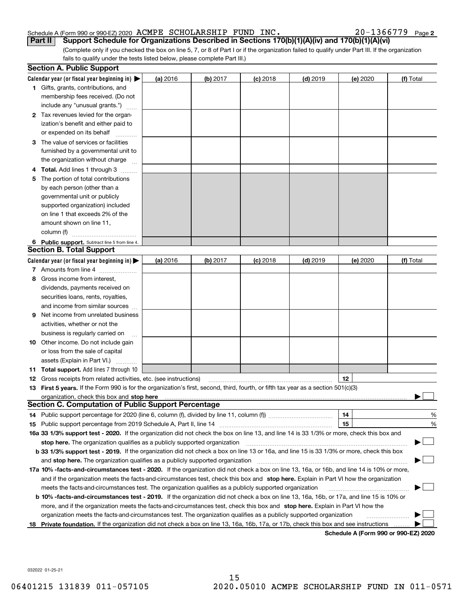## Schedule A (Form 990 or 990-EZ) 2020  $\, {\rm ACMPE} \,$   $\, {\rm SCHOLARSHIP} \,$   $\, {\rm FUND} \,$   $\, {\rm INC}$  .  $\,$   $\,$   $\, 20-1366779$   $\,$   $_{\rm Page}$

20-1366779 Page 2

(Complete only if you checked the box on line 5, 7, or 8 of Part I or if the organization failed to qualify under Part III. If the organization fails to qualify under the tests listed below, please complete Part III.) **Part II** Support Schedule for Organizations Described in Sections 170(b)(1)(A)(iv) and 170(b)(1)(A)(vi)

|    | <b>Section A. Public Support</b>                                                                                                                                                                                              |          |          |            |            |                                      |           |
|----|-------------------------------------------------------------------------------------------------------------------------------------------------------------------------------------------------------------------------------|----------|----------|------------|------------|--------------------------------------|-----------|
|    | Calendar year (or fiscal year beginning in) $\blacktriangleright$                                                                                                                                                             | (a) 2016 | (b) 2017 | $(c)$ 2018 | $(d)$ 2019 | (e) 2020                             | (f) Total |
|    | <b>1</b> Gifts, grants, contributions, and                                                                                                                                                                                    |          |          |            |            |                                      |           |
|    | membership fees received. (Do not                                                                                                                                                                                             |          |          |            |            |                                      |           |
|    | include any "unusual grants.")                                                                                                                                                                                                |          |          |            |            |                                      |           |
|    | 2 Tax revenues levied for the organ-                                                                                                                                                                                          |          |          |            |            |                                      |           |
|    | ization's benefit and either paid to                                                                                                                                                                                          |          |          |            |            |                                      |           |
|    | or expended on its behalf                                                                                                                                                                                                     |          |          |            |            |                                      |           |
|    | 3 The value of services or facilities                                                                                                                                                                                         |          |          |            |            |                                      |           |
|    | furnished by a governmental unit to                                                                                                                                                                                           |          |          |            |            |                                      |           |
|    | the organization without charge                                                                                                                                                                                               |          |          |            |            |                                      |           |
|    | <b>4 Total.</b> Add lines 1 through 3                                                                                                                                                                                         |          |          |            |            |                                      |           |
| 5. | The portion of total contributions                                                                                                                                                                                            |          |          |            |            |                                      |           |
|    | by each person (other than a                                                                                                                                                                                                  |          |          |            |            |                                      |           |
|    | governmental unit or publicly                                                                                                                                                                                                 |          |          |            |            |                                      |           |
|    | supported organization) included                                                                                                                                                                                              |          |          |            |            |                                      |           |
|    | on line 1 that exceeds 2% of the                                                                                                                                                                                              |          |          |            |            |                                      |           |
|    | amount shown on line 11,                                                                                                                                                                                                      |          |          |            |            |                                      |           |
|    | column (f)                                                                                                                                                                                                                    |          |          |            |            |                                      |           |
|    | 6 Public support. Subtract line 5 from line 4.                                                                                                                                                                                |          |          |            |            |                                      |           |
|    | <b>Section B. Total Support</b>                                                                                                                                                                                               |          |          |            |            |                                      |           |
|    | Calendar year (or fiscal year beginning in) $\blacktriangleright$                                                                                                                                                             | (a) 2016 | (b) 2017 | $(c)$ 2018 | $(d)$ 2019 | (e) 2020                             | (f) Total |
|    | 7 Amounts from line 4                                                                                                                                                                                                         |          |          |            |            |                                      |           |
| 8  | Gross income from interest,                                                                                                                                                                                                   |          |          |            |            |                                      |           |
|    | dividends, payments received on                                                                                                                                                                                               |          |          |            |            |                                      |           |
|    | securities loans, rents, royalties,                                                                                                                                                                                           |          |          |            |            |                                      |           |
|    | and income from similar sources                                                                                                                                                                                               |          |          |            |            |                                      |           |
| 9  | Net income from unrelated business                                                                                                                                                                                            |          |          |            |            |                                      |           |
|    | activities, whether or not the                                                                                                                                                                                                |          |          |            |            |                                      |           |
|    | business is regularly carried on                                                                                                                                                                                              |          |          |            |            |                                      |           |
|    | <b>10</b> Other income. Do not include gain                                                                                                                                                                                   |          |          |            |            |                                      |           |
|    | or loss from the sale of capital                                                                                                                                                                                              |          |          |            |            |                                      |           |
|    | assets (Explain in Part VI.)                                                                                                                                                                                                  |          |          |            |            |                                      |           |
|    | 11 Total support. Add lines 7 through 10                                                                                                                                                                                      |          |          |            |            |                                      |           |
|    | <b>12</b> Gross receipts from related activities, etc. (see instructions)                                                                                                                                                     |          |          |            |            | 12                                   |           |
|    | 13 First 5 years. If the Form 990 is for the organization's first, second, third, fourth, or fifth tax year as a section 501(c)(3)                                                                                            |          |          |            |            |                                      |           |
|    | organization, check this box and stop here manufactured and state and state and state and state and state and stop here and stop here are all and state and state and state and state and state and state and state and state |          |          |            |            |                                      |           |
|    | <b>Section C. Computation of Public Support Percentage</b>                                                                                                                                                                    |          |          |            |            |                                      |           |
|    |                                                                                                                                                                                                                               |          |          |            |            | 14                                   | %         |
|    |                                                                                                                                                                                                                               |          |          |            |            | 15                                   | $\%$      |
|    | 16a 33 1/3% support test - 2020. If the organization did not check the box on line 13, and line 14 is 33 1/3% or more, check this box and                                                                                     |          |          |            |            |                                      |           |
|    | stop here. The organization qualifies as a publicly supported organization                                                                                                                                                    |          |          |            |            |                                      |           |
|    | b 33 1/3% support test - 2019. If the organization did not check a box on line 13 or 16a, and line 15 is 33 1/3% or more, check this box                                                                                      |          |          |            |            |                                      |           |
|    | and stop here. The organization qualifies as a publicly supported organization                                                                                                                                                |          |          |            |            |                                      |           |
|    | 17a 10% -facts-and-circumstances test - 2020. If the organization did not check a box on line 13, 16a, or 16b, and line 14 is 10% or more,                                                                                    |          |          |            |            |                                      |           |
|    | and if the organization meets the facts-and-circumstances test, check this box and stop here. Explain in Part VI how the organization                                                                                         |          |          |            |            |                                      |           |
|    | meets the facts-and-circumstances test. The organization qualifies as a publicly supported organization                                                                                                                       |          |          |            |            |                                      |           |
|    | <b>b 10% -facts-and-circumstances test - 2019.</b> If the organization did not check a box on line 13, 16a, 16b, or 17a, and line 15 is 10% or                                                                                |          |          |            |            |                                      |           |
|    | more, and if the organization meets the facts-and-circumstances test, check this box and stop here. Explain in Part VI how the                                                                                                |          |          |            |            |                                      |           |
|    | organization meets the facts-and-circumstances test. The organization qualifies as a publicly supported organization                                                                                                          |          |          |            |            |                                      |           |
| 18 | Private foundation. If the organization did not check a box on line 13, 16a, 16b, 17a, or 17b, check this box and see instructions                                                                                            |          |          |            |            |                                      |           |
|    |                                                                                                                                                                                                                               |          |          |            |            | Schedule A (Form 990 or 990-F7) 2020 |           |

**Schedule A (Form 990 or 990-EZ) 2020**

032022 01-25-21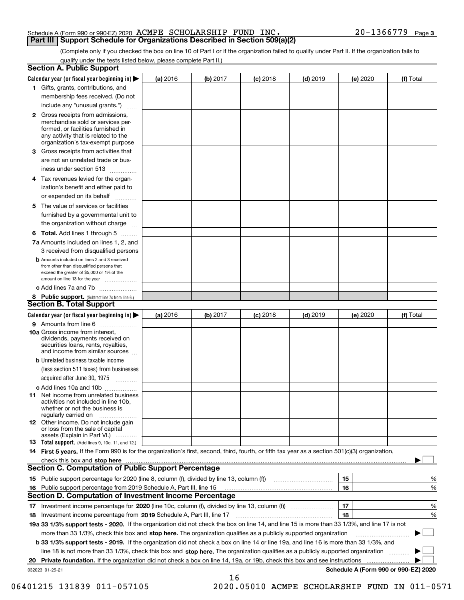## Schedule A (Form 990 or 990-EZ) 2020  $\, {\rm ACMPE} \,$   $\, {\rm SCHOLARSHIP} \,$   $\, {\rm FUND} \,$   $\, {\rm INC}$  .  $\,$   $\,$   $\, 20-1366779$   $\,$   $_{\rm Page}$ **Part III Support Schedule for Organizations Described in Section 509(a)(2)**

(Complete only if you checked the box on line 10 of Part I or if the organization failed to qualify under Part II. If the organization fails to qualify under the tests listed below, please complete Part II.)

|    | <b>Section A. Public Support</b>                                                                                                                                                                                               |          |          |            |            |          |                                      |
|----|--------------------------------------------------------------------------------------------------------------------------------------------------------------------------------------------------------------------------------|----------|----------|------------|------------|----------|--------------------------------------|
|    | Calendar year (or fiscal year beginning in) $\blacktriangleright$                                                                                                                                                              | (a) 2016 | (b) 2017 | $(c)$ 2018 | $(d)$ 2019 | (e) 2020 | (f) Total                            |
|    | 1 Gifts, grants, contributions, and                                                                                                                                                                                            |          |          |            |            |          |                                      |
|    | membership fees received. (Do not                                                                                                                                                                                              |          |          |            |            |          |                                      |
|    | include any "unusual grants.")                                                                                                                                                                                                 |          |          |            |            |          |                                      |
|    | 2 Gross receipts from admissions,<br>merchandise sold or services per-<br>formed, or facilities furnished in<br>any activity that is related to the<br>organization's tax-exempt purpose                                       |          |          |            |            |          |                                      |
|    | 3 Gross receipts from activities that                                                                                                                                                                                          |          |          |            |            |          |                                      |
|    | are not an unrelated trade or bus-                                                                                                                                                                                             |          |          |            |            |          |                                      |
|    | iness under section 513                                                                                                                                                                                                        |          |          |            |            |          |                                      |
|    | 4 Tax revenues levied for the organ-                                                                                                                                                                                           |          |          |            |            |          |                                      |
|    | ization's benefit and either paid to<br>or expended on its behalf<br>.                                                                                                                                                         |          |          |            |            |          |                                      |
|    | 5 The value of services or facilities                                                                                                                                                                                          |          |          |            |            |          |                                      |
|    | furnished by a governmental unit to                                                                                                                                                                                            |          |          |            |            |          |                                      |
|    | the organization without charge                                                                                                                                                                                                |          |          |            |            |          |                                      |
|    | <b>6 Total.</b> Add lines 1 through 5                                                                                                                                                                                          |          |          |            |            |          |                                      |
|    | 7a Amounts included on lines 1, 2, and<br>3 received from disqualified persons                                                                                                                                                 |          |          |            |            |          |                                      |
|    | <b>b</b> Amounts included on lines 2 and 3 received<br>from other than disqualified persons that<br>exceed the greater of \$5,000 or 1% of the<br>amount on line 13 for the year                                               |          |          |            |            |          |                                      |
|    | c Add lines 7a and 7b                                                                                                                                                                                                          |          |          |            |            |          |                                      |
|    | 8 Public support. (Subtract line 7c from line 6.)                                                                                                                                                                              |          |          |            |            |          |                                      |
|    | <b>Section B. Total Support</b>                                                                                                                                                                                                |          |          |            |            |          |                                      |
|    | Calendar year (or fiscal year beginning in) $\blacktriangleright$                                                                                                                                                              | (a) 2016 | (b) 2017 | $(c)$ 2018 | $(d)$ 2019 | (e) 2020 | (f) Total                            |
|    | 9 Amounts from line 6                                                                                                                                                                                                          |          |          |            |            |          |                                      |
|    | 10a Gross income from interest,<br>dividends, payments received on<br>securities loans, rents, royalties,<br>and income from similar sources                                                                                   |          |          |            |            |          |                                      |
|    | <b>b</b> Unrelated business taxable income                                                                                                                                                                                     |          |          |            |            |          |                                      |
|    | (less section 511 taxes) from businesses                                                                                                                                                                                       |          |          |            |            |          |                                      |
|    | acquired after June 30, 1975                                                                                                                                                                                                   |          |          |            |            |          |                                      |
|    | c Add lines 10a and 10b                                                                                                                                                                                                        |          |          |            |            |          |                                      |
|    | 11 Net income from unrelated business<br>activities not included in line 10b,<br>whether or not the business is<br>regularly carried on                                                                                        |          |          |            |            |          |                                      |
|    | 12 Other income. Do not include gain<br>or loss from the sale of capital<br>assets (Explain in Part VI.)                                                                                                                       |          |          |            |            |          |                                      |
|    | <b>13</b> Total support. (Add lines 9, 10c, 11, and 12.)                                                                                                                                                                       |          |          |            |            |          |                                      |
|    | 14 First 5 years. If the Form 990 is for the organization's first, second, third, fourth, or fifth tax year as a section 501(c)(3) organization,                                                                               |          |          |            |            |          |                                      |
|    | check this box and stop here with the continuum control to the change of the state of the state of the change of the state of the change of the change of the state of the change of the change of the change of the change of |          |          |            |            |          |                                      |
|    | <b>Section C. Computation of Public Support Percentage</b>                                                                                                                                                                     |          |          |            |            |          |                                      |
|    | 15 Public support percentage for 2020 (line 8, column (f), divided by line 13, column (f))                                                                                                                                     |          |          |            |            | 15       | %                                    |
|    | 16 Public support percentage from 2019 Schedule A, Part III, line 15                                                                                                                                                           |          |          |            |            | 16       | %                                    |
|    | <b>Section D. Computation of Investment Income Percentage</b>                                                                                                                                                                  |          |          |            |            |          |                                      |
|    | 17 Investment income percentage for 2020 (line 10c, column (f), divided by line 13, column (f))                                                                                                                                |          |          |            |            | 17       | %                                    |
|    | <b>18</b> Investment income percentage from <b>2019</b> Schedule A, Part III, line 17                                                                                                                                          |          |          |            |            | 18       | %                                    |
|    | 19a 33 1/3% support tests - 2020. If the organization did not check the box on line 14, and line 15 is more than 33 1/3%, and line 17 is not                                                                                   |          |          |            |            |          |                                      |
|    | more than 33 1/3%, check this box and stop here. The organization qualifies as a publicly supported organization                                                                                                               |          |          |            |            |          | ▶                                    |
|    | b 33 1/3% support tests - 2019. If the organization did not check a box on line 14 or line 19a, and line 16 is more than 33 1/3%, and                                                                                          |          |          |            |            |          |                                      |
|    | line 18 is not more than 33 1/3%, check this box and stop here. The organization qualifies as a publicly supported organization                                                                                                |          |          |            |            |          |                                      |
| 20 | <b>Private foundation.</b> If the organization did not check a box on line 14, 19a, or 19b, check this box and see instructions                                                                                                |          |          |            |            |          |                                      |
|    | 032023 01-25-21                                                                                                                                                                                                                |          | 16       |            |            |          | Schedule A (Form 990 or 990-EZ) 2020 |

06401215 131839 011-057105 2020.05010 ACMPE SCHOLARSHIP FUND IN 011-0571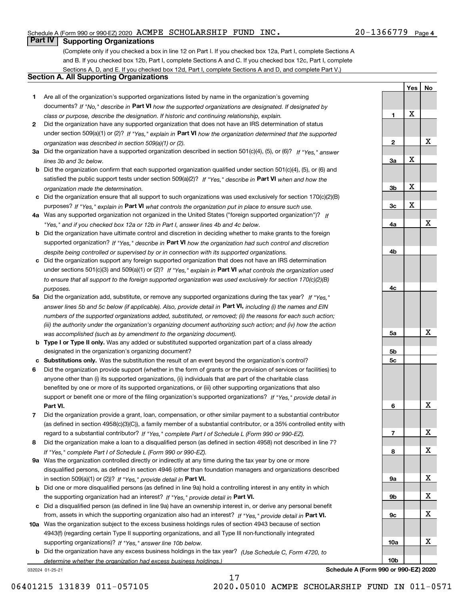## Schedule A (Form 990 or 990-EZ) 2020  $\, {\rm ACMPE} \,$   $\, {\rm SCHOLARSHIP} \,$   $\, {\rm FUND} \,$   $\, {\rm INC}$  .  $\,$   $\,$   $\, 20-1366779$   $\,$   $_{\rm Page}$

## **Part IV Supporting Organizations**

(Complete only if you checked a box in line 12 on Part I. If you checked box 12a, Part I, complete Sections A and B. If you checked box 12b, Part I, complete Sections A and C. If you checked box 12c, Part I, complete Sections A, D, and E. If you checked box 12d, Part I, complete Sections A and D, and complete Part V.)

## **Section A. All Supporting Organizations**

- **1** Are all of the organization's supported organizations listed by name in the organization's governing documents? If "No," describe in **Part VI** how the supported organizations are designated. If designated by *class or purpose, describe the designation. If historic and continuing relationship, explain.*
- **2** Did the organization have any supported organization that does not have an IRS determination of status under section 509(a)(1) or (2)? If "Yes," explain in Part VI how the organization determined that the supported *organization was described in section 509(a)(1) or (2).*
- **3a** Did the organization have a supported organization described in section 501(c)(4), (5), or (6)? If "Yes," answer *lines 3b and 3c below.*
- **b** Did the organization confirm that each supported organization qualified under section 501(c)(4), (5), or (6) and satisfied the public support tests under section 509(a)(2)? If "Yes," describe in **Part VI** when and how the *organization made the determination.*
- **c**Did the organization ensure that all support to such organizations was used exclusively for section 170(c)(2)(B) purposes? If "Yes," explain in **Part VI** what controls the organization put in place to ensure such use.
- **4a***If* Was any supported organization not organized in the United States ("foreign supported organization")? *"Yes," and if you checked box 12a or 12b in Part I, answer lines 4b and 4c below.*
- **b** Did the organization have ultimate control and discretion in deciding whether to make grants to the foreign supported organization? If "Yes," describe in **Part VI** how the organization had such control and discretion *despite being controlled or supervised by or in connection with its supported organizations.*
- **c** Did the organization support any foreign supported organization that does not have an IRS determination under sections 501(c)(3) and 509(a)(1) or (2)? If "Yes," explain in **Part VI** what controls the organization used *to ensure that all support to the foreign supported organization was used exclusively for section 170(c)(2)(B) purposes.*
- **5a** Did the organization add, substitute, or remove any supported organizations during the tax year? If "Yes," answer lines 5b and 5c below (if applicable). Also, provide detail in **Part VI,** including (i) the names and EIN *numbers of the supported organizations added, substituted, or removed; (ii) the reasons for each such action; (iii) the authority under the organization's organizing document authorizing such action; and (iv) how the action was accomplished (such as by amendment to the organizing document).*
- **b** Type I or Type II only. Was any added or substituted supported organization part of a class already designated in the organization's organizing document?
- **cSubstitutions only.**  Was the substitution the result of an event beyond the organization's control?
- **6** Did the organization provide support (whether in the form of grants or the provision of services or facilities) to **Part VI.** *If "Yes," provide detail in* support or benefit one or more of the filing organization's supported organizations? anyone other than (i) its supported organizations, (ii) individuals that are part of the charitable class benefited by one or more of its supported organizations, or (iii) other supporting organizations that also
- **7**Did the organization provide a grant, loan, compensation, or other similar payment to a substantial contributor *If "Yes," complete Part I of Schedule L (Form 990 or 990-EZ).* regard to a substantial contributor? (as defined in section 4958(c)(3)(C)), a family member of a substantial contributor, or a 35% controlled entity with
- **8** Did the organization make a loan to a disqualified person (as defined in section 4958) not described in line 7? *If "Yes," complete Part I of Schedule L (Form 990 or 990-EZ).*
- **9a** Was the organization controlled directly or indirectly at any time during the tax year by one or more in section 509(a)(1) or (2))? If "Yes," *provide detail in* <code>Part VI.</code> disqualified persons, as defined in section 4946 (other than foundation managers and organizations described
- **b**the supporting organization had an interest? If "Yes," provide detail in P**art VI**. Did one or more disqualified persons (as defined in line 9a) hold a controlling interest in any entity in which
- **c**Did a disqualified person (as defined in line 9a) have an ownership interest in, or derive any personal benefit from, assets in which the supporting organization also had an interest? If "Yes," provide detail in P**art VI.**
- **10a** Was the organization subject to the excess business holdings rules of section 4943 because of section supporting organizations)? If "Yes," answer line 10b below. 4943(f) (regarding certain Type II supporting organizations, and all Type III non-functionally integrated
- **b** Did the organization have any excess business holdings in the tax year? (Use Schedule C, Form 4720, to *determine whether the organization had excess business holdings.)*

032024 01-25-21

**789a 9b9c**X X X X X

**Schedule A (Form 990 or 990-EZ) 2020**

**10a**

**10b**

**1**

**2**

**3a**

**3b**

**3c**

**4a**

**4b**

**4c**

**5a**

**5b5c**

**6**

**YesNo**

X

X

X

X

X

X

X

X

X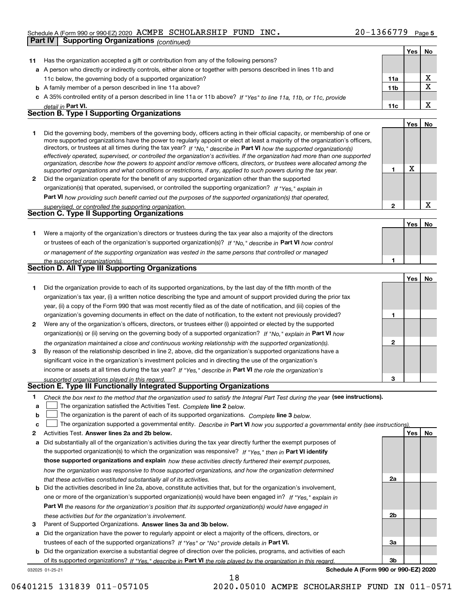## Schedule A (Form 990 or 990-EZ) 2020  $\, {\rm ACMPE} \,$   $\, {\rm SCHOLARSHIP} \,$   $\, {\rm FUND} \,$   $\, {\rm INC}$  .  $\,$   $\,$   $\, 20-1366779$   $\,$   $_{\rm Page}$

|    | Part IV | <b>Supporting Organizations (continued)</b>                                                                                                                                                                                                                 |                 |     |    |
|----|---------|-------------------------------------------------------------------------------------------------------------------------------------------------------------------------------------------------------------------------------------------------------------|-----------------|-----|----|
|    |         |                                                                                                                                                                                                                                                             |                 | Yes | No |
| 11 |         | Has the organization accepted a gift or contribution from any of the following persons?                                                                                                                                                                     |                 |     |    |
|    |         | a A person who directly or indirectly controls, either alone or together with persons described in lines 11b and                                                                                                                                            |                 |     |    |
|    |         | 11c below, the governing body of a supported organization?                                                                                                                                                                                                  | 11a             |     | X  |
|    |         | <b>b</b> A family member of a person described in line 11a above?                                                                                                                                                                                           | 11 <sub>b</sub> |     | X  |
|    |         | c A 35% controlled entity of a person described in line 11a or 11b above? If "Yes" to line 11a, 11b, or 11c, provide                                                                                                                                        |                 |     |    |
|    |         | detail in Part VI.                                                                                                                                                                                                                                          | 11c             |     | X  |
|    |         | <b>Section B. Type I Supporting Organizations</b>                                                                                                                                                                                                           |                 |     |    |
|    |         |                                                                                                                                                                                                                                                             |                 | Yes | No |
| 1  |         | Did the governing body, members of the governing body, officers acting in their official capacity, or membership of one or<br>more supported organizations have the power to regularly appoint or elect at least a majority of the organization's officers, |                 |     |    |
|    |         | directors, or trustees at all times during the tax year? If "No," describe in Part VI how the supported organization(s)<br>effectively operated, supervised, or controlled the organization's activities. If the organization had more than one supported   |                 |     |    |
|    |         | organization, describe how the powers to appoint and/or remove officers, directors, or trustees were allocated among the                                                                                                                                    | 1               | X   |    |
|    |         | supported organizations and what conditions or restrictions, if any, applied to such powers during the tax year.                                                                                                                                            |                 |     |    |
| 2  |         | Did the organization operate for the benefit of any supported organization other than the supported<br>organization(s) that operated, supervised, or controlled the supporting organization? If "Yes," explain in                                           |                 |     |    |
|    |         | Part VI how providing such benefit carried out the purposes of the supported organization(s) that operated,                                                                                                                                                 |                 |     |    |
|    |         | supervised, or controlled the supporting organization.                                                                                                                                                                                                      | $\overline{2}$  |     | х  |
|    |         | <b>Section C. Type II Supporting Organizations</b>                                                                                                                                                                                                          |                 |     |    |
|    |         |                                                                                                                                                                                                                                                             |                 | Yes | No |
| 1  |         | Were a majority of the organization's directors or trustees during the tax year also a majority of the directors                                                                                                                                            |                 |     |    |
|    |         | or trustees of each of the organization's supported organization(s)? If "No," describe in Part VI how control                                                                                                                                               |                 |     |    |
|    |         | or management of the supporting organization was vested in the same persons that controlled or managed                                                                                                                                                      |                 |     |    |
|    |         | the supported organization(s).                                                                                                                                                                                                                              | 1               |     |    |
|    |         | <b>Section D. All Type III Supporting Organizations</b>                                                                                                                                                                                                     |                 |     |    |
|    |         |                                                                                                                                                                                                                                                             |                 | Yes | No |
| 1  |         | Did the organization provide to each of its supported organizations, by the last day of the fifth month of the                                                                                                                                              |                 |     |    |
|    |         | organization's tax year, (i) a written notice describing the type and amount of support provided during the prior tax                                                                                                                                       |                 |     |    |
|    |         | year, (ii) a copy of the Form 990 that was most recently filed as of the date of notification, and (iii) copies of the                                                                                                                                      |                 |     |    |
|    |         | organization's governing documents in effect on the date of notification, to the extent not previously provided?                                                                                                                                            | 1               |     |    |
| 2  |         | Were any of the organization's officers, directors, or trustees either (i) appointed or elected by the supported                                                                                                                                            |                 |     |    |
|    |         | organization(s) or (ii) serving on the governing body of a supported organization? If "No." explain in Part VI how                                                                                                                                          |                 |     |    |
|    |         | the organization maintained a close and continuous working relationship with the supported organization(s).                                                                                                                                                 | $\mathbf 2$     |     |    |
| 3  |         | By reason of the relationship described in line 2, above, did the organization's supported organizations have a                                                                                                                                             |                 |     |    |
|    |         | significant voice in the organization's investment policies and in directing the use of the organization's                                                                                                                                                  |                 |     |    |
|    |         | income or assets at all times during the tax year? If "Yes," describe in Part VI the role the organization's                                                                                                                                                | 3               |     |    |
|    |         | supported organizations played in this regard.<br>Section E. Type III Functionally Integrated Supporting Organizations                                                                                                                                      |                 |     |    |
| 1. |         | Check the box next to the method that the organization used to satisfy the Integral Part Test during the year (see instructions).                                                                                                                           |                 |     |    |
| а  |         | The organization satisfied the Activities Test. Complete line 2 below.                                                                                                                                                                                      |                 |     |    |
| b  |         | The organization is the parent of each of its supported organizations. Complete line 3 below.                                                                                                                                                               |                 |     |    |
| c  |         | The organization supported a governmental entity. Describe in Part VI how you supported a governmental entity (see instructions)                                                                                                                            |                 |     |    |
| 2  |         | Activities Test. Answer lines 2a and 2b below.                                                                                                                                                                                                              |                 | Yes | No |
| а  |         | Did substantially all of the organization's activities during the tax year directly further the exempt purposes of                                                                                                                                          |                 |     |    |
|    |         | the supported organization(s) to which the organization was responsive? If "Yes," then in Part VI identify                                                                                                                                                  |                 |     |    |
|    |         | those supported organizations and explain how these activities directly furthered their exempt purposes,                                                                                                                                                    |                 |     |    |
|    |         | how the organization was responsive to those supported organizations, and how the organization determined                                                                                                                                                   |                 |     |    |
|    |         | that these activities constituted substantially all of its activities.                                                                                                                                                                                      | 2a              |     |    |
| b  |         | Did the activities described in line 2a, above, constitute activities that, but for the organization's involvement,                                                                                                                                         |                 |     |    |
|    |         | one or more of the organization's supported organization(s) would have been engaged in? If "Yes," explain in                                                                                                                                                |                 |     |    |
|    |         | Part VI the reasons for the organization's position that its supported organization(s) would have engaged in                                                                                                                                                |                 |     |    |

**3** Parent of Supported Organizations. Answer lines 3a and 3b below. *these activities but for the organization's involvement.*

**a** Did the organization have the power to regularly appoint or elect a majority of the officers, directors, or trustees of each of the supported organizations? If "Yes" or "No" provide details in **Part VI.** 

**b** Did the organization exercise a substantial degree of direction over the policies, programs, and activities of each of its supported organizations? If "Yes," describe in Part VI the role played by the organization in this regard.

18

032025 01-25-21

**Schedule A (Form 990 or 990-EZ) 2020**

**2b**

**3a**

**3b**

06401215 131839 011-057105 2020.05010 ACMPE SCHOLARSHIP FUND IN 011-0571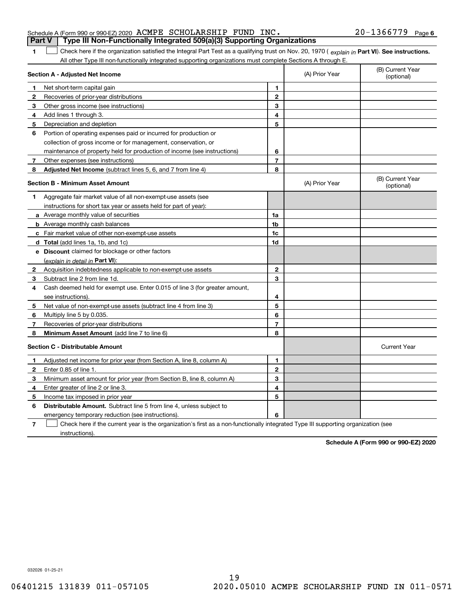|  | Schedule A (Form 990 or 990-EZ) 2020 ACMPE SCHOLARSHIP FUND INC.                      |  |  | $20 - 1366779$ Page 6 |  |
|--|---------------------------------------------------------------------------------------|--|--|-----------------------|--|
|  | <b>Part V</b> Type III Non-Functionally Integrated 509(a)(3) Supporting Organizations |  |  |                       |  |

1 Check here if the organization satisfied the Integral Part Test as a qualifying trust on Nov. 20, 1970 (explain in Part VI). See instructions. All other Type III non-functionally integrated supporting organizations must complete Sections A through E.

|              | Section A - Adjusted Net Income                                                                                                   |                | (A) Prior Year | (B) Current Year<br>(optional) |
|--------------|-----------------------------------------------------------------------------------------------------------------------------------|----------------|----------------|--------------------------------|
| 1.           | Net short-term capital gain                                                                                                       | 1              |                |                                |
| $\mathbf{2}$ | Recoveries of prior-year distributions                                                                                            | $\overline{2}$ |                |                                |
| 3            | Other gross income (see instructions)                                                                                             | 3              |                |                                |
| 4            | Add lines 1 through 3.                                                                                                            | 4              |                |                                |
| 5            | Depreciation and depletion                                                                                                        | 5              |                |                                |
| 6            | Portion of operating expenses paid or incurred for production or                                                                  |                |                |                                |
|              | collection of gross income or for management, conservation, or                                                                    |                |                |                                |
|              | maintenance of property held for production of income (see instructions)                                                          | 6              |                |                                |
| 7            | Other expenses (see instructions)                                                                                                 | 7              |                |                                |
| 8            | <b>Adjusted Net Income</b> (subtract lines 5, 6, and 7 from line 4)                                                               | 8              |                |                                |
|              | <b>Section B - Minimum Asset Amount</b>                                                                                           |                | (A) Prior Year | (B) Current Year<br>(optional) |
| 1            | Aggregate fair market value of all non-exempt-use assets (see                                                                     |                |                |                                |
|              | instructions for short tax year or assets held for part of year):                                                                 |                |                |                                |
|              | a Average monthly value of securities                                                                                             | 1a             |                |                                |
|              | <b>b</b> Average monthly cash balances                                                                                            | 1b             |                |                                |
|              | c Fair market value of other non-exempt-use assets                                                                                | 1c             |                |                                |
|              | d Total (add lines 1a, 1b, and 1c)                                                                                                | 1d             |                |                                |
|              | e Discount claimed for blockage or other factors                                                                                  |                |                |                                |
|              | (explain in detail in Part VI):                                                                                                   |                |                |                                |
| 2            | Acquisition indebtedness applicable to non-exempt-use assets                                                                      | $\mathbf 2$    |                |                                |
| 3            | Subtract line 2 from line 1d.                                                                                                     | 3              |                |                                |
| 4            | Cash deemed held for exempt use. Enter 0.015 of line 3 (for greater amount,                                                       |                |                |                                |
|              | see instructions)                                                                                                                 | 4              |                |                                |
| 5            | Net value of non-exempt-use assets (subtract line 4 from line 3)                                                                  | 5              |                |                                |
| 6            | Multiply line 5 by 0.035.                                                                                                         | 6              |                |                                |
| 7            | Recoveries of prior-year distributions                                                                                            | $\overline{7}$ |                |                                |
| 8            | Minimum Asset Amount (add line 7 to line 6)                                                                                       | 8              |                |                                |
|              | <b>Section C - Distributable Amount</b>                                                                                           |                |                | <b>Current Year</b>            |
| 1            | Adjusted net income for prior year (from Section A, line 8, column A)                                                             | $\mathbf{1}$   |                |                                |
| 2            | Enter 0.85 of line 1.                                                                                                             | $\overline{2}$ |                |                                |
| 3            | Minimum asset amount for prior year (from Section B, line 8, column A)                                                            | 3              |                |                                |
| 4            | Enter greater of line 2 or line 3.                                                                                                | 4              |                |                                |
| 5            | Income tax imposed in prior year                                                                                                  | 5              |                |                                |
| 6            | <b>Distributable Amount.</b> Subtract line 5 from line 4, unless subject to                                                       |                |                |                                |
|              | emergency temporary reduction (see instructions).                                                                                 | 6              |                |                                |
| 7            | Check here if the current year is the organization's first as a non-functionally integrated Type III supporting organization (see |                |                |                                |

instructions).

**1**

**Schedule A (Form 990 or 990-EZ) 2020**

032026 01-25-21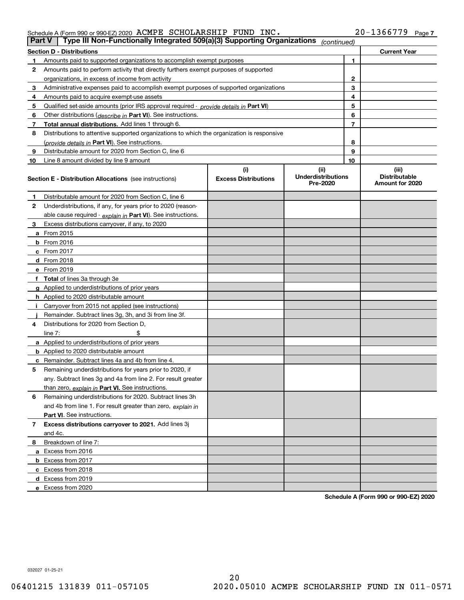## Schedule A (Form 990 or 990-EZ) 2020  $\, {\rm ACMPE} \,$   $\, {\rm SCHOLARSHIP} \,$   $\, {\rm FUND} \,$   $\, {\rm INC}$  .  $\,$   $\,$   $\, 20-1366779$   $\,$   $_{\rm Page}$

| Part V         | Type III Non-Functionally Integrated 509(a)(3) Supporting Organizations                    |                             | (continued)                           |    |                                         |
|----------------|--------------------------------------------------------------------------------------------|-----------------------------|---------------------------------------|----|-----------------------------------------|
|                | <b>Section D - Distributions</b>                                                           |                             |                                       |    | <b>Current Year</b>                     |
| 1.             | Amounts paid to supported organizations to accomplish exempt purposes                      |                             |                                       | 1  |                                         |
| 2              | Amounts paid to perform activity that directly furthers exempt purposes of supported       |                             |                                       |    |                                         |
|                | organizations, in excess of income from activity                                           |                             | 2                                     |    |                                         |
| 3              | Administrative expenses paid to accomplish exempt purposes of supported organizations      |                             |                                       | 3  |                                         |
| 4              | Amounts paid to acquire exempt-use assets                                                  |                             |                                       | 4  |                                         |
| 5              | Qualified set-aside amounts (prior IRS approval required - provide details in Part VI)     |                             |                                       | 5  |                                         |
| 6              | Other distributions ( <i>describe in</i> Part VI). See instructions.                       |                             |                                       | 6  |                                         |
| 7              | Total annual distributions. Add lines 1 through 6.                                         |                             |                                       | 7  |                                         |
| 8              | Distributions to attentive supported organizations to which the organization is responsive |                             |                                       |    |                                         |
|                | (provide details in Part VI). See instructions.                                            |                             |                                       | 8  |                                         |
| 9              | Distributable amount for 2020 from Section C, line 6                                       |                             |                                       | 9  |                                         |
| 10             | Line 8 amount divided by line 9 amount                                                     |                             |                                       | 10 |                                         |
|                |                                                                                            | (i)                         | (ii)                                  |    | (iii)                                   |
|                | <b>Section E - Distribution Allocations</b> (see instructions)                             | <b>Excess Distributions</b> | <b>Underdistributions</b><br>Pre-2020 |    | <b>Distributable</b><br>Amount for 2020 |
| 1              | Distributable amount for 2020 from Section C, line 6                                       |                             |                                       |    |                                         |
| 2              | Underdistributions, if any, for years prior to 2020 (reason-                               |                             |                                       |    |                                         |
|                | able cause required - explain in Part VI). See instructions.                               |                             |                                       |    |                                         |
| 3              | Excess distributions carryover, if any, to 2020                                            |                             |                                       |    |                                         |
|                | a From 2015                                                                                |                             |                                       |    |                                         |
|                | <b>b</b> From 2016                                                                         |                             |                                       |    |                                         |
|                | $c$ From 2017                                                                              |                             |                                       |    |                                         |
|                | <b>d</b> From 2018                                                                         |                             |                                       |    |                                         |
|                | e From 2019                                                                                |                             |                                       |    |                                         |
|                | f Total of lines 3a through 3e                                                             |                             |                                       |    |                                         |
|                | g Applied to underdistributions of prior years                                             |                             |                                       |    |                                         |
|                | <b>h</b> Applied to 2020 distributable amount                                              |                             |                                       |    |                                         |
|                | Carryover from 2015 not applied (see instructions)                                         |                             |                                       |    |                                         |
|                | Remainder. Subtract lines 3g, 3h, and 3i from line 3f.                                     |                             |                                       |    |                                         |
| 4              | Distributions for 2020 from Section D,                                                     |                             |                                       |    |                                         |
|                | line $7:$                                                                                  |                             |                                       |    |                                         |
|                | a Applied to underdistributions of prior years                                             |                             |                                       |    |                                         |
|                | <b>b</b> Applied to 2020 distributable amount                                              |                             |                                       |    |                                         |
|                | c Remainder. Subtract lines 4a and 4b from line 4.                                         |                             |                                       |    |                                         |
| 5              | Remaining underdistributions for years prior to 2020, if                                   |                             |                                       |    |                                         |
|                | any. Subtract lines 3g and 4a from line 2. For result greater                              |                             |                                       |    |                                         |
|                | than zero, explain in Part VI. See instructions.                                           |                             |                                       |    |                                         |
| 6              | Remaining underdistributions for 2020. Subtract lines 3h                                   |                             |                                       |    |                                         |
|                | and 4b from line 1. For result greater than zero, explain in                               |                             |                                       |    |                                         |
|                | Part VI. See instructions.                                                                 |                             |                                       |    |                                         |
| $\overline{7}$ | Excess distributions carryover to 2021. Add lines 3j                                       |                             |                                       |    |                                         |
|                | and 4c.                                                                                    |                             |                                       |    |                                         |
| 8              | Breakdown of line 7:                                                                       |                             |                                       |    |                                         |
|                | a Excess from 2016                                                                         |                             |                                       |    |                                         |
|                | <b>b</b> Excess from 2017                                                                  |                             |                                       |    |                                         |
|                | c Excess from 2018                                                                         |                             |                                       |    |                                         |
|                | d Excess from 2019                                                                         |                             |                                       |    |                                         |
|                | e Excess from 2020                                                                         |                             |                                       |    |                                         |
|                |                                                                                            |                             |                                       |    |                                         |

**Schedule A (Form 990 or 990-EZ) 2020**

032027 01-25-21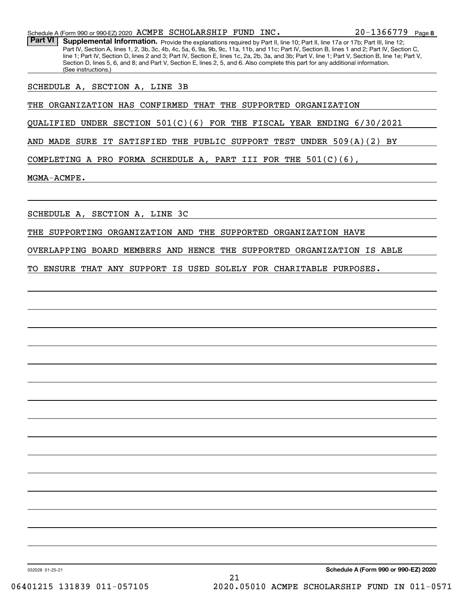Part VI | Supplemental Information. Provide the explanations required by Part II, line 10; Part II, line 17a or 17b; Part III, line 12; Part IV, Section A, lines 1, 2, 3b, 3c, 4b, 4c, 5a, 6, 9a, 9b, 9c, 11a, 11b, and 11c; Part IV, Section B, lines 1 and 2; Part IV, Section C, line 1; Part IV, Section D, lines 2 and 3; Part IV, Section E, lines 1c, 2a, 2b, 3a, and 3b; Part V, line 1; Part V, Section B, line 1e; Part V, Section D, lines 5, 6, and 8; and Part V, Section E, lines 2, 5, and 6. Also complete this part for any additional information. (See instructions.)

SCHEDULE A, SECTION A, LINE 3B

THE ORGANIZATION HAS CONFIRMED THAT THE SUPPORTED ORGANIZATION

QUALIFIED UNDER SECTION 501(C)(6) FOR THE FISCAL YEAR ENDING 6/30/2021

AND MADE SURE IT SATISFIED THE PUBLIC SUPPORT TEST UNDER 509(A)(2) BY

COMPLETING A PRO FORMA SCHEDULE A, PART III FOR THE  $501(C)(6)$ ,

MGMA-ACMPE.

SCHEDULE A, SECTION A, LINE 3C

THE SUPPORTING ORGANIZATION AND THE SUPPORTED ORGANIZATION HAVE

OVERLAPPING BOARD MEMBERS AND HENCE THE SUPPORTED ORGANIZATION IS ABLE

TO ENSURE THAT ANY SUPPORT IS USED SOLELY FOR CHARITABLE PURPOSES.

**Schedule A (Form 990 or 990-EZ) 2020**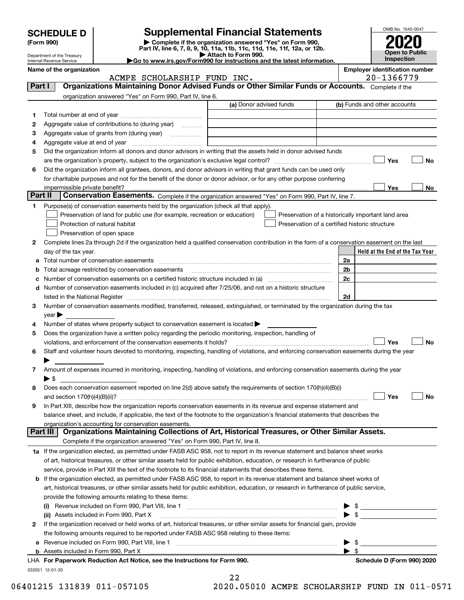| SCHEDULE D |  |
|------------|--|
|            |  |

## **SCHEDULE D Supplemental Financial Statements**

(Form 990)<br>
Pepartment of the Treasury<br>
Department of the Treasury<br>
Department of the Treasury<br>
Department of the Treasury<br> **Co to www.irs.gov/Form990 for instructions and the latest information.**<br> **Co to www.irs.gov/Form9** 



Department of the Treasury Internal Revenue Service

**Name of the organization Employer identification number**

|                | ACMPE SCHOLARSHIP FUND INC.                                                                                                                                                                                                    | 20-1366779                                         |
|----------------|--------------------------------------------------------------------------------------------------------------------------------------------------------------------------------------------------------------------------------|----------------------------------------------------|
| Part I         | Organizations Maintaining Donor Advised Funds or Other Similar Funds or Accounts. Complete if the                                                                                                                              |                                                    |
|                | organization answered "Yes" on Form 990, Part IV, line 6.                                                                                                                                                                      |                                                    |
|                | (a) Donor advised funds                                                                                                                                                                                                        | (b) Funds and other accounts                       |
| 1              |                                                                                                                                                                                                                                |                                                    |
| 2              | Aggregate value of contributions to (during year)                                                                                                                                                                              |                                                    |
| з              |                                                                                                                                                                                                                                |                                                    |
| 4              |                                                                                                                                                                                                                                |                                                    |
| 5              | Did the organization inform all donors and donor advisors in writing that the assets held in donor advised funds                                                                                                               |                                                    |
|                |                                                                                                                                                                                                                                | Yes<br>No                                          |
| 6              | Did the organization inform all grantees, donors, and donor advisors in writing that grant funds can be used only                                                                                                              |                                                    |
|                | for charitable purposes and not for the benefit of the donor or donor advisor, or for any other purpose conferring                                                                                                             |                                                    |
|                | impermissible private benefit?                                                                                                                                                                                                 | Yes<br>No                                          |
| <b>Part II</b> | Conservation Easements. Complete if the organization answered "Yes" on Form 990, Part IV, line 7.                                                                                                                              |                                                    |
| 1              | Purpose(s) of conservation easements held by the organization (check all that apply).                                                                                                                                          |                                                    |
|                | Preservation of land for public use (for example, recreation or education)                                                                                                                                                     | Preservation of a historically important land area |
|                | Protection of natural habitat<br>Preservation of a certified historic structure                                                                                                                                                |                                                    |
|                | Preservation of open space                                                                                                                                                                                                     |                                                    |
| 2              | Complete lines 2a through 2d if the organization held a qualified conservation contribution in the form of a conservation easement on the last                                                                                 |                                                    |
|                | day of the tax year.                                                                                                                                                                                                           | Held at the End of the Tax Year                    |
| а              | Total number of conservation easements                                                                                                                                                                                         | 2a                                                 |
| b              | Total acreage restricted by conservation easements                                                                                                                                                                             | 2b                                                 |
| с              |                                                                                                                                                                                                                                | 2c                                                 |
| d              | Number of conservation easements included in (c) acquired after 7/25/06, and not on a historic structure                                                                                                                       |                                                    |
|                | listed in the National Register [111] [12] The National Register [11] Manuscritt, Manuscritt, Manuscritt, Manuscritt, Manuscritt, Manuscritt, Manuscritt, Manuscritt, Manuscritt, Manuscritt, Manuscritt, Manuscritt, Manuscri | 2d                                                 |
| 3              | Number of conservation easements modified, transferred, released, extinguished, or terminated by the organization during the tax                                                                                               |                                                    |
|                | year                                                                                                                                                                                                                           |                                                    |
| 4              | Number of states where property subject to conservation easement is located >                                                                                                                                                  |                                                    |
| 5              | Does the organization have a written policy regarding the periodic monitoring, inspection, handling of                                                                                                                         |                                                    |
|                | violations, and enforcement of the conservation easements it holds?                                                                                                                                                            | Yes<br>No                                          |
| 6              | Staff and volunteer hours devoted to monitoring, inspecting, handling of violations, and enforcing conservation easements during the year                                                                                      |                                                    |
|                |                                                                                                                                                                                                                                |                                                    |
| 7              | Amount of expenses incurred in monitoring, inspecting, handling of violations, and enforcing conservation easements during the year                                                                                            |                                                    |
|                | $\blacktriangleright$ s                                                                                                                                                                                                        |                                                    |
| 8              | Does each conservation easement reported on line 2(d) above satisfy the requirements of section 170(h)(4)(B)(i)                                                                                                                |                                                    |
|                |                                                                                                                                                                                                                                | Yes<br>No                                          |
| 9              | In Part XIII, describe how the organization reports conservation easements in its revenue and expense statement and                                                                                                            |                                                    |
|                | balance sheet, and include, if applicable, the text of the footnote to the organization's financial statements that describes the                                                                                              |                                                    |
|                | organization's accounting for conservation easements.                                                                                                                                                                          |                                                    |
|                | Organizations Maintaining Collections of Art, Historical Treasures, or Other Similar Assets.<br>Part III                                                                                                                       |                                                    |
|                | Complete if the organization answered "Yes" on Form 990, Part IV, line 8.                                                                                                                                                      |                                                    |
|                | 1a If the organization elected, as permitted under FASB ASC 958, not to report in its revenue statement and balance sheet works                                                                                                |                                                    |
|                | of art, historical treasures, or other similar assets held for public exhibition, education, or research in furtherance of public                                                                                              |                                                    |
|                | service, provide in Part XIII the text of the footnote to its financial statements that describes these items.                                                                                                                 |                                                    |
| b              | If the organization elected, as permitted under FASB ASC 958, to report in its revenue statement and balance sheet works of                                                                                                    |                                                    |
|                | art, historical treasures, or other similar assets held for public exhibition, education, or research in furtherance of public service,                                                                                        |                                                    |
|                | provide the following amounts relating to these items:                                                                                                                                                                         |                                                    |
|                |                                                                                                                                                                                                                                | \$                                                 |
|                | (ii) Assets included in Form 990, Part X                                                                                                                                                                                       | $\blacktriangleright$ \$                           |
| 2              | If the organization received or held works of art, historical treasures, or other similar assets for financial gain, provide                                                                                                   |                                                    |
|                | the following amounts required to be reported under FASB ASC 958 relating to these items:                                                                                                                                      |                                                    |
| а              |                                                                                                                                                                                                                                | \$                                                 |
|                |                                                                                                                                                                                                                                | $\blacktriangleright$ \$                           |
|                | LHA For Paperwork Reduction Act Notice, see the Instructions for Form 990.                                                                                                                                                     | Schedule D (Form 990) 2020                         |
|                | 032051 12-01-20                                                                                                                                                                                                                |                                                    |
|                |                                                                                                                                                                                                                                |                                                    |

|     | 22 |  |        |  |
|-----|----|--|--------|--|
| ヽへへ |    |  | 0.5010 |  |

06401215 131839 011-057105 2020.05010 ACMPE SCHOLARSHIP FUND IN 011-0571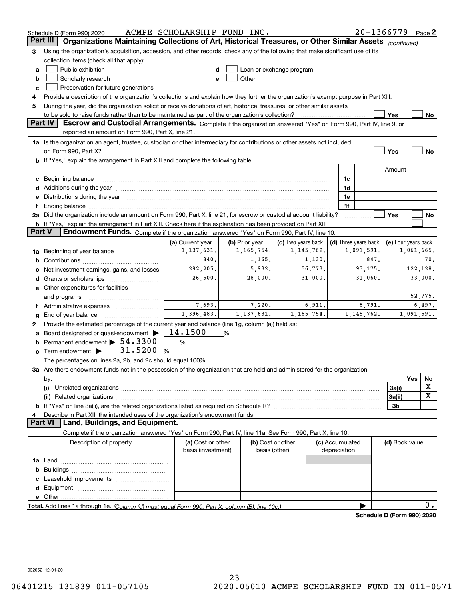|               | Schedule D (Form 990) 2020                                                                                                                                                                                                     | ACMPE SCHOLARSHIP FUND INC. |                   |                                                                                                                                                                                                                               |                 | $20 - 1366779$ Page 2      |                     |     |            |
|---------------|--------------------------------------------------------------------------------------------------------------------------------------------------------------------------------------------------------------------------------|-----------------------------|-------------------|-------------------------------------------------------------------------------------------------------------------------------------------------------------------------------------------------------------------------------|-----------------|----------------------------|---------------------|-----|------------|
|               | Part III<br>Organizations Maintaining Collections of Art, Historical Treasures, or Other Similar Assets (continued)                                                                                                            |                             |                   |                                                                                                                                                                                                                               |                 |                            |                     |     |            |
| 3             | Using the organization's acquisition, accession, and other records, check any of the following that make significant use of its                                                                                                |                             |                   |                                                                                                                                                                                                                               |                 |                            |                     |     |            |
|               | collection items (check all that apply):                                                                                                                                                                                       |                             |                   |                                                                                                                                                                                                                               |                 |                            |                     |     |            |
| a             | Public exhibition                                                                                                                                                                                                              |                             |                   | Loan or exchange program                                                                                                                                                                                                      |                 |                            |                     |     |            |
| b             | Scholarly research                                                                                                                                                                                                             |                             |                   | Other and the contract of the contract of the contract of the contract of the contract of the contract of the contract of the contract of the contract of the contract of the contract of the contract of the contract of the |                 |                            |                     |     |            |
| c             | Preservation for future generations                                                                                                                                                                                            |                             |                   |                                                                                                                                                                                                                               |                 |                            |                     |     |            |
| 4             | Provide a description of the organization's collections and explain how they further the organization's exempt purpose in Part XIII.                                                                                           |                             |                   |                                                                                                                                                                                                                               |                 |                            |                     |     |            |
| 5             | During the year, did the organization solicit or receive donations of art, historical treasures, or other similar assets                                                                                                       |                             |                   |                                                                                                                                                                                                                               |                 |                            |                     |     |            |
|               | to be sold to raise funds rather than to be maintained as part of the organization's collection?                                                                                                                               |                             |                   |                                                                                                                                                                                                                               |                 |                            | Yes                 |     | <u>No</u>  |
|               | <b>Part IV</b><br>Escrow and Custodial Arrangements. Complete if the organization answered "Yes" on Form 990, Part IV, line 9, or<br>reported an amount on Form 990, Part X, line 21.                                          |                             |                   |                                                                                                                                                                                                                               |                 |                            |                     |     |            |
|               | 1a Is the organization an agent, trustee, custodian or other intermediary for contributions or other assets not included                                                                                                       |                             |                   |                                                                                                                                                                                                                               |                 |                            |                     |     |            |
|               |                                                                                                                                                                                                                                |                             |                   |                                                                                                                                                                                                                               |                 |                            | Yes                 |     | No         |
|               | b If "Yes," explain the arrangement in Part XIII and complete the following table:                                                                                                                                             |                             |                   |                                                                                                                                                                                                                               |                 |                            |                     |     |            |
|               |                                                                                                                                                                                                                                |                             |                   |                                                                                                                                                                                                                               |                 |                            | Amount              |     |            |
|               | c Beginning balance measurements and the contract of the contract of the contract of the contract of the contract of the contract of the contract of the contract of the contract of the contract of the contract of the contr |                             |                   |                                                                                                                                                                                                                               | 1c              |                            |                     |     |            |
|               |                                                                                                                                                                                                                                |                             |                   |                                                                                                                                                                                                                               | 1d              |                            |                     |     |            |
|               | e Distributions during the year manufactured and continuum and contact the year manufactured and contact the year manufactured and contact the year manufactured and contact the year manufactured and contact the year manufa |                             |                   |                                                                                                                                                                                                                               | 1e              |                            |                     |     |            |
| f.            | Ending balance manufactured and contract the contract of the contract of the contract of the contract of the contract of the contract of the contract of the contract of the contract of the contract of the contract of the c |                             |                   |                                                                                                                                                                                                                               | 1f              |                            |                     |     |            |
|               | 2a Did the organization include an amount on Form 990, Part X, line 21, for escrow or custodial account liability?                                                                                                             |                             |                   |                                                                                                                                                                                                                               |                 |                            | Yes                 |     | No         |
|               | <b>b</b> If "Yes," explain the arrangement in Part XIII. Check here if the explanation has been provided on Part XIII                                                                                                          |                             |                   |                                                                                                                                                                                                                               |                 |                            |                     |     |            |
| <b>Part V</b> | Endowment Funds. Complete if the organization answered "Yes" on Form 990, Part IV, line 10.                                                                                                                                    |                             |                   |                                                                                                                                                                                                                               |                 |                            |                     |     |            |
|               |                                                                                                                                                                                                                                | (a) Current year            | (b) Prior year    | (c) Two years back                                                                                                                                                                                                            |                 | (d) Three years back       | (e) Four years back |     |            |
|               | 1a Beginning of year balance                                                                                                                                                                                                   | 1,137,631.                  | 1,165,754.        | 1, 145, 762.                                                                                                                                                                                                                  |                 | 1,091,591.                 |                     |     | 1,061,665. |
|               |                                                                                                                                                                                                                                | 840.                        | 1,165.            | 1,130.                                                                                                                                                                                                                        |                 | 847.                       |                     |     | 70.        |
|               | c Net investment earnings, gains, and losses                                                                                                                                                                                   | 292,205.                    | 5,932.            | 56,773.                                                                                                                                                                                                                       |                 | 93,175.                    |                     |     | 122,128.   |
|               |                                                                                                                                                                                                                                | 26,500.                     | 28,000.           | 31,000.                                                                                                                                                                                                                       |                 | 31,060.                    |                     |     | 33,000.    |
|               | e Other expenditures for facilities                                                                                                                                                                                            |                             |                   |                                                                                                                                                                                                                               |                 |                            |                     |     |            |
|               | and programs                                                                                                                                                                                                                   |                             |                   |                                                                                                                                                                                                                               |                 |                            |                     |     | 52,775.    |
|               | f Administrative expenses <i></i>                                                                                                                                                                                              | 7,693.                      | 7,220.            | 6,911.                                                                                                                                                                                                                        |                 | 8,791.                     |                     |     | 6,497.     |
| g             | End of year balance                                                                                                                                                                                                            | 1,396,483.                  | 1, 137, 631.      | 1, 165, 754.                                                                                                                                                                                                                  |                 | 1, 145, 762.               |                     |     | 1,091,591. |
| 2             | Provide the estimated percentage of the current year end balance (line 1g, column (a)) held as:                                                                                                                                |                             |                   |                                                                                                                                                                                                                               |                 |                            |                     |     |            |
|               | a Board designated or quasi-endowment >                                                                                                                                                                                        | 14.1500                     | %                 |                                                                                                                                                                                                                               |                 |                            |                     |     |            |
|               | <b>b</b> Permanent endowment $\triangleright$ 54.3300                                                                                                                                                                          | %                           |                   |                                                                                                                                                                                                                               |                 |                            |                     |     |            |
|               | 31.5200<br>$\mathbf c$ Term endowment $\blacktriangleright$                                                                                                                                                                    | %                           |                   |                                                                                                                                                                                                                               |                 |                            |                     |     |            |
|               | The percentages on lines 2a, 2b, and 2c should equal 100%.                                                                                                                                                                     |                             |                   |                                                                                                                                                                                                                               |                 |                            |                     |     |            |
|               | 3a Are there endowment funds not in the possession of the organization that are held and administered for the organization                                                                                                     |                             |                   |                                                                                                                                                                                                                               |                 |                            |                     |     |            |
|               | by:                                                                                                                                                                                                                            |                             |                   |                                                                                                                                                                                                                               |                 |                            |                     | Yes | No         |
|               | (i)                                                                                                                                                                                                                            |                             |                   |                                                                                                                                                                                                                               |                 |                            | 3a(i)               |     | х          |
|               |                                                                                                                                                                                                                                |                             |                   |                                                                                                                                                                                                                               |                 |                            | 3a(ii)              |     | х          |
|               |                                                                                                                                                                                                                                |                             |                   |                                                                                                                                                                                                                               |                 |                            | 3b                  |     |            |
|               | Describe in Part XIII the intended uses of the organization's endowment funds.                                                                                                                                                 |                             |                   |                                                                                                                                                                                                                               |                 |                            |                     |     |            |
|               | Land, Buildings, and Equipment.<br><b>Part VI</b>                                                                                                                                                                              |                             |                   |                                                                                                                                                                                                                               |                 |                            |                     |     |            |
|               | Complete if the organization answered "Yes" on Form 990, Part IV, line 11a. See Form 990, Part X, line 10.                                                                                                                     |                             |                   |                                                                                                                                                                                                                               |                 |                            |                     |     |            |
|               | Description of property                                                                                                                                                                                                        | (a) Cost or other           | (b) Cost or other |                                                                                                                                                                                                                               | (c) Accumulated |                            | (d) Book value      |     |            |
|               |                                                                                                                                                                                                                                | basis (investment)          | basis (other)     |                                                                                                                                                                                                                               | depreciation    |                            |                     |     |            |
|               |                                                                                                                                                                                                                                |                             |                   |                                                                                                                                                                                                                               |                 |                            |                     |     |            |
|               |                                                                                                                                                                                                                                |                             |                   |                                                                                                                                                                                                                               |                 |                            |                     |     |            |
|               |                                                                                                                                                                                                                                |                             |                   |                                                                                                                                                                                                                               |                 |                            |                     |     |            |
|               |                                                                                                                                                                                                                                |                             |                   |                                                                                                                                                                                                                               |                 |                            |                     |     |            |
|               |                                                                                                                                                                                                                                |                             |                   |                                                                                                                                                                                                                               |                 |                            |                     |     |            |
|               |                                                                                                                                                                                                                                |                             |                   |                                                                                                                                                                                                                               |                 |                            |                     |     | 0.         |
|               |                                                                                                                                                                                                                                |                             |                   |                                                                                                                                                                                                                               |                 | Schedule D (Form 990) 2020 |                     |     |            |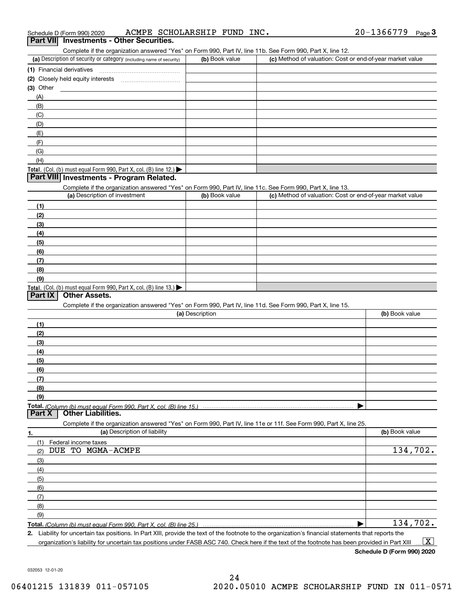| 20-1366779<br>ACMPE SCHOLARSHIP FUND<br>INC.<br>Schedule D (Form 990) 2020 | Page |  |
|----------------------------------------------------------------------------|------|--|
|----------------------------------------------------------------------------|------|--|

## **Part VII Investments - Other Securities.**

Complete if the organization answered "Yes" on Form 990, Part IV, line 11b. See Form 990, Part X, line 12.

| (a) Description of security or category (including name of security)                   | (b) Book value | (c) Method of valuation: Cost or end-of-year market value |
|----------------------------------------------------------------------------------------|----------------|-----------------------------------------------------------|
| (1) Financial derivatives                                                              |                |                                                           |
| (2) Closely held equity interests                                                      |                |                                                           |
| $(3)$ Other                                                                            |                |                                                           |
| (A)                                                                                    |                |                                                           |
| (B)                                                                                    |                |                                                           |
| (C)                                                                                    |                |                                                           |
| (D)                                                                                    |                |                                                           |
| (E)                                                                                    |                |                                                           |
| (F)                                                                                    |                |                                                           |
| (G)                                                                                    |                |                                                           |
| (H)                                                                                    |                |                                                           |
| Total. (Col. (b) must equal Form 990, Part X, col. (B) line 12.) $\blacktriangleright$ |                |                                                           |

### **Part VIII Investments - Program Related.**

Complete if the organization answered "Yes" on Form 990, Part IV, line 11c. See Form 990, Part X, line 13.

| (a) Description of investment                                                          | (b) Book value | (c) Method of valuation: Cost or end-of-year market value |
|----------------------------------------------------------------------------------------|----------------|-----------------------------------------------------------|
| (1)                                                                                    |                |                                                           |
| (2)                                                                                    |                |                                                           |
| $\frac{1}{2}$                                                                          |                |                                                           |
| (4)                                                                                    |                |                                                           |
| (5)                                                                                    |                |                                                           |
| (6)                                                                                    |                |                                                           |
| (7)                                                                                    |                |                                                           |
| (8)                                                                                    |                |                                                           |
| (9)                                                                                    |                |                                                           |
| Total. (Col. (b) must equal Form 990, Part X, col. (B) line 13.) $\blacktriangleright$ |                |                                                           |

## **Part IX Other Assets.**

Complete if the organization answered "Yes" on Form 990, Part IV, line 11d. See Form 990, Part X, line 15.

| (a) Description | (b) Book value |
|-----------------|----------------|
|                 |                |
| (2)             |                |
| (3)             |                |
| (4)             |                |
| (5)             |                |
| (6)             |                |
|                 |                |
| (8)             |                |
| (9)             |                |
|                 |                |
|                 |                |

**1.(a)** Description of liability **Book value** Book value Book value Book value Book value Complete if the organization answered "Yes" on Form 990, Part IV, line 11e or 11f. See Form 990, Part X, line 25. (1)Federal income taxes (2)(3)(4)(5) (6)(7)(8)(9) $\blacktriangleright$ DUE TO MGMA-ACMPE 134,702. 134,702.

**Total.**  *(Column (b) must equal Form 990, Part X, col. (B) line 25.)* 

**2.**Liability for uncertain tax positions. In Part XIII, provide the text of the footnote to the organization's financial statements that reports the organization's liability for uncertain tax positions under FASB ASC 740. Check here if the text of the footnote has been provided in Part XIII  $\boxed{\text{X}}$ 

**Schedule D (Form 990) 2020**

032053 12-01-20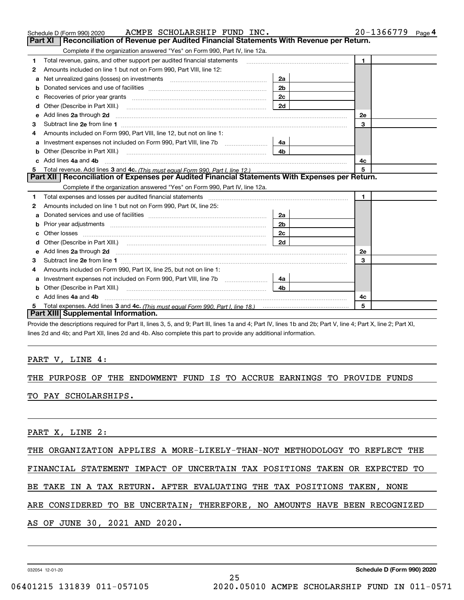|    | ACMPE SCHOLARSHIP FUND INC.<br>Schedule D (Form 990) 2020                                                                                                                                                                           |                | 20-1366779<br>Page 4 |
|----|-------------------------------------------------------------------------------------------------------------------------------------------------------------------------------------------------------------------------------------|----------------|----------------------|
|    | Part XI<br>Reconciliation of Revenue per Audited Financial Statements With Revenue per Return.                                                                                                                                      |                |                      |
|    | Complete if the organization answered "Yes" on Form 990, Part IV, line 12a.                                                                                                                                                         |                |                      |
| 1  | Total revenue, gains, and other support per audited financial statements                                                                                                                                                            |                | $\blacksquare$       |
| 2  | Amounts included on line 1 but not on Form 990, Part VIII, line 12:                                                                                                                                                                 |                |                      |
| a  | Net unrealized gains (losses) on investments [11] matter contracts and the unrealized gains (losses) on investments                                                                                                                 | 2a             |                      |
|    |                                                                                                                                                                                                                                     | 2 <sub>b</sub> |                      |
|    |                                                                                                                                                                                                                                     | 2c             |                      |
| d  | Other (Describe in Part XIII.) <b>Construction Contract Construction</b> Chern Construction Construction Construction                                                                                                               | 2d             |                      |
| е  | Add lines 2a through 2d                                                                                                                                                                                                             |                | <b>2e</b>            |
| з  |                                                                                                                                                                                                                                     |                | 3                    |
| 4  | Amounts included on Form 990, Part VIII, line 12, but not on line 1:                                                                                                                                                                |                |                      |
|    |                                                                                                                                                                                                                                     | - 4a           |                      |
| b  |                                                                                                                                                                                                                                     | 4 <sub>b</sub> |                      |
| c. | Add lines 4a and 4b                                                                                                                                                                                                                 |                | 4c                   |
|    |                                                                                                                                                                                                                                     |                | 5                    |
|    | Part XII   Reconciliation of Expenses per Audited Financial Statements With Expenses per Return.                                                                                                                                    |                |                      |
|    | Complete if the organization answered "Yes" on Form 990, Part IV, line 12a.                                                                                                                                                         |                |                      |
| 1  | Total expenses and losses per audited financial statements [111] [12] contain an interview and losses per audited financial statements [11] [12] contain an interview and the statements of the statements of the statements a      |                | $\blacksquare$       |
| 2  | Amounts included on line 1 but not on Form 990, Part IX, line 25:                                                                                                                                                                   |                |                      |
| a  |                                                                                                                                                                                                                                     | 2a             |                      |
|    | Prior year adjustments entertainments and the contract of the contract of the contract of the contract of the contract of the contract of the contract of the contract of the contract of the contract of the contract of the       | 2 <sub>b</sub> |                      |
|    |                                                                                                                                                                                                                                     | 2c             |                      |
| d  |                                                                                                                                                                                                                                     | 2d             |                      |
|    | Add lines 2a through 2d <b>contained a contained a contained a contained a</b> contained a contact the set of the set of the set of the set of the set of the set of the set of the set of the set of the set of the set of the set |                | 2e                   |
| 3  |                                                                                                                                                                                                                                     |                | 3                    |
| 4  | Amounts included on Form 990, Part IX, line 25, but not on line 1:                                                                                                                                                                  |                |                      |
|    |                                                                                                                                                                                                                                     | 4a l           |                      |
| b  |                                                                                                                                                                                                                                     | 4b             |                      |
|    | c Add lines 4a and 4b                                                                                                                                                                                                               |                | 4c                   |
|    |                                                                                                                                                                                                                                     |                | 5                    |
|    | Part XIII Supplemental Information.                                                                                                                                                                                                 |                |                      |

Provide the descriptions required for Part II, lines 3, 5, and 9; Part III, lines 1a and 4; Part IV, lines 1b and 2b; Part V, line 4; Part X, line 2; Part XI, lines 2d and 4b; and Part XII, lines 2d and 4b. Also complete this part to provide any additional information.

## PART V, LINE 4:

THE PURPOSE OF THE ENDOWMENT FUND IS TO ACCRUE EARNINGS TO PROVIDE FUNDS

TO PAY SCHOLARSHIPS.

PART X, LINE 2:

THE ORGANIZATION APPLIES A MORE-LIKELY-THAN-NOT METHODOLOGY TO REFLECT THE

FINANCIAL STATEMENT IMPACT OF UNCERTAIN TAX POSITIONS TAKEN OR EXPECTED TO

BE TAKE IN A TAX RETURN. AFTER EVALUATING THE TAX POSITIONS TAKEN, NONE

ARE CONSIDERED TO BE UNCERTAIN; THEREFORE, NO AMOUNTS HAVE BEEN RECOGNIZED

25

AS OF JUNE 30, 2021 AND 2020.

032054 12-01-20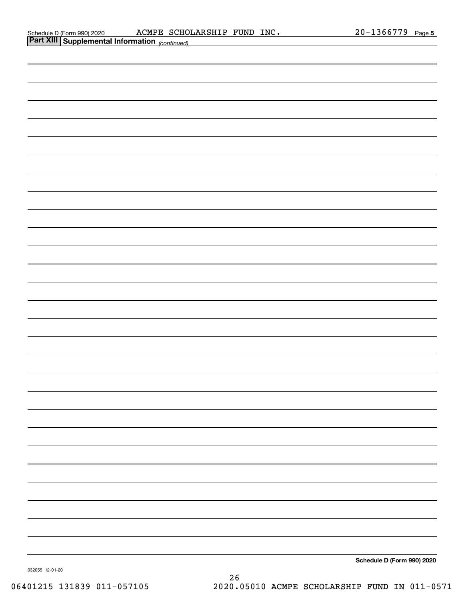| <b>Part XIII Supplemental Information</b> (continued) |                            |
|-------------------------------------------------------|----------------------------|
|                                                       |                            |
|                                                       |                            |
|                                                       |                            |
|                                                       |                            |
|                                                       |                            |
|                                                       |                            |
|                                                       |                            |
|                                                       |                            |
|                                                       |                            |
|                                                       |                            |
|                                                       |                            |
|                                                       |                            |
|                                                       |                            |
|                                                       |                            |
|                                                       |                            |
|                                                       |                            |
|                                                       |                            |
|                                                       |                            |
|                                                       |                            |
|                                                       |                            |
|                                                       |                            |
|                                                       |                            |
|                                                       |                            |
|                                                       |                            |
|                                                       |                            |
|                                                       |                            |
|                                                       |                            |
|                                                       |                            |
|                                                       |                            |
|                                                       |                            |
|                                                       |                            |
|                                                       |                            |
|                                                       | Schedule D (Form 990) 2020 |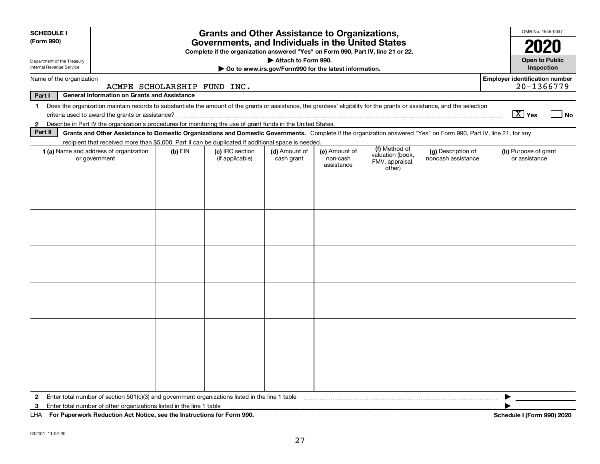| <b>SCHEDULE I</b><br><b>Grants and Other Assistance to Organizations,</b>                                                                                                                                                                                                                          | OMB No. 1545-0047                     |  |  |  |  |
|----------------------------------------------------------------------------------------------------------------------------------------------------------------------------------------------------------------------------------------------------------------------------------------------------|---------------------------------------|--|--|--|--|
| (Form 990)<br>Governments, and Individuals in the United States<br>Complete if the organization answered "Yes" on Form 990, Part IV, line 21 or 22.                                                                                                                                                | 2020                                  |  |  |  |  |
| Attach to Form 990.<br>Department of the Treasury<br>Internal Revenue Service<br>Go to www.irs.gov/Form990 for the latest information.                                                                                                                                                             | <b>Open to Public</b><br>Inspection   |  |  |  |  |
| <b>Employer identification number</b><br>Name of the organization<br>20-1366779<br>ACMPE SCHOLARSHIP FUND INC.                                                                                                                                                                                     |                                       |  |  |  |  |
| <b>General Information on Grants and Assistance</b><br>Part I                                                                                                                                                                                                                                      |                                       |  |  |  |  |
| Does the organization maintain records to substantiate the amount of the grants or assistance, the grantees' eligibility for the grants or assistance, and the selection<br>1                                                                                                                      | $\boxed{\text{X}}$ Yes<br>  No        |  |  |  |  |
| Describe in Part IV the organization's procedures for monitoring the use of grant funds in the United States.<br>$\mathbf{2}$                                                                                                                                                                      |                                       |  |  |  |  |
| Part II<br>Grants and Other Assistance to Domestic Organizations and Domestic Governments. Complete if the organization answered "Yes" on Form 990, Part IV, line 21, for any<br>recipient that received more than \$5,000. Part II can be duplicated if additional space is needed.               |                                       |  |  |  |  |
| (f) Method of<br>(c) IRC section<br>(d) Amount of<br>(e) Amount of<br>(g) Description of<br>1 (a) Name and address of organization<br>$(b)$ EIN<br>valuation (book,<br>noncash assistance<br>or government<br>(if applicable)<br>cash grant<br>non-cash<br>FMV, appraisal,<br>assistance<br>other) | (h) Purpose of grant<br>or assistance |  |  |  |  |
|                                                                                                                                                                                                                                                                                                    |                                       |  |  |  |  |
|                                                                                                                                                                                                                                                                                                    |                                       |  |  |  |  |
| Enter total number of section 501(c)(3) and government organizations listed in the line 1 table<br>2                                                                                                                                                                                               |                                       |  |  |  |  |
| Enter total number of other organizations listed in the line 1 table<br>з<br>LHA For Paperwork Reduction Act Notice, see the Instructions for Form 990.                                                                                                                                            | Schedule I (Form 990) 2020            |  |  |  |  |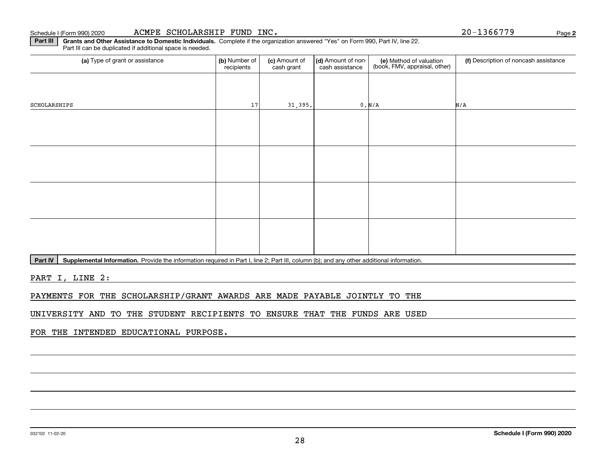**2**

**Part III | Grants and Other Assistance to Domestic Individuals. Complete if the organization answered "Yes" on Form 990, Part IV, line 22.** Part III can be duplicated if additional space is needed.

| recipients | (c) Amount of<br>cash grant | cash assistance     | (e) Method of valuation<br>(book, FMV, appraisal, other) | (f) Description of noncash assistance |
|------------|-----------------------------|---------------------|----------------------------------------------------------|---------------------------------------|
|            |                             |                     |                                                          |                                       |
|            |                             |                     |                                                          | N/A                                   |
|            |                             |                     |                                                          |                                       |
|            |                             |                     |                                                          |                                       |
|            |                             |                     |                                                          |                                       |
|            |                             |                     |                                                          |                                       |
|            |                             |                     |                                                          |                                       |
|            |                             |                     |                                                          |                                       |
|            |                             |                     |                                                          |                                       |
|            |                             |                     |                                                          |                                       |
|            |                             | (b) Number of<br>17 | 31,395.                                                  | (d) Amount of non-<br>0. N/A          |

Part IV | Supplemental Information. Provide the information required in Part I, line 2; Part III, column (b); and any other additional information.

PART I, LINE 2:

PAYMENTS FOR THE SCHOLARSHIP/GRANT AWARDS ARE MADE PAYABLE JOINTLY TO THE

UNIVERSITY AND TO THE STUDENT RECIPIENTS TO ENSURE THAT THE FUNDS ARE USED

FOR THE INTENDED EDUCATIONAL PURPOSE.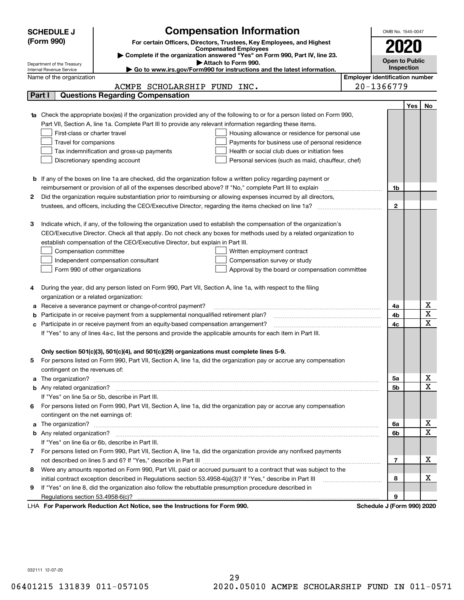|    | <b>Compensation Information</b><br>OMB No. 1545-0047<br><b>SCHEDULE J</b>                                                                                                                                     |                                       |                            |     |                                     |  |  |  |  |
|----|---------------------------------------------------------------------------------------------------------------------------------------------------------------------------------------------------------------|---------------------------------------|----------------------------|-----|-------------------------------------|--|--|--|--|
|    | (Form 990)<br>For certain Officers, Directors, Trustees, Key Employees, and Highest                                                                                                                           |                                       |                            |     |                                     |  |  |  |  |
|    | <b>Compensated Employees</b>                                                                                                                                                                                  |                                       |                            |     |                                     |  |  |  |  |
|    | Complete if the organization answered "Yes" on Form 990, Part IV, line 23.                                                                                                                                    |                                       | Open to Public             |     |                                     |  |  |  |  |
|    | Attach to Form 990.<br>Department of the Treasury<br>Go to www.irs.gov/Form990 for instructions and the latest information.<br>Internal Revenue Service                                                       |                                       | Inspection                 |     |                                     |  |  |  |  |
|    | Name of the organization                                                                                                                                                                                      | <b>Employer identification number</b> |                            |     |                                     |  |  |  |  |
|    | ACMPE SCHOLARSHIP FUND INC.                                                                                                                                                                                   |                                       | 20-1366779                 |     |                                     |  |  |  |  |
|    | <b>Questions Regarding Compensation</b><br>Part I                                                                                                                                                             |                                       |                            |     |                                     |  |  |  |  |
|    |                                                                                                                                                                                                               |                                       |                            | Yes | No                                  |  |  |  |  |
|    | <b>1a</b> Check the appropriate box(es) if the organization provided any of the following to or for a person listed on Form 990,                                                                              |                                       |                            |     |                                     |  |  |  |  |
|    | Part VII, Section A, line 1a. Complete Part III to provide any relevant information regarding these items.                                                                                                    |                                       |                            |     |                                     |  |  |  |  |
|    | First-class or charter travel<br>Housing allowance or residence for personal use                                                                                                                              |                                       |                            |     |                                     |  |  |  |  |
|    | Travel for companions<br>Payments for business use of personal residence                                                                                                                                      |                                       |                            |     |                                     |  |  |  |  |
|    | Health or social club dues or initiation fees<br>Tax indemnification and gross-up payments                                                                                                                    |                                       |                            |     |                                     |  |  |  |  |
|    | Discretionary spending account<br>Personal services (such as maid, chauffeur, chef)                                                                                                                           |                                       |                            |     |                                     |  |  |  |  |
|    |                                                                                                                                                                                                               |                                       |                            |     |                                     |  |  |  |  |
|    | <b>b</b> If any of the boxes on line 1a are checked, did the organization follow a written policy regarding payment or                                                                                        |                                       |                            |     |                                     |  |  |  |  |
|    | reimbursement or provision of all of the expenses described above? If "No," complete Part III to explain                                                                                                      |                                       | 1b                         |     |                                     |  |  |  |  |
| 2  | Did the organization require substantiation prior to reimbursing or allowing expenses incurred by all directors,                                                                                              |                                       |                            |     |                                     |  |  |  |  |
|    |                                                                                                                                                                                                               |                                       | $\mathbf{2}$               |     |                                     |  |  |  |  |
|    |                                                                                                                                                                                                               |                                       |                            |     |                                     |  |  |  |  |
| з  | Indicate which, if any, of the following the organization used to establish the compensation of the organization's                                                                                            |                                       |                            |     |                                     |  |  |  |  |
|    | CEO/Executive Director. Check all that apply. Do not check any boxes for methods used by a related organization to                                                                                            |                                       |                            |     |                                     |  |  |  |  |
|    | establish compensation of the CEO/Executive Director, but explain in Part III.                                                                                                                                |                                       |                            |     |                                     |  |  |  |  |
|    | Compensation committee<br>Written employment contract                                                                                                                                                         |                                       |                            |     |                                     |  |  |  |  |
|    | Independent compensation consultant<br>Compensation survey or study                                                                                                                                           |                                       |                            |     |                                     |  |  |  |  |
|    | Form 990 of other organizations<br>Approval by the board or compensation committee                                                                                                                            |                                       |                            |     |                                     |  |  |  |  |
|    |                                                                                                                                                                                                               |                                       |                            |     |                                     |  |  |  |  |
|    | During the year, did any person listed on Form 990, Part VII, Section A, line 1a, with respect to the filing                                                                                                  |                                       |                            |     |                                     |  |  |  |  |
|    | organization or a related organization:                                                                                                                                                                       |                                       |                            |     |                                     |  |  |  |  |
|    | Receive a severance payment or change-of-control payment?                                                                                                                                                     |                                       | 4a                         |     | <u>x</u><br>$\overline{\mathtt{x}}$ |  |  |  |  |
|    | Participate in or receive payment from a supplemental nonqualified retirement plan?                                                                                                                           |                                       | 4b                         |     | $\overline{\text{x}}$               |  |  |  |  |
| c  | Participate in or receive payment from an equity-based compensation arrangement?                                                                                                                              |                                       | 4c                         |     |                                     |  |  |  |  |
|    | If "Yes" to any of lines 4a-c, list the persons and provide the applicable amounts for each item in Part III.                                                                                                 |                                       |                            |     |                                     |  |  |  |  |
|    |                                                                                                                                                                                                               |                                       |                            |     |                                     |  |  |  |  |
|    | Only section 501(c)(3), 501(c)(4), and 501(c)(29) organizations must complete lines 5-9.<br>For persons listed on Form 990, Part VII, Section A, line 1a, did the organization pay or accrue any compensation |                                       |                            |     |                                     |  |  |  |  |
| 5. | contingent on the revenues of:                                                                                                                                                                                |                                       |                            |     |                                     |  |  |  |  |
|    |                                                                                                                                                                                                               |                                       | 5a                         |     |                                     |  |  |  |  |
|    |                                                                                                                                                                                                               |                                       | 5b                         |     | $\frac{\text{X}}{\text{X}}$         |  |  |  |  |
|    | If "Yes" on line 5a or 5b, describe in Part III.                                                                                                                                                              |                                       |                            |     |                                     |  |  |  |  |
| 6. | For persons listed on Form 990, Part VII, Section A, line 1a, did the organization pay or accrue any compensation                                                                                             |                                       |                            |     |                                     |  |  |  |  |
|    | contingent on the net earnings of:                                                                                                                                                                            |                                       |                            |     |                                     |  |  |  |  |
|    |                                                                                                                                                                                                               |                                       | 6a                         |     | <u>x</u>                            |  |  |  |  |
|    |                                                                                                                                                                                                               |                                       | 6b                         |     | $\overline{\mathtt{x}}$             |  |  |  |  |
|    | If "Yes" on line 6a or 6b, describe in Part III.                                                                                                                                                              |                                       |                            |     |                                     |  |  |  |  |
|    | 7 For persons listed on Form 990, Part VII, Section A, line 1a, did the organization provide any nonfixed payments                                                                                            |                                       |                            |     |                                     |  |  |  |  |
|    |                                                                                                                                                                                                               |                                       | 7                          |     | x                                   |  |  |  |  |
| 8  | Were any amounts reported on Form 990, Part VII, paid or accrued pursuant to a contract that was subject to the                                                                                               |                                       |                            |     |                                     |  |  |  |  |
|    | initial contract exception described in Regulations section 53.4958-4(a)(3)? If "Yes," describe in Part III                                                                                                   |                                       | 8                          |     | x                                   |  |  |  |  |
| 9  | If "Yes" on line 8, did the organization also follow the rebuttable presumption procedure described in                                                                                                        |                                       |                            |     |                                     |  |  |  |  |
|    | Regulations section 53.4958-6(c)?                                                                                                                                                                             |                                       | 9                          |     |                                     |  |  |  |  |
|    | LHA For Paperwork Reduction Act Notice, see the Instructions for Form 990.                                                                                                                                    |                                       | Schedule J (Form 990) 2020 |     |                                     |  |  |  |  |

032111 12-07-20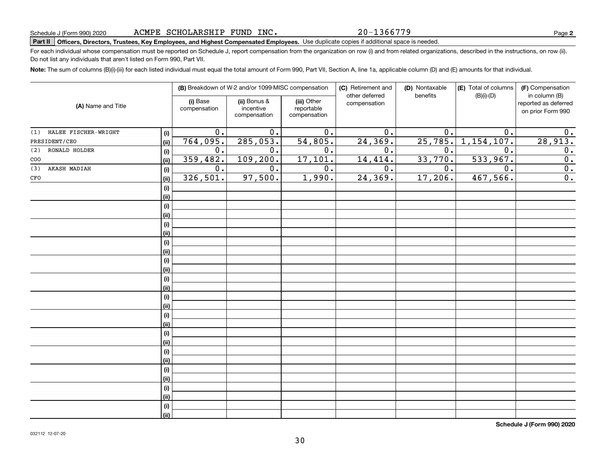# **Part II Officers, Directors, Trustees, Key Employees, and Highest Compensated Employees.**  Schedule J (Form 990) 2020 Page Use duplicate copies if additional space is needed.

For each individual whose compensation must be reported on Schedule J, report compensation from the organization on row (i) and from related organizations, described in the instructions, on row (ii). Do not list any individuals that aren't listed on Form 990, Part VII.

**Note:**  The sum of columns (B)(i)-(iii) for each listed individual must equal the total amount of Form 990, Part VII, Section A, line 1a, applicable column (D) and (E) amounts for that individual.

|                                    |                          | (B) Breakdown of W-2 and/or 1099-MISC compensation |                                           | (C) Retirement and<br>other deferred | (D) Nontaxable<br>benefits | (E) Total of columns<br>$(B)(i)-(D)$ | (F) Compensation<br>in column (B)         |
|------------------------------------|--------------------------|----------------------------------------------------|-------------------------------------------|--------------------------------------|----------------------------|--------------------------------------|-------------------------------------------|
| (A) Name and Title                 | (i) Base<br>compensation | (ii) Bonus &<br>incentive<br>compensation          | (iii) Other<br>reportable<br>compensation | compensation                         |                            |                                      | reported as deferred<br>on prior Form 990 |
| HALEE FISCHER-WRIGHT<br>(1)<br>(i) | 0.                       | $\overline{0}$ .                                   | $\overline{0}$ .                          | $\overline{0}$ .                     | 0.                         | $\overline{0}$ .                     | 0.                                        |
| PRESIDENT/CEO<br>(ii)              | 764,095.                 | 285,053.                                           | 54,805.                                   | 24, 369.                             | 25,785.                    | 1,154,107.                           | 28,913.                                   |
| RONALD HOLDER<br>(2)<br>(i)        | 0.                       | 0.                                                 | $\overline{0}$ .                          | $\overline{0}$ .                     | $\overline{0}$ .           | $\overline{0}$ .                     | 0.                                        |
| COO<br>(ii)                        | 359,482.                 | 109, 200.                                          | 17,101.                                   | 14,414.                              | 33,770.                    | 533,967.                             | $\overline{0}$ .                          |
| AKASH MADIAH<br>(3)<br>(i)         | 0.                       | 0.                                                 | $\overline{0}$ .                          | 0.                                   | 0.                         | $\overline{0}$ .                     | $\overline{\mathbf{0}}$ .                 |
| CFO<br>(ii)                        | 326,501.                 | 97,500.                                            | 1,990.                                    | 24, 369.                             | 17,206.                    | 467,566.                             | $\overline{0}$ .                          |
| (i)                                |                          |                                                    |                                           |                                      |                            |                                      |                                           |
| (ii)                               |                          |                                                    |                                           |                                      |                            |                                      |                                           |
| (i)                                |                          |                                                    |                                           |                                      |                            |                                      |                                           |
| (ii)                               |                          |                                                    |                                           |                                      |                            |                                      |                                           |
| (i)                                |                          |                                                    |                                           |                                      |                            |                                      |                                           |
| (ii)                               |                          |                                                    |                                           |                                      |                            |                                      |                                           |
| (i)                                |                          |                                                    |                                           |                                      |                            |                                      |                                           |
| (ii)                               |                          |                                                    |                                           |                                      |                            |                                      |                                           |
| (i)                                |                          |                                                    |                                           |                                      |                            |                                      |                                           |
| (ii)                               |                          |                                                    |                                           |                                      |                            |                                      |                                           |
| (i)                                |                          |                                                    |                                           |                                      |                            |                                      |                                           |
| (ii)                               |                          |                                                    |                                           |                                      |                            |                                      |                                           |
| (i)<br>(ii)                        |                          |                                                    |                                           |                                      |                            |                                      |                                           |
| (i)                                |                          |                                                    |                                           |                                      |                            |                                      |                                           |
| (ii)                               |                          |                                                    |                                           |                                      |                            |                                      |                                           |
| (i)                                |                          |                                                    |                                           |                                      |                            |                                      |                                           |
| (ii)                               |                          |                                                    |                                           |                                      |                            |                                      |                                           |
| (i)                                |                          |                                                    |                                           |                                      |                            |                                      |                                           |
| (ii)                               |                          |                                                    |                                           |                                      |                            |                                      |                                           |
| (i)                                |                          |                                                    |                                           |                                      |                            |                                      |                                           |
| (ii)                               |                          |                                                    |                                           |                                      |                            |                                      |                                           |
| (i)                                |                          |                                                    |                                           |                                      |                            |                                      |                                           |
| (ii)                               |                          |                                                    |                                           |                                      |                            |                                      |                                           |
| (i)                                |                          |                                                    |                                           |                                      |                            |                                      |                                           |
| (ii)                               |                          |                                                    |                                           |                                      |                            |                                      |                                           |

**Schedule J (Form 990) 2020**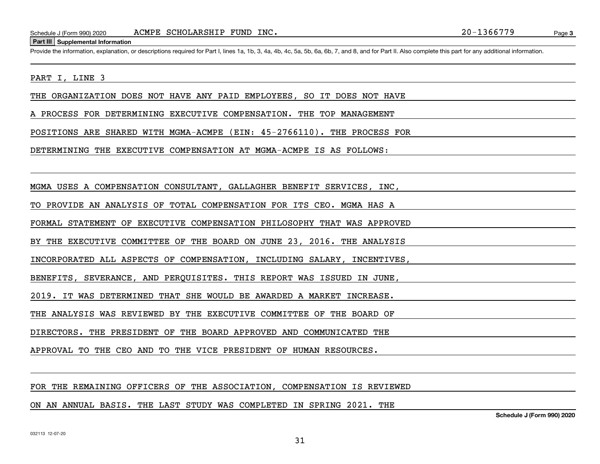#### **Part III Supplemental Information**

Schedule J (Form 990) 2020 ACMPE SCHOLARSHIP FUND INC.<br>Part III Supplemental Information<br>Provide the information, explanation, or descriptions required for Part I, lines 1a, 1b, 3, 4a, 4b, 4c, 5a, 5b, 6a, 6b, 7, and 8, and

#### PART I, LINE 3

THE ORGANIZATION DOES NOT HAVE ANY PAID EMPLOYEES, SO IT DOES NOT HAVE

A PROCESS FOR DETERMINING EXECUTIVE COMPENSATION. THE TOP MANAGEMENT

POSITIONS ARE SHARED WITH MGMA-ACMPE (EIN: 45-2766110). THE PROCESS FOR

DETERMINING THE EXECUTIVE COMPENSATION AT MGMA-ACMPE IS AS FOLLOWS:

MGMA USES A COMPENSATION CONSULTANT, GALLAGHER BENEFIT SERVICES, INC,

TO PROVIDE AN ANALYSIS OF TOTAL COMPENSATION FOR ITS CEO. MGMA HAS A

FORMAL STATEMENT OF EXECUTIVE COMPENSATION PHILOSOPHY THAT WAS APPROVED

BY THE EXECUTIVE COMMITTEE OF THE BOARD ON JUNE 23, 2016. THE ANALYSIS

INCORPORATED ALL ASPECTS OF COMPENSATION, INCLUDING SALARY, INCENTIVES,

BENEFITS, SEVERANCE, AND PERQUISITES. THIS REPORT WAS ISSUED IN JUNE,

2019. IT WAS DETERMINED THAT SHE WOULD BE AWARDED A MARKET INCREASE.

THE ANALYSIS WAS REVIEWED BY THE EXECUTIVE COMMITTEE OF THE BOARD OF

DIRECTORS. THE PRESIDENT OF THE BOARD APPROVED AND COMMUNICATED THE

APPROVAL TO THE CEO AND TO THE VICE PRESIDENT OF HUMAN RESOURCES.

#### FOR THE REMAINING OFFICERS OF THE ASSOCIATION, COMPENSATION IS REVIEWED

ON AN ANNUAL BASIS. THE LAST STUDY WAS COMPLETED IN SPRING 2021. THE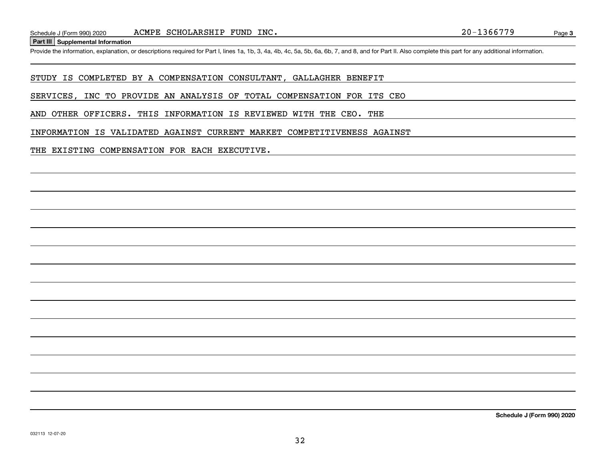**Part III Supplemental Information**

Schedule J (Form 990) 2020 ACMPE SCHOLARSHIP FUND INC.<br>Part III Supplemental Information<br>Provide the information, explanation, or descriptions required for Part I, lines 1a, 1b, 3, 4a, 4b, 4c, 5a, 5b, 6a, 6b, 7, and 8, and

STUDY IS COMPLETED BY A COMPENSATION CONSULTANT, GALLAGHER BENEFIT

SERVICES, INC TO PROVIDE AN ANALYSIS OF TOTAL COMPENSATION FOR ITS CEO

AND OTHER OFFICERS. THIS INFORMATION IS REVIEWED WITH THE CEO. THE

INFORMATION IS VALIDATED AGAINST CURRENT MARKET COMPETITIVENESS AGAINST

THE EXISTING COMPENSATION FOR EACH EXECUTIVE.

**Schedule J (Form 990) 2020**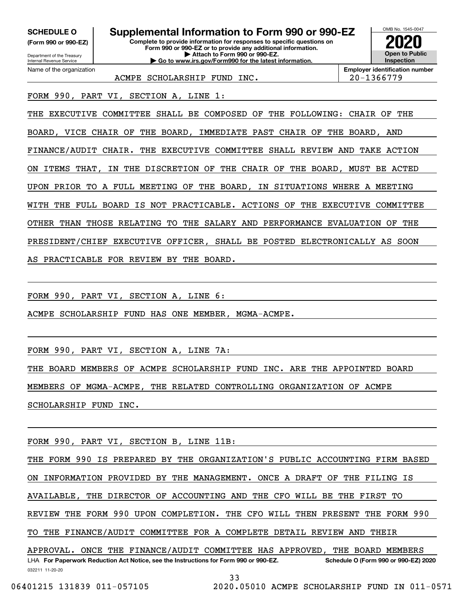**(Form 990 or 990-EZ)**

Department of the Treasury Internal Revenue Service Name of the organization

**Complete to provide information for responses to specific questions on Form 990 or 990-EZ or to provide any additional information. | Attach to Form 990 or 990-EZ. | Go to www.irs.gov/Form990 for the latest information. SCHEDULE O Supplemental Information to Form 990 or 990-EZ**



**Employer identification number** ACMPE SCHOLARSHIP FUND INC. 20-1366779

FORM 990, PART VI, SECTION A, LINE 1:

THE EXECUTIVE COMMITTEE SHALL BE COMPOSED OF THE FOLLOWING: CHAIR OF THE BOARD, VICE CHAIR OF THE BOARD, IMMEDIATE PAST CHAIR OF THE BOARD, AND FINANCE/AUDIT CHAIR. THE EXECUTIVE COMMITTEE SHALL REVIEW AND TAKE ACTION ON ITEMS THAT, IN THE DISCRETION OF THE CHAIR OF THE BOARD, MUST BE ACTED UPON PRIOR TO A FULL MEETING OF THE BOARD, IN SITUATIONS WHERE A MEETING WITH THE FULL BOARD IS NOT PRACTICABLE. ACTIONS OF THE EXECUTIVE COMMITTEE OTHER THAN THOSE RELATING TO THE SALARY AND PERFORMANCE EVALUATION OF THE PRESIDENT/CHIEF EXECUTIVE OFFICER, SHALL BE POSTED ELECTRONICALLY AS SOON AS PRACTICABLE FOR REVIEW BY THE BOARD.

FORM 990, PART VI, SECTION A, LINE 6:

ACMPE SCHOLARSHIP FUND HAS ONE MEMBER, MGMA-ACMPE.

FORM 990, PART VI, SECTION A, LINE 7A:

THE BOARD MEMBERS OF ACMPE SCHOLARSHIP FUND INC. ARE THE APPOINTED BOARD

MEMBERS OF MGMA-ACMPE, THE RELATED CONTROLLING ORGANIZATION OF ACMPE

SCHOLARSHIP FUND INC.

FORM 990, PART VI, SECTION B, LINE 11B:

THE FORM 990 IS PREPARED BY THE ORGANIZATION'S PUBLIC ACCOUNTING FIRM BASED

ON INFORMATION PROVIDED BY THE MANAGEMENT. ONCE A DRAFT OF THE FILING IS

AVAILABLE, THE DIRECTOR OF ACCOUNTING AND THE CFO WILL BE THE FIRST TO

REVIEW THE FORM 990 UPON COMPLETION. THE CFO WILL THEN PRESENT THE FORM 990

TO THE FINANCE/AUDIT COMMITTEE FOR A COMPLETE DETAIL REVIEW AND THEIR

032211 11-20-20 LHA For Paperwork Reduction Act Notice, see the Instructions for Form 990 or 990-EZ. Schedule O (Form 990 or 990-EZ) 2020 APPROVAL. ONCE THE FINANCE/AUDIT COMMITTEE HAS APPROVED, THE BOARD MEMBERS

33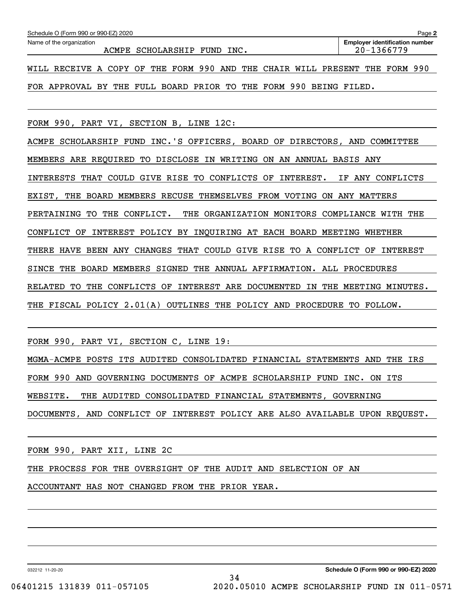| Schedule O (Form 990 or 990-EZ) 2020                                        |  |  |  |  |                             |  |  |  |  |  |  |  | Page 2                                              |  |
|-----------------------------------------------------------------------------|--|--|--|--|-----------------------------|--|--|--|--|--|--|--|-----------------------------------------------------|--|
| Name of the organization                                                    |  |  |  |  | ACMPE SCHOLARSHIP FUND INC. |  |  |  |  |  |  |  | <b>Employer identification number</b><br>20-1366779 |  |
| WILL RECEIVE A COPY OF THE FORM 990 AND THE CHAIR WILL PRESENT THE FORM 990 |  |  |  |  |                             |  |  |  |  |  |  |  |                                                     |  |

FOR APPROVAL BY THE FULL BOARD PRIOR TO THE FORM 990 BEING FILED.

FORM 990, PART VI, SECTION B, LINE 12C:

ACMPE SCHOLARSHIP FUND INC.'S OFFICERS, BOARD OF DIRECTORS, AND COMMITTEE MEMBERS ARE REQUIRED TO DISCLOSE IN WRITING ON AN ANNUAL BASIS ANY INTERESTS THAT COULD GIVE RISE TO CONFLICTS OF INTEREST. IF ANY CONFLICTS EXIST, THE BOARD MEMBERS RECUSE THEMSELVES FROM VOTING ON ANY MATTERS PERTAINING TO THE CONFLICT. THE ORGANIZATION MONITORS COMPLIANCE WITH THE CONFLICT OF INTEREST POLICY BY INQUIRING AT EACH BOARD MEETING WHETHER THERE HAVE BEEN ANY CHANGES THAT COULD GIVE RISE TO A CONFLICT OF INTEREST SINCE THE BOARD MEMBERS SIGNED THE ANNUAL AFFIRMATION. ALL PROCEDURES RELATED TO THE CONFLICTS OF INTEREST ARE DOCUMENTED IN THE MEETING MINUTES. THE FISCAL POLICY 2.01(A) OUTLINES THE POLICY AND PROCEDURE TO FOLLOW.

FORM 990, PART VI, SECTION C, LINE 19:

MGMA-ACMPE POSTS ITS AUDITED CONSOLIDATED FINANCIAL STATEMENTS AND THE IRS FORM 990 AND GOVERNING DOCUMENTS OF ACMPE SCHOLARSHIP FUND INC. ON ITS WEBSITE. THE AUDITED CONSOLIDATED FINANCIAL STATEMENTS, GOVERNING DOCUMENTS, AND CONFLICT OF INTEREST POLICY ARE ALSO AVAILABLE UPON REQUEST.

34

FORM 990, PART XII, LINE 2C

THE PROCESS FOR THE OVERSIGHT OF THE AUDIT AND SELECTION OF AN

ACCOUNTANT HAS NOT CHANGED FROM THE PRIOR YEAR.

032212 11-20-20

06401215 131839 011-057105 2020.05010 ACMPE SCHOLARSHIP FUND IN 011-0571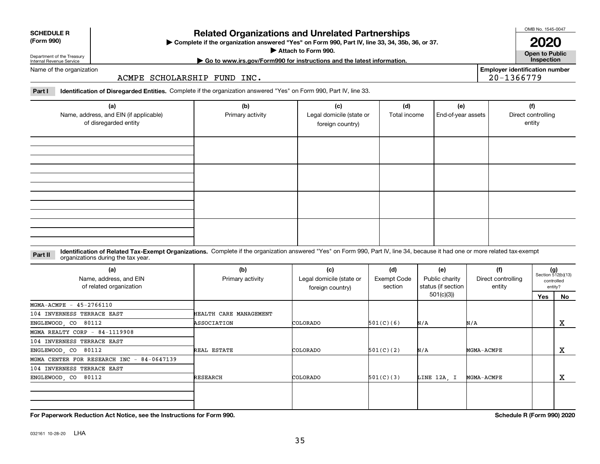032161 10-28-20 LHA

**Related Organizations and Unrelated Partnerships**

**Complete if the organization answered "Yes" on Form 990, Part IV, line 33, 34, 35b, 36, or 37.** |

**Attach to Form 990.**  |

Department of the Treasury Internal Revenue Service Name of the organization

## ACMPE SCHOLARSHIP FUND INC.

**Part I Identification of Disregarded Entities.**  Complete if the organization answered "Yes" on Form 990, Part IV, line 33.

| (a)<br>Name, address, and EIN (if applicable)<br>of disregarded entity | (b)<br>Primary activity | (c)<br>Legal domicile (state or<br>foreign country) | (d)<br>Total income | (e)<br>End-of-year assets | (f)<br>Direct controlling<br>entity |
|------------------------------------------------------------------------|-------------------------|-----------------------------------------------------|---------------------|---------------------------|-------------------------------------|
|                                                                        |                         |                                                     |                     |                           |                                     |
|                                                                        |                         |                                                     |                     |                           |                                     |
|                                                                        |                         |                                                     |                     |                           |                                     |
|                                                                        |                         |                                                     |                     |                           |                                     |

#### **Identification of Related Tax-Exempt Organizations.** Complete if the organization answered "Yes" on Form 990, Part IV, line 34, because it had one or more related tax-exempt **Part II** organizations during the tax year.

| (a)<br>Name, address, and EIN<br>of related organization | (b)<br>Primary activity | (c)<br>Legal domicile (state or<br>foreign country) | (d)<br>Exempt Code<br>section | (e)<br>Public charity<br>status (if section | (f)<br>Direct controlling<br>entity |     | $(g)$<br>Section 512(b)(13)<br>controlled<br>entity? |
|----------------------------------------------------------|-------------------------|-----------------------------------------------------|-------------------------------|---------------------------------------------|-------------------------------------|-----|------------------------------------------------------|
|                                                          |                         |                                                     |                               | 501(c)(3))                                  |                                     | Yes | No                                                   |
| MGMA-ACMPE - 45-2766110                                  |                         |                                                     |                               |                                             |                                     |     |                                                      |
| 104 INVERNESS TERRACE EAST                               | HEALTH CARE MANAGEMENT  |                                                     |                               |                                             |                                     |     |                                                      |
| ENGLEWOOD, CO 80112                                      | ASSOCIATION             | COLORADO                                            | 501(C)(6)                     | N/A                                         | N/A                                 |     | X                                                    |
| MGMA REALTY CORP - $84-1119908$                          |                         |                                                     |                               |                                             |                                     |     |                                                      |
| 104 INVERNESS TERRACE EAST                               |                         |                                                     |                               |                                             |                                     |     |                                                      |
| ENGLEWOOD, CO 80112                                      | REAL ESTATE             | COLORADO                                            | 501(C)(2)                     | N/A                                         | MGMA-ACMPE                          |     | х                                                    |
| MGMA CENTER FOR RESEARCH INC - 84-0647139                |                         |                                                     |                               |                                             |                                     |     |                                                      |
| 104 INVERNESS TERRACE EAST                               |                         |                                                     |                               |                                             |                                     |     |                                                      |
| ENGLEWOOD, CO 80112                                      | RESEARCH                | COLORADO                                            | 501(C)(3)                     | LINE 12A, I                                 | MGMA-ACMPE                          |     | х                                                    |
|                                                          |                         |                                                     |                               |                                             |                                     |     |                                                      |
|                                                          |                         |                                                     |                               |                                             |                                     |     |                                                      |
|                                                          |                         |                                                     |                               |                                             |                                     |     |                                                      |

35

**| Go to www.irs.gov/Form990 for instructions and the latest information. Inspection**

OMB No. 1545-0047

**Open to Public 2020**

**Employer identification number**

20-1366779

**For Paperwork Reduction Act Notice, see the Instructions for Form 990. Schedule R (Form 990) 2020**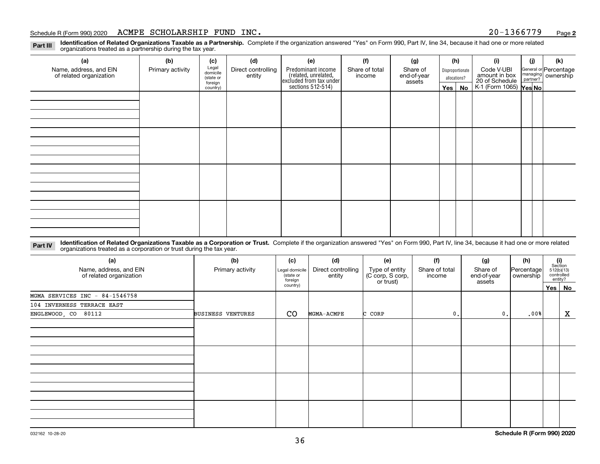### Schedule R (Form 990) 2020 Page ACMPE SCHOLARSHIP FUND INC. 20-1366779

**2**

**Identification of Related Organizations Taxable as a Partnership.** Complete if the organization answered "Yes" on Form 990, Part IV, line 34, because it had one or more related **Part III** organizations treated as a partnership during the tax year.

| (a)                                               | (b)              | (c)                  | (d)                | (e)                                                                 | (f)            | (g)                     |         | (h)              | (i)                                       | (j) | (k)                                                     |
|---------------------------------------------------|------------------|----------------------|--------------------|---------------------------------------------------------------------|----------------|-------------------------|---------|------------------|-------------------------------------------|-----|---------------------------------------------------------|
| Name, address, and EIN<br>of related organization | Primary activity | Legal<br>domicile    | Direct controlling | Predominant income                                                  | Share of total | Share of<br>end-of-year |         | Disproportionate | Code V-UBI<br>amount in box               |     | General or Percentage<br>managing ownership<br>partner? |
|                                                   |                  | (state or<br>foreign | entity             | related, unrelated,<br>excluded from tax under<br>sections 512-514) | income         | assets                  |         | allocations?     | 20 of Schedule<br>K-1 (Form 1065) Yes No. |     |                                                         |
|                                                   |                  | country)             |                    |                                                                     |                |                         | Yes $ $ | No               |                                           |     |                                                         |
|                                                   |                  |                      |                    |                                                                     |                |                         |         |                  |                                           |     |                                                         |
|                                                   |                  |                      |                    |                                                                     |                |                         |         |                  |                                           |     |                                                         |
|                                                   |                  |                      |                    |                                                                     |                |                         |         |                  |                                           |     |                                                         |
|                                                   |                  |                      |                    |                                                                     |                |                         |         |                  |                                           |     |                                                         |
|                                                   |                  |                      |                    |                                                                     |                |                         |         |                  |                                           |     |                                                         |
|                                                   |                  |                      |                    |                                                                     |                |                         |         |                  |                                           |     |                                                         |
|                                                   |                  |                      |                    |                                                                     |                |                         |         |                  |                                           |     |                                                         |
|                                                   |                  |                      |                    |                                                                     |                |                         |         |                  |                                           |     |                                                         |
|                                                   |                  |                      |                    |                                                                     |                |                         |         |                  |                                           |     |                                                         |
|                                                   |                  |                      |                    |                                                                     |                |                         |         |                  |                                           |     |                                                         |
|                                                   |                  |                      |                    |                                                                     |                |                         |         |                  |                                           |     |                                                         |
|                                                   |                  |                      |                    |                                                                     |                |                         |         |                  |                                           |     |                                                         |
|                                                   |                  |                      |                    |                                                                     |                |                         |         |                  |                                           |     |                                                         |
|                                                   |                  |                      |                    |                                                                     |                |                         |         |                  |                                           |     |                                                         |
|                                                   |                  |                      |                    |                                                                     |                |                         |         |                  |                                           |     |                                                         |
|                                                   |                  |                      |                    |                                                                     |                |                         |         |                  |                                           |     |                                                         |
|                                                   |                  |                      |                    |                                                                     |                |                         |         |                  |                                           |     |                                                         |

**Identification of Related Organizations Taxable as a Corporation or Trust.** Complete if the organization answered "Yes" on Form 990, Part IV, line 34, because it had one or more related **Part IV** organizations treated as a corporation or trust during the tax year.

| (a)<br>Name, address, and EIN<br>of related organization | (b)<br>Primary activity  | (c)<br>Legal domicile<br>(state or<br>foreign | (d)<br>Direct controlling<br>entity | (e)<br>Type of entity<br>(C corp, S corp,<br>or trust) | (f)<br>Share of total<br>income | (g)<br>Share of<br>end-of-year<br>assets | (h)<br> Percentage <br>ownership | (i)<br>Section<br>512(b)(13)<br>controlled<br>entity? |          |
|----------------------------------------------------------|--------------------------|-----------------------------------------------|-------------------------------------|--------------------------------------------------------|---------------------------------|------------------------------------------|----------------------------------|-------------------------------------------------------|----------|
|                                                          |                          | country)                                      |                                     |                                                        |                                 |                                          |                                  |                                                       | Yes   No |
| MGMA SERVICES INC - 84-1546758                           |                          |                                               |                                     |                                                        |                                 |                                          |                                  |                                                       |          |
| 104 INVERNESS TERRACE EAST                               |                          |                                               |                                     |                                                        |                                 |                                          |                                  |                                                       |          |
| ENGLEWOOD, CO 80112                                      | <b>BUSINESS VENTURES</b> | CO                                            | MGMA-ACMPE                          | C CORP                                                 | $\mathbf{0}$ .                  | $\mathfrak{o}$ .                         | $.00$ <sup>8</sup>               |                                                       | X        |
|                                                          |                          |                                               |                                     |                                                        |                                 |                                          |                                  |                                                       |          |
|                                                          |                          |                                               |                                     |                                                        |                                 |                                          |                                  |                                                       |          |
|                                                          |                          |                                               |                                     |                                                        |                                 |                                          |                                  |                                                       |          |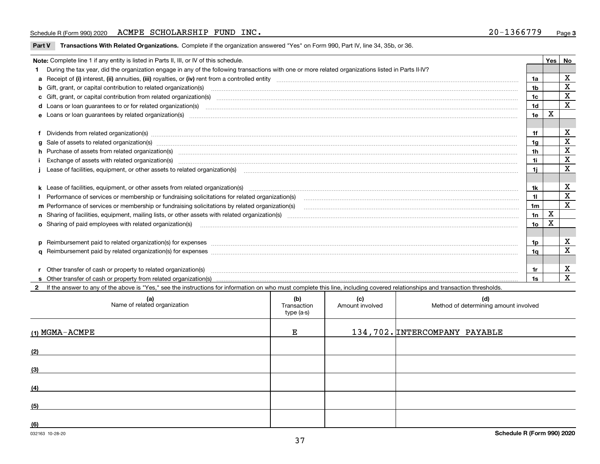## Schedule R (Form 990) 2020 Page ACMPE SCHOLARSHIP FUND INC. 20-1366779

**Part V** T**ransactions With Related Organizations.** Complete if the organization answered "Yes" on Form 990, Part IV, line 34, 35b, or 36.

| Note: Complete line 1 if any entity is listed in Parts II, III, or IV of this schedule.                                                                                                                                        |                | Yes I | No                      |
|--------------------------------------------------------------------------------------------------------------------------------------------------------------------------------------------------------------------------------|----------------|-------|-------------------------|
| During the tax year, did the organization engage in any of the following transactions with one or more related organizations listed in Parts II-IV?                                                                            |                |       |                         |
|                                                                                                                                                                                                                                | 1a             |       | $\mathbf x$             |
| b Gift, grant, or capital contribution to related organization(s) manufactured and contribution to related organization(s)                                                                                                     | 1 <sub>b</sub> |       | $\mathbf X$             |
| c Gift, grant, or capital contribution from related organization(s) material content and contribution from related organization(s) material content and content and contribution from related organization(s) material content | 1c             |       | $\mathbf X$             |
|                                                                                                                                                                                                                                | 1 <sub>d</sub> |       | $\mathbf X$             |
|                                                                                                                                                                                                                                | 1e             | X     |                         |
|                                                                                                                                                                                                                                |                |       |                         |
| Dividends from related organization(s) manufactured and contract and contract and contract and contract and contract and contract and contract and contract and contract and contract and contract and contract and contract a | 1f             |       | X                       |
| g Sale of assets to related organization(s) manufactured content and content and content and content and content and content and content and content and content and content and content and content and content and content a | 1 <sub>g</sub> |       | $\mathbf X$             |
| h Purchase of assets from related organization(s) manufactured and content to content the content of assets from related organization(s)                                                                                       | 1 <sub>h</sub> |       | $\overline{\mathbf{X}}$ |
|                                                                                                                                                                                                                                | 1i             |       | $\mathbf X$             |
| Lease of facilities, equipment, or other assets to related organization(s) [11] manufactured manufactured manufactured manufactured manufactured manufactured manufactured manufactured manufactured manufactured manufactured | 11             |       | $\overline{\mathbf{X}}$ |
|                                                                                                                                                                                                                                |                |       |                         |
|                                                                                                                                                                                                                                | 1k             |       | X                       |
| Performance of services or membership or fundraising solicitations for related organization(s) [11] processors content in the series of services or membership or fundraising solicitations for related organization(s) [11] p | 11             |       | $\overline{\mathbf{x}}$ |
| m Performance of services or membership or fundraising solicitations by related organization(s)                                                                                                                                | 1 <sub>m</sub> |       | $\overline{\mathbf{x}}$ |
|                                                                                                                                                                                                                                | 1n             | X     |                         |
| <b>o</b> Sharing of paid employees with related organization(s)                                                                                                                                                                | 1o             | X     |                         |
|                                                                                                                                                                                                                                |                |       |                         |
| p Reimbursement paid to related organization(s) for expenses [1111] content to content the content of the content of the content of the content of the content of the content of the content of the content of the content of  | 1 <sub>p</sub> |       | х                       |
|                                                                                                                                                                                                                                | 1a             |       | $\mathbf X$             |
|                                                                                                                                                                                                                                |                |       |                         |
| Other transfer of cash or property to related organization(s)                                                                                                                                                                  | 1r             |       | X                       |
|                                                                                                                                                                                                                                | 1s             |       | $\mathbf{x}$            |
| If the answer to any of the above is "Yes," see the instructions for information on who must complete this line, including covered relationships and transaction thresholds.                                                   |                |       |                         |

| (a)<br>Name of related organization | (b)<br>Transaction<br>type (a-s) | (c)<br>Amount involved | (d)<br>Method of determining amount involved |
|-------------------------------------|----------------------------------|------------------------|----------------------------------------------|
| $(1)$ MGMA-ACMPE                    | Е                                |                        | 134, 702. INTERCOMPANY PAYABLE               |
| (2)                                 |                                  |                        |                                              |
| (3)                                 |                                  |                        |                                              |
| (4)                                 |                                  |                        |                                              |
| (5)                                 |                                  |                        |                                              |
| (6)                                 |                                  |                        |                                              |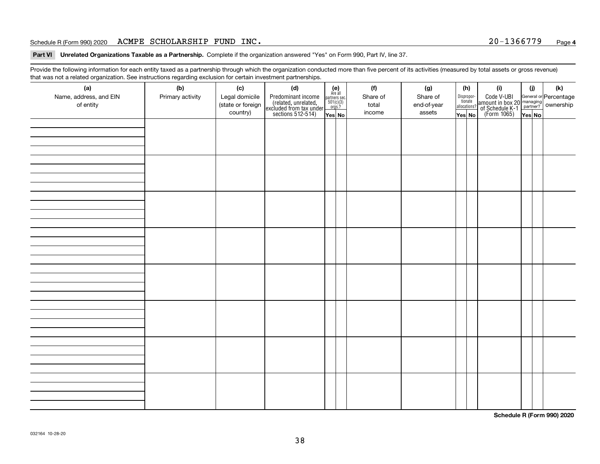### Schedule R (Form 990) 2020 Page ACMPE SCHOLARSHIP FUND INC. 20-1366779

**Part VI Unrelated Organizations Taxable as a Partnership. Complete if the organization answered "Yes" on Form 990, Part IV, line 37.** 

Provide the following information for each entity taxed as a partnership through which the organization conducted more than five percent of its activities (measured by total assets or gross revenue) that was not a related organization. See instructions regarding exclusion for certain investment partnerships.

| ັ                      | ັ<br>ັ           |                   |                                                                                            |                                      |  |          |             |  |                                       |                                                                                              |        |     |
|------------------------|------------------|-------------------|--------------------------------------------------------------------------------------------|--------------------------------------|--|----------|-------------|--|---------------------------------------|----------------------------------------------------------------------------------------------|--------|-----|
| (a)                    | (b)              | (c)               | (d)                                                                                        | (e)<br>Are all                       |  | (f)      | (g)         |  | (h)                                   | (i)                                                                                          | (i)    | (k) |
| Name, address, and EIN | Primary activity | Legal domicile    | Predominant income<br>(related, unrelated,<br>excluded from tax under<br>sections 512-514) | partners sec.<br>501(c)(3)<br>orgs.? |  | Share of | Share of    |  | Dispropor-<br>tionate<br>allocations? | Code V-UBI<br>amount in box 20 managing<br>of Schedule K-1 partner?<br>(Form 1065)<br>ves No |        |     |
| of entity              |                  | (state or foreign |                                                                                            |                                      |  | total    | end-of-year |  |                                       |                                                                                              |        |     |
|                        |                  | country)          |                                                                                            | Yes No                               |  | income   | assets      |  | Yes No                                |                                                                                              | Yes No |     |
|                        |                  |                   |                                                                                            |                                      |  |          |             |  |                                       |                                                                                              |        |     |
|                        |                  |                   |                                                                                            |                                      |  |          |             |  |                                       |                                                                                              |        |     |
|                        |                  |                   |                                                                                            |                                      |  |          |             |  |                                       |                                                                                              |        |     |
|                        |                  |                   |                                                                                            |                                      |  |          |             |  |                                       |                                                                                              |        |     |
|                        |                  |                   |                                                                                            |                                      |  |          |             |  |                                       |                                                                                              |        |     |
|                        |                  |                   |                                                                                            |                                      |  |          |             |  |                                       |                                                                                              |        |     |
|                        |                  |                   |                                                                                            |                                      |  |          |             |  |                                       |                                                                                              |        |     |
|                        |                  |                   |                                                                                            |                                      |  |          |             |  |                                       |                                                                                              |        |     |
|                        |                  |                   |                                                                                            |                                      |  |          |             |  |                                       |                                                                                              |        |     |
|                        |                  |                   |                                                                                            |                                      |  |          |             |  |                                       |                                                                                              |        |     |
|                        |                  |                   |                                                                                            |                                      |  |          |             |  |                                       |                                                                                              |        |     |
|                        |                  |                   |                                                                                            |                                      |  |          |             |  |                                       |                                                                                              |        |     |
|                        |                  |                   |                                                                                            |                                      |  |          |             |  |                                       |                                                                                              |        |     |
|                        |                  |                   |                                                                                            |                                      |  |          |             |  |                                       |                                                                                              |        |     |
|                        |                  |                   |                                                                                            |                                      |  |          |             |  |                                       |                                                                                              |        |     |
|                        |                  |                   |                                                                                            |                                      |  |          |             |  |                                       |                                                                                              |        |     |
|                        |                  |                   |                                                                                            |                                      |  |          |             |  |                                       |                                                                                              |        |     |
|                        |                  |                   |                                                                                            |                                      |  |          |             |  |                                       |                                                                                              |        |     |
|                        |                  |                   |                                                                                            |                                      |  |          |             |  |                                       |                                                                                              |        |     |
|                        |                  |                   |                                                                                            |                                      |  |          |             |  |                                       |                                                                                              |        |     |
|                        |                  |                   |                                                                                            |                                      |  |          |             |  |                                       |                                                                                              |        |     |
|                        |                  |                   |                                                                                            |                                      |  |          |             |  |                                       |                                                                                              |        |     |
|                        |                  |                   |                                                                                            |                                      |  |          |             |  |                                       |                                                                                              |        |     |
|                        |                  |                   |                                                                                            |                                      |  |          |             |  |                                       |                                                                                              |        |     |
|                        |                  |                   |                                                                                            |                                      |  |          |             |  |                                       |                                                                                              |        |     |
|                        |                  |                   |                                                                                            |                                      |  |          |             |  |                                       |                                                                                              |        |     |
|                        |                  |                   |                                                                                            |                                      |  |          |             |  |                                       |                                                                                              |        |     |
|                        |                  |                   |                                                                                            |                                      |  |          |             |  |                                       |                                                                                              |        |     |
|                        |                  |                   |                                                                                            |                                      |  |          |             |  |                                       |                                                                                              |        |     |
|                        |                  |                   |                                                                                            |                                      |  |          |             |  |                                       |                                                                                              |        |     |
|                        |                  |                   |                                                                                            |                                      |  |          |             |  |                                       |                                                                                              |        |     |
|                        |                  |                   |                                                                                            |                                      |  |          |             |  |                                       |                                                                                              |        |     |
|                        |                  |                   |                                                                                            |                                      |  |          |             |  |                                       |                                                                                              |        |     |
|                        |                  |                   |                                                                                            |                                      |  |          |             |  |                                       |                                                                                              |        |     |
|                        |                  |                   |                                                                                            |                                      |  |          |             |  |                                       |                                                                                              |        |     |
|                        |                  |                   |                                                                                            |                                      |  |          |             |  |                                       |                                                                                              |        |     |

**Schedule R (Form 990) 2020**